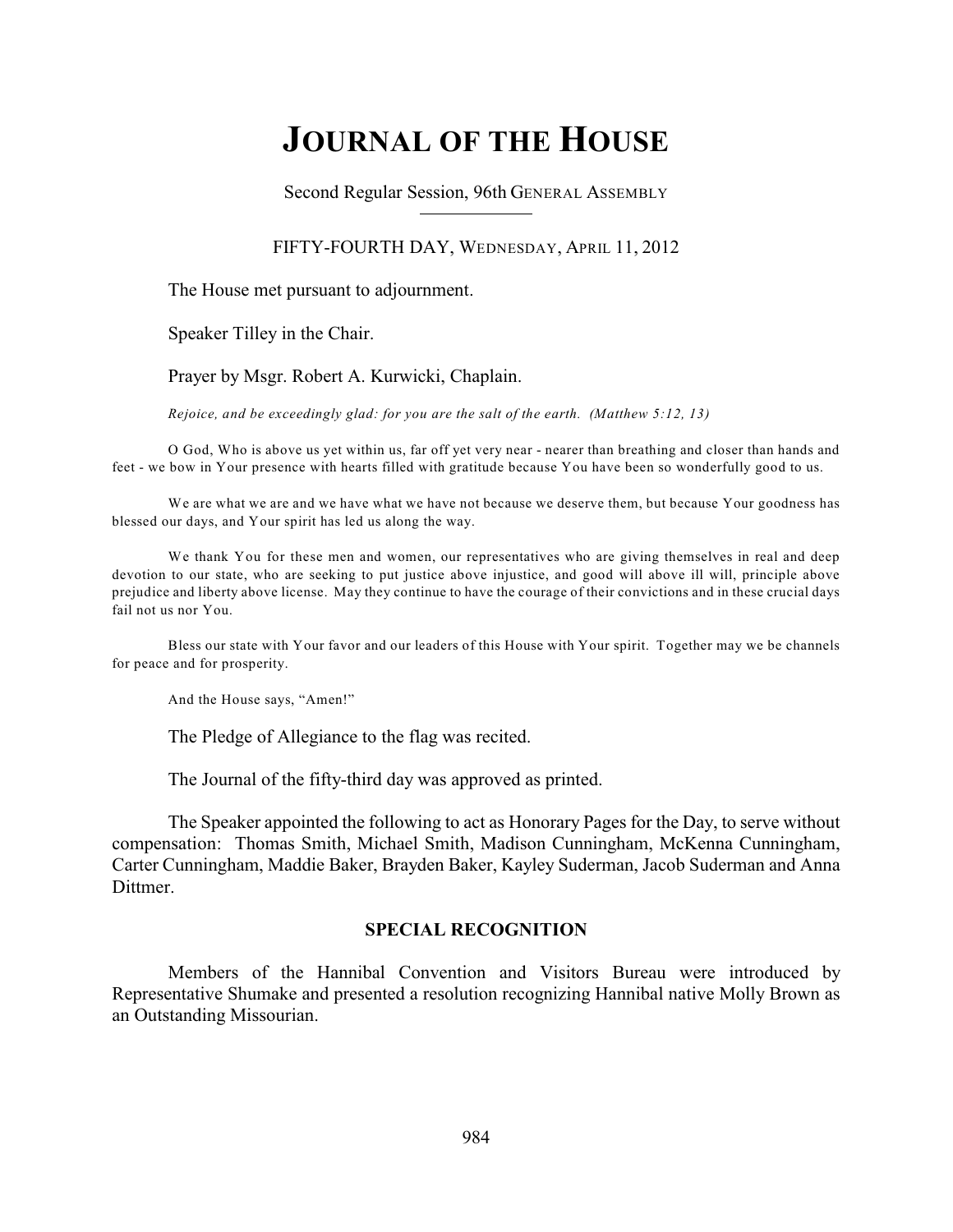# **JOURNAL OF THE HOUSE**

Second Regular Session, 96th GENERAL ASSEMBLY

#### FIFTY-FOURTH DAY, WEDNESDAY, APRIL 11, 2012

The House met pursuant to adjournment.

Speaker Tilley in the Chair.

Prayer by Msgr. Robert A. Kurwicki, Chaplain.

*Rejoice, and be exceedingly glad: for you are the salt of the earth. (Matthew 5:12, 13)*

O God, Who is above us yet within us, far off yet very near - nearer than breathing and closer than hands and feet - we bow in Your presence with hearts filled with gratitude because You have been so wonderfully good to us.

We are what we are and we have what we have not because we deserve them, but because Your goodness has blessed our days, and Your spirit has led us along the way.

We thank You for these men and women, our representatives who are giving themselves in real and deep devotion to our state, who are seeking to put justice above injustice, and good will above ill will, principle above prejudice and liberty above license. May they continue to have the courage of their convictions and in these crucial days fail not us nor You.

Bless our state with Your favor and our leaders of this House with Your spirit. Together may we be channels for peace and for prosperity.

And the House says, "Amen!"

The Pledge of Allegiance to the flag was recited.

The Journal of the fifty-third day was approved as printed.

The Speaker appointed the following to act as Honorary Pages for the Day, to serve without compensation: Thomas Smith, Michael Smith, Madison Cunningham, McKenna Cunningham, Carter Cunningham, Maddie Baker, Brayden Baker, Kayley Suderman, Jacob Suderman and Anna **Dittmer** 

#### **SPECIAL RECOGNITION**

Members of the Hannibal Convention and Visitors Bureau were introduced by Representative Shumake and presented a resolution recognizing Hannibal native Molly Brown as an Outstanding Missourian.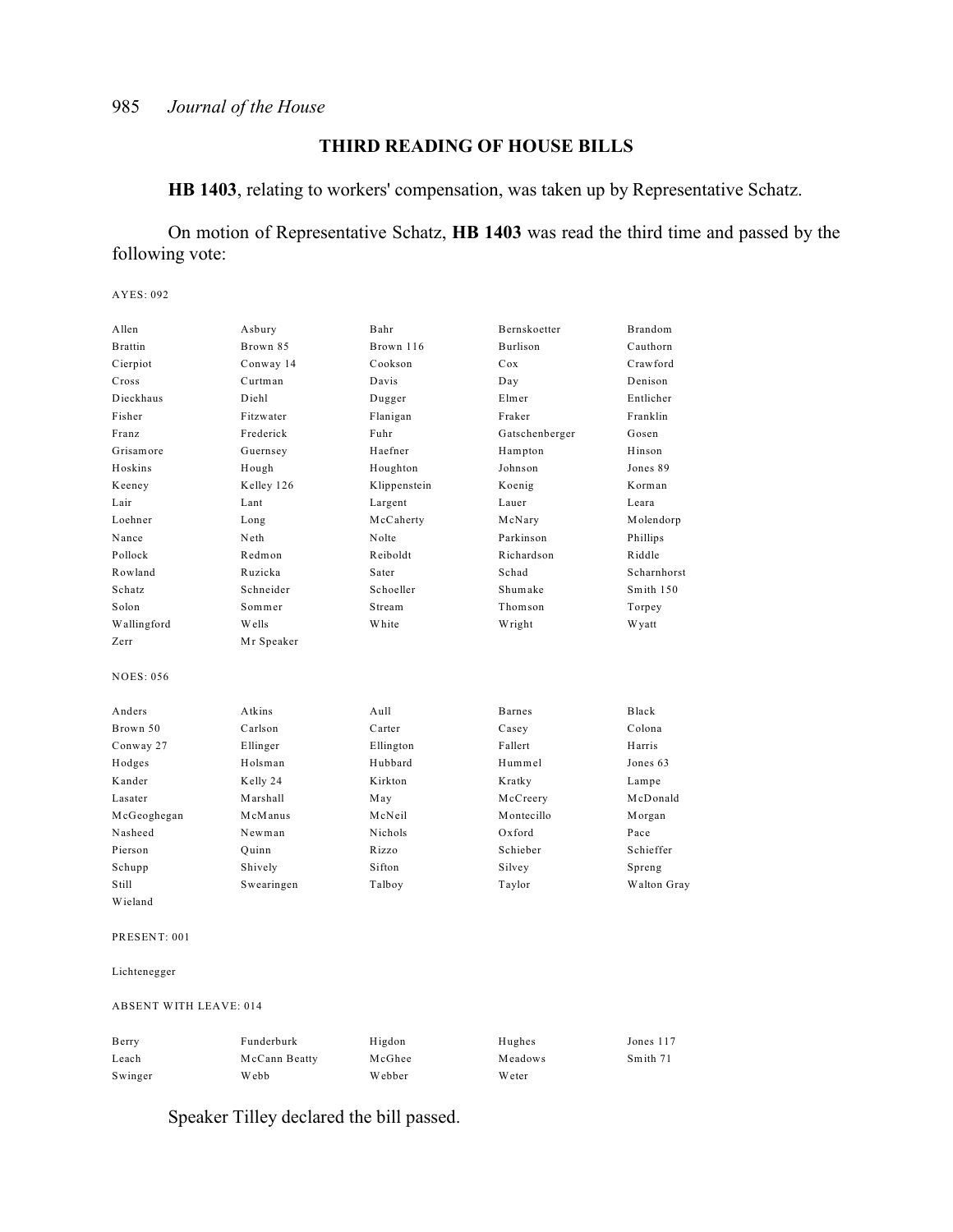### **THIRD READING OF HOUSE BILLS**

**HB 1403**, relating to workers' compensation, was taken up by Representative Schatz.

On motion of Representative Schatz, **HB 1403** was read the third time and passed by the following vote:

AYES: 092

| A llen           | Asbury     | Bahr           | Bernskoetter   | Brandom     |
|------------------|------------|----------------|----------------|-------------|
| <b>Brattin</b>   | Brown 85   | Brown 116      | Burlison       | Cauthorn    |
| Cierpiot         | Conway 14  | Cookson        | Cox            | Crawford    |
| Cross            | Curtman    | Davis          | Day            | Denison     |
| Dieckhaus        | Diehl      | Dugger         | Elmer          | Entlicher   |
| Fisher           | Fitzwater  | Flanigan       | Fraker         | Franklin    |
| Franz            | Frederick  | Fuhr           | Gatschenberger | Gosen       |
| Grisamore        | Guernsey   | Haefner        | Hampton        | Hinson      |
| Hoskins          | Hough      | Houghton       | Johnson        | Jones 89    |
| Keeney           | Kelley 126 | Klippenstein   | Koenig         | Korman      |
| Lair             | Lant       | Largent        | Lauer          | Leara       |
| Loehner          | Long       | McCaherty      | McNary         | Molendorp   |
| Nance            | Neth       | Nolte          | Parkinson      | Phillips    |
| Pollock          | Redmon     | Reiboldt       | Richardson     | Riddle      |
| Rowland          | Ruzicka    | Sater          | Schad          | Scharnhorst |
| Schatz           | Schneider  | Schoeller      | Shumake        | Smith 150   |
| Solon            | Sommer     | Stream         | Thomson        | Torpey      |
| Wallingford      | Wells      | White          | Wright         | W yatt      |
| Zerr             | Mr Speaker |                |                |             |
| <b>NOES: 056</b> |            |                |                |             |
| Anders           | Atkins     | Aull           | <b>Barnes</b>  | Black       |
| Brown 50         | Carlson    | Carter         | Casey          | Colona      |
| Conway 27        | Ellinger   | Ellington      | Fallert        | Harris      |
| Hodges           | Holsman    | Hubbard        | Hummel         | Jones 63    |
| Kander           | Kelly 24   | Kirkton        | Kratky         | Lampe       |
| Lasater          | Marshall   | May            | McCreery       | McDonald    |
| McGeoghegan      | McManus    | McNeil         | Montecillo     | Morgan      |
| Nasheed          | Newman     | <b>Nichols</b> | $Ox$ ford      | Pace        |
| Pierson          | Ouinn      | Rizzo          | Schieber       | Schieffer   |
| Schupp           | Shively    | Sifton         | Silvey         | Spreng      |
| Still            | Swearingen | Talboy         | Taylor         | Walton Gray |
| Wieland          |            |                |                |             |
| PRESENT: 001     |            |                |                |             |

Lichtenegger

ABSENT WITH LEAVE: 014

| Berry   | Funderburk    | Higdon  | Hughes  | Jones 117 |
|---------|---------------|---------|---------|-----------|
| Leach   | McCann Beatty | McGhee  | Meadows | Smith 71  |
| Swinger | Webb          | W ebber | W eter  |           |

Speaker Tilley declared the bill passed.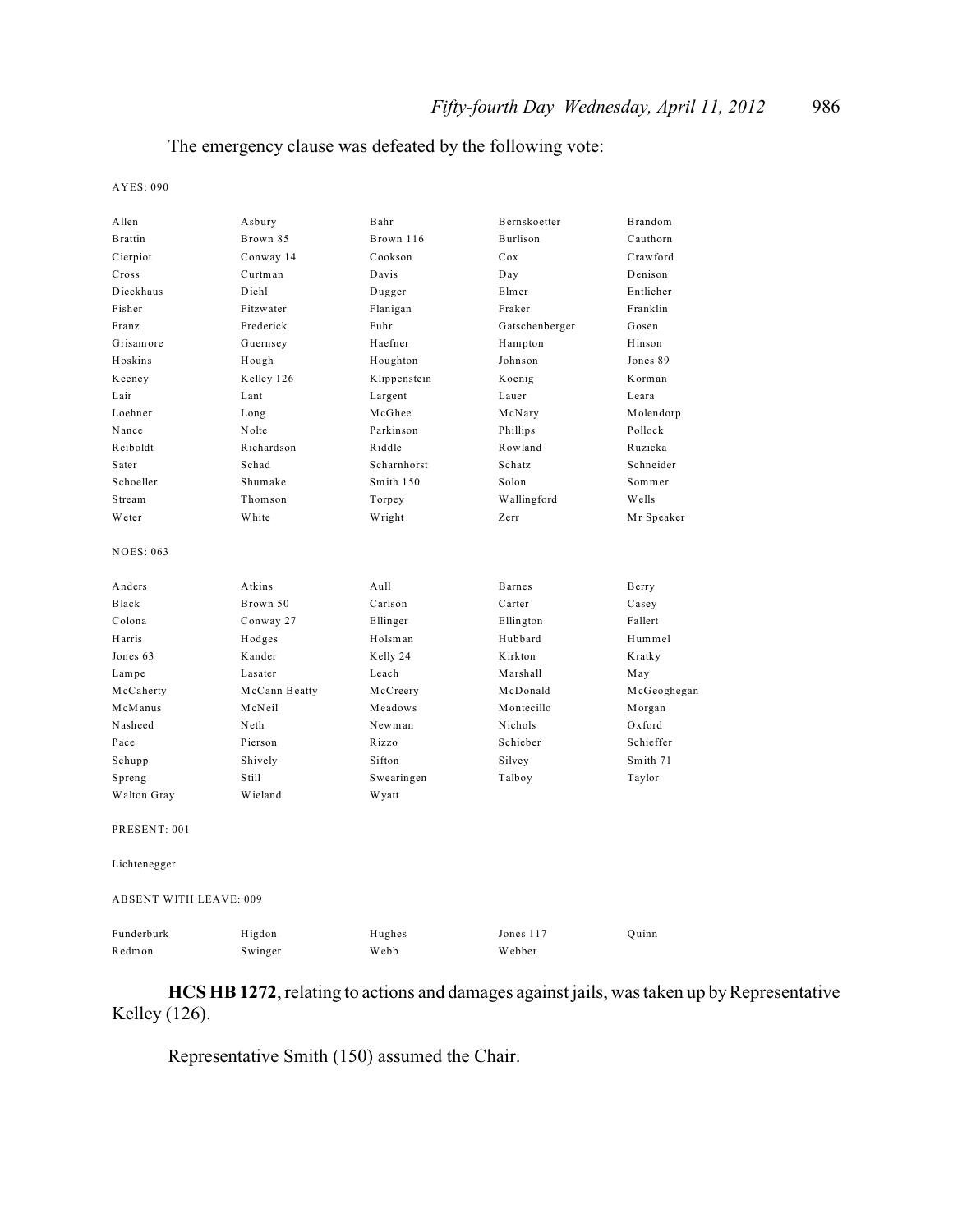### The emergency clause was defeated by the following vote:

AYES: 090

| Allen                         | Asbury        | Bahr         | Bernskoetter   | Brandom     |
|-------------------------------|---------------|--------------|----------------|-------------|
| <b>Brattin</b>                | Brown 85      | Brown 116    | Burlison       | Cauthorn    |
| Cierpiot                      | Conway 14     | Cookson      | Cox            | Crawford    |
| Cross                         | Curtman       | Davis        | Day            | Denison     |
| Dieckhaus                     | Diehl         | Dugger       | Elmer          | Entlicher   |
| Fisher                        | Fitzwater     | Flanigan     | Fraker         | Franklin    |
| Franz                         | Frederick     | Fuhr         | Gatschenberger | Gosen       |
| Grisamore                     | Guernsey      | Haefner      | Hampton        | Hinson      |
| Hoskins                       | Hough         | Houghton     | Johnson        | Jones 89    |
|                               |               |              |                | Korman      |
| Keeney                        | Kelley 126    | Klippenstein | Koenig         |             |
| Lair                          | Lant          | Largent      | Lauer          | Leara       |
| Loehner                       | Long          | McGhee       | McNary         | Molendorp   |
| Nance                         | Nolte         | Parkinson    | Phillips       | Pollock     |
| Reiboldt                      | Richardson    | Riddle       | Rowland        | Ruzicka     |
| Sater                         | Schad         | Scharnhorst  | Schatz         | Schneider   |
| Schoeller                     | Shumake       | Smith 150    | Solon          | Sommer      |
| Stream                        | Thomson       | Torpey       | Wallingford    | Wells       |
| Weter                         | White         | Wright       | Zerr           | Mr Speaker  |
| <b>NOES: 063</b>              |               |              |                |             |
| Anders                        | Atkins        | Aull         | <b>Barnes</b>  | Berry       |
| Black                         | Brown 50      | Carlson      | Carter         | Casey       |
| Colona                        | Conway 27     | Ellinger     | Ellington      | Fallert     |
| Harris                        | Hodges        | Holsman      | Hubbard        | Hummel      |
| Jones 63                      | Kander        | Kelly 24     | Kirkton        | Kratky      |
| Lampe                         | Lasater       | Leach        | Marshall       | May         |
| McCaherty                     | McCann Beatty | McCreery     | McDonald       | McGeoghegan |
| McManus                       | McNeil        | Meadows      | Montecillo     | Morgan      |
| Nasheed                       | Neth          | Newman       | Nichols        | Oxford      |
| Pace                          | Pierson       | Rizzo        | Schieber       | Schieffer   |
| Schupp                        | Shively       | Sifton       | Silvey         | Smith 71    |
| Spreng                        | Still         | Swearingen   | Talboy         | Taylor      |
| Walton Gray                   | Wieland       | W yatt       |                |             |
| PRESENT: 001                  |               |              |                |             |
| Lichtenegger                  |               |              |                |             |
| <b>ABSENT WITH LEAVE: 009</b> |               |              |                |             |
| Funderburk                    | Higdon        | Hughes       | Jones 117      | Ouinn       |
| Redmon                        | Swinger       | Webb         | Webber         |             |

**HCS HB 1272**, relating to actions and damages against jails, was taken up by Representative Kelley (126).

Representative Smith (150) assumed the Chair.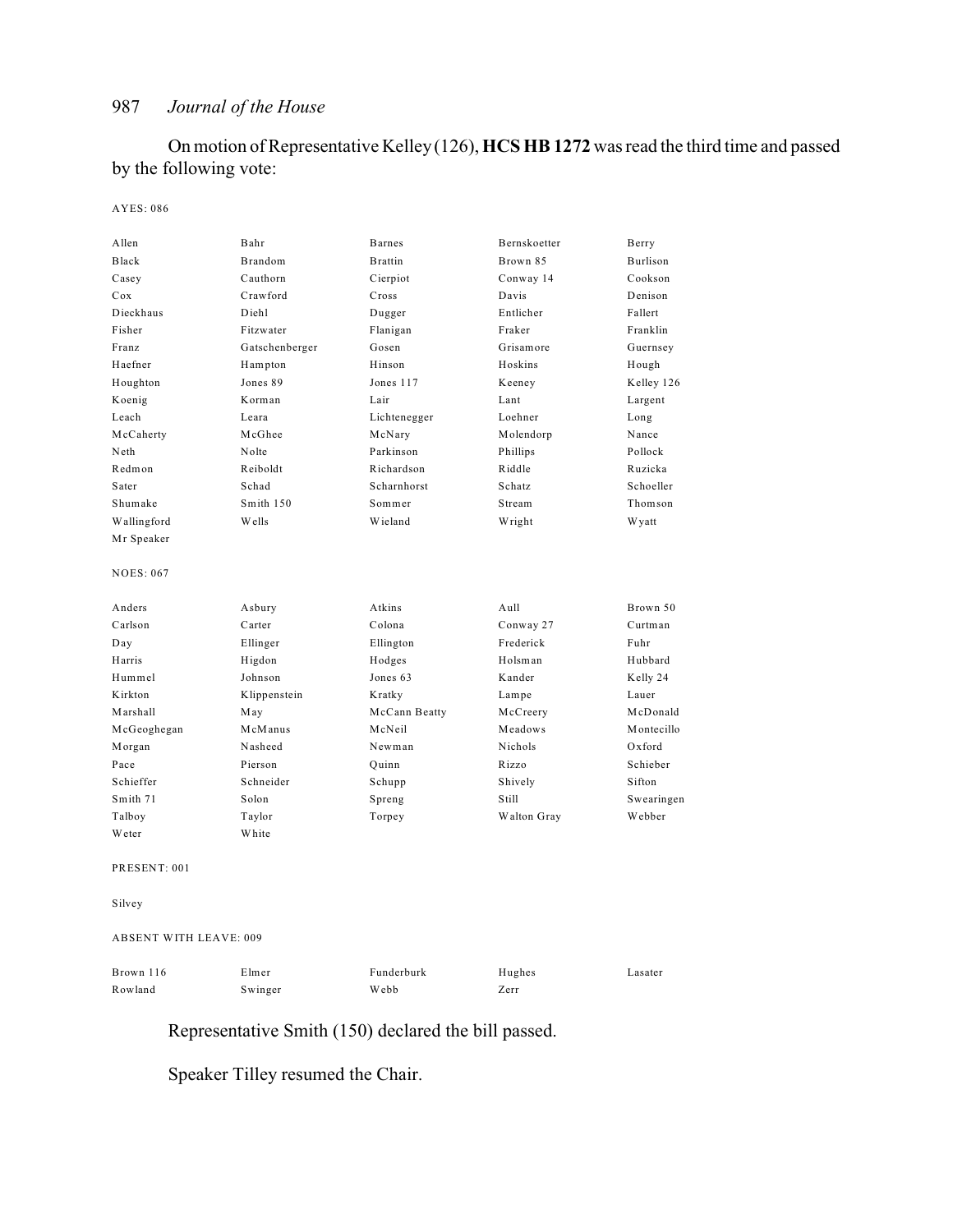On motion of Representative Kelley (126), **HCS HB 1272** was read the third time and passed by the following vote:

#### AYES: 086

| Allen            | Bahr           | <b>Barnes</b>  | Bernskoetter  | Berry      |
|------------------|----------------|----------------|---------------|------------|
| Black            | <b>Brandom</b> | <b>Brattin</b> | Brown 85      | Burlison   |
| Casey            | Cauthorn       | Cierpiot       | Conway 14     | Cookson    |
| Cox              | Crawford       | Cross          | Davis         | Denison    |
| Dieckhaus        | Diehl          | Dugger         | Entlicher     | Fallert    |
| Fisher           | Fitzwater      | Flanigan       | Fraker        | Franklin   |
| Franz            | Gatschenberger | Gosen          | Grisamore     | Guernsey   |
| Haefner          | Hampton        | Hinson         | Hoskins       | Hough      |
| Houghton         | Jones 89       | Jones 117      | Keeney        | Kelley 126 |
| Koenig           | Korman         | Lair           | Lant          | Largent    |
| Leach            | Leara          | Lichtenegger   | Loehner       | Long       |
| McCaherty        | McGhee         | McNary         | Molendorp     | Nance      |
| Neth             | Nolte          | Parkinson      | Phillips      | Pollock    |
| Redmon           | Reiboldt       | Richardson     | Riddle        | Ruzicka    |
| Sater            | Schad          | Scharnhorst    | <b>Schatz</b> | Schoeller  |
| Shumake          | Smith 150      | Sommer         | Stream        | Thomson    |
| Wallingford      | Wells          | Wieland        | Wright        | W yatt     |
| Mr Speaker       |                |                |               |            |
| <b>NOES: 067</b> |                |                |               |            |
| Anders           | Asbury         | Atkins         | Aull          | Brown 50   |
| Carlson          | Carter         | Colona         | Conway 27     | Curtman    |
| Day              | Ellinger       | Ellington      | Frederick     | Fuhr       |
| Harris           | Higdon         | Hodges         | Holsman       | Hubbard    |
| Hummel           | Johnson        | Jones 63       | Kander        | Kelly 24   |
| Kirkton          | Klippenstein   | Kratky         | Lampe         | Lauer      |
| Marshall         | May            | McCann Beatty  | McCreery      | McDonald   |
| McGeoghegan      | McManus        | McNeil         | Meadows       | Montecillo |
| Morgan           | Nasheed        | Newman         | Nichols       | $Ox$ ford  |
| Pace             | Pierson        | Quinn          | Rizzo         | Schieber   |
| Schieffer        | Schneider      | Schupp         | Shively       | Sifton     |
| Smith 71         | Solon          | Spreng         | Still         | Swearingen |
| Talboy           | Taylor         | Torpey         | Walton Gray   | Webber     |
| Weter            | White          |                |               |            |
| PRESENT: 001     |                |                |               |            |

Silvey

#### ABSENT WITH LEAVE: 009

| Brown 116 | Elmer   | Funderburk | Hughes | Lasater |
|-----------|---------|------------|--------|---------|
| Rowland   | Swinger | Webb       | Zerr   |         |

# Representative Smith (150) declared the bill passed.

Speaker Tilley resumed the Chair.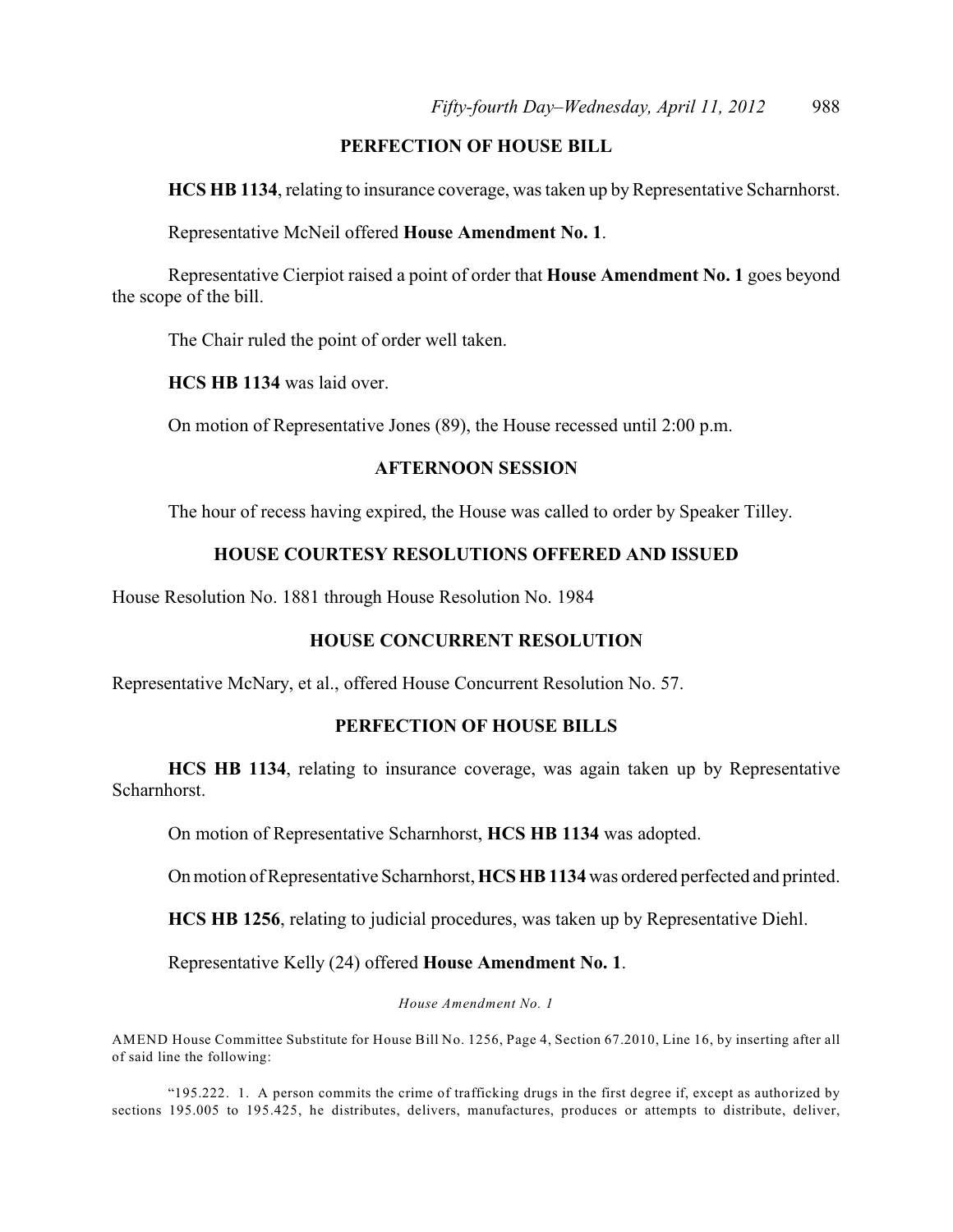### **PERFECTION OF HOUSE BILL**

**HCS HB 1134**, relating to insurance coverage, was taken up by Representative Scharnhorst.

Representative McNeil offered **House Amendment No. 1**.

Representative Cierpiot raised a point of order that **House Amendment No. 1** goes beyond the scope of the bill.

The Chair ruled the point of order well taken.

**HCS HB 1134** was laid over.

On motion of Representative Jones (89), the House recessed until 2:00 p.m.

#### **AFTERNOON SESSION**

The hour of recess having expired, the House was called to order by Speaker Tilley.

### **HOUSE COURTESY RESOLUTIONS OFFERED AND ISSUED**

House Resolution No. 1881 through House Resolution No. 1984

### **HOUSE CONCURRENT RESOLUTION**

Representative McNary, et al., offered House Concurrent Resolution No. 57.

#### **PERFECTION OF HOUSE BILLS**

**HCS HB 1134**, relating to insurance coverage, was again taken up by Representative Scharnhorst.

On motion of Representative Scharnhorst, **HCS HB 1134** was adopted.

On motion of Representative Scharnhorst, **HCS HB 1134** was ordered perfected and printed.

**HCS HB 1256**, relating to judicial procedures, was taken up by Representative Diehl.

Representative Kelly (24) offered **House Amendment No. 1**.

*House Amendment No. 1*

AMEND House Committee Substitute for House Bill No. 1256, Page 4, Section 67.2010, Line 16, by inserting after all of said line the following:

"195.222. 1. A person commits the crime of trafficking drugs in the first degree if, except as authorized by sections 195.005 to 195.425, he distributes, delivers, manufactures, produces or attempts to distribute, deliver,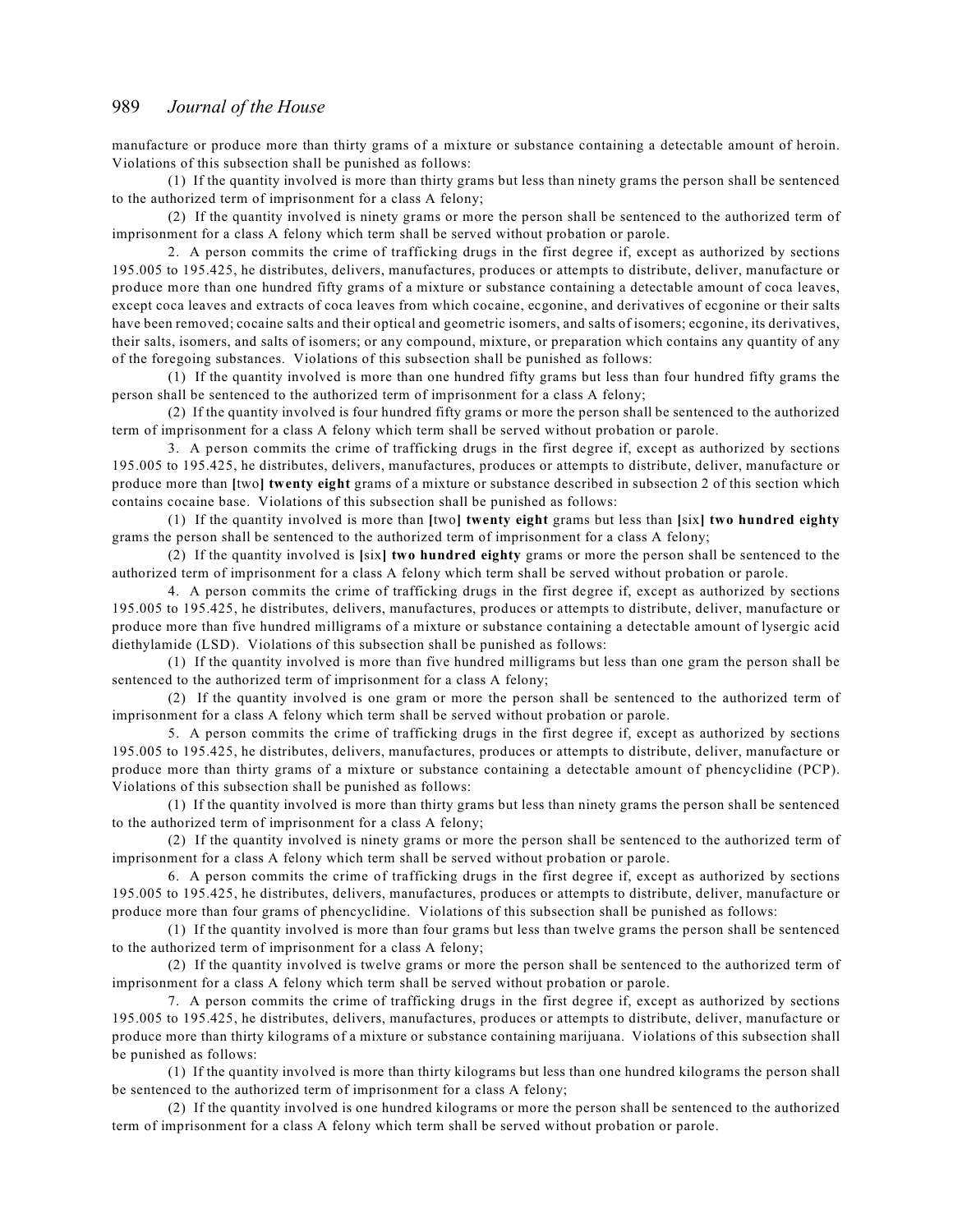manufacture or produce more than thirty grams of a mixture or substance containing a detectable amount of heroin. Violations of this subsection shall be punished as follows:

(1) If the quantity involved is more than thirty grams but less than ninety grams the person shall be sentenced to the authorized term of imprisonment for a class A felony;

(2) If the quantity involved is ninety grams or more the person shall be sentenced to the authorized term of imprisonment for a class A felony which term shall be served without probation or parole.

2. A person commits the crime of trafficking drugs in the first degree if, except as authorized by sections 195.005 to 195.425, he distributes, delivers, manufactures, produces or attempts to distribute, deliver, manufacture or produce more than one hundred fifty grams of a mixture or substance containing a detectable amount of coca leaves, except coca leaves and extracts of coca leaves from which cocaine, ecgonine, and derivatives of ecgonine or their salts have been removed; cocaine salts and their optical and geometric isomers, and salts of isomers; ecgonine, its derivatives, their salts, isomers, and salts of isomers; or any compound, mixture, or preparation which contains any quantity of any of the foregoing substances. Violations of this subsection shall be punished as follows:

(1) If the quantity involved is more than one hundred fifty grams but less than four hundred fifty grams the person shall be sentenced to the authorized term of imprisonment for a class A felony;

(2) If the quantity involved is four hundred fifty grams or more the person shall be sentenced to the authorized term of imprisonment for a class A felony which term shall be served without probation or parole.

3. A person commits the crime of trafficking drugs in the first degree if, except as authorized by sections 195.005 to 195.425, he distributes, delivers, manufactures, produces or attempts to distribute, deliver, manufacture or produce more than **[**two**] twenty eight** grams of a mixture or substance described in subsection 2 of this section which contains cocaine base. Violations of this subsection shall be punished as follows:

(1) If the quantity involved is more than **[**two**] twenty eight** grams but less than **[**six**] two hundred eighty** grams the person shall be sentenced to the authorized term of imprisonment for a class A felony;

(2) If the quantity involved is **[**six**] two hundred eighty** grams or more the person shall be sentenced to the authorized term of imprisonment for a class A felony which term shall be served without probation or parole.

4. A person commits the crime of trafficking drugs in the first degree if, except as authorized by sections 195.005 to 195.425, he distributes, delivers, manufactures, produces or attempts to distribute, deliver, manufacture or produce more than five hundred milligrams of a mixture or substance containing a detectable amount of lysergic acid diethylamide (LSD). Violations of this subsection shall be punished as follows:

(1) If the quantity involved is more than five hundred milligrams but less than one gram the person shall be sentenced to the authorized term of imprisonment for a class A felony;

(2) If the quantity involved is one gram or more the person shall be sentenced to the authorized term of imprisonment for a class A felony which term shall be served without probation or parole.

5. A person commits the crime of trafficking drugs in the first degree if, except as authorized by sections 195.005 to 195.425, he distributes, delivers, manufactures, produces or attempts to distribute, deliver, manufacture or produce more than thirty grams of a mixture or substance containing a detectable amount of phencyclidine (PCP). Violations of this subsection shall be punished as follows:

(1) If the quantity involved is more than thirty grams but less than ninety grams the person shall be sentenced to the authorized term of imprisonment for a class A felony;

(2) If the quantity involved is ninety grams or more the person shall be sentenced to the authorized term of imprisonment for a class A felony which term shall be served without probation or parole.

6. A person commits the crime of trafficking drugs in the first degree if, except as authorized by sections 195.005 to 195.425, he distributes, delivers, manufactures, produces or attempts to distribute, deliver, manufacture or produce more than four grams of phencyclidine. Violations of this subsection shall be punished as follows:

(1) If the quantity involved is more than four grams but less than twelve grams the person shall be sentenced to the authorized term of imprisonment for a class A felony;

(2) If the quantity involved is twelve grams or more the person shall be sentenced to the authorized term of imprisonment for a class A felony which term shall be served without probation or parole.

7. A person commits the crime of trafficking drugs in the first degree if, except as authorized by sections 195.005 to 195.425, he distributes, delivers, manufactures, produces or attempts to distribute, deliver, manufacture or produce more than thirty kilograms of a mixture or substance containing marijuana. Violations of this subsection shall be punished as follows:

(1) If the quantity involved is more than thirty kilograms but less than one hundred kilograms the person shall be sentenced to the authorized term of imprisonment for a class A felony;

(2) If the quantity involved is one hundred kilograms or more the person shall be sentenced to the authorized term of imprisonment for a class A felony which term shall be served without probation or parole.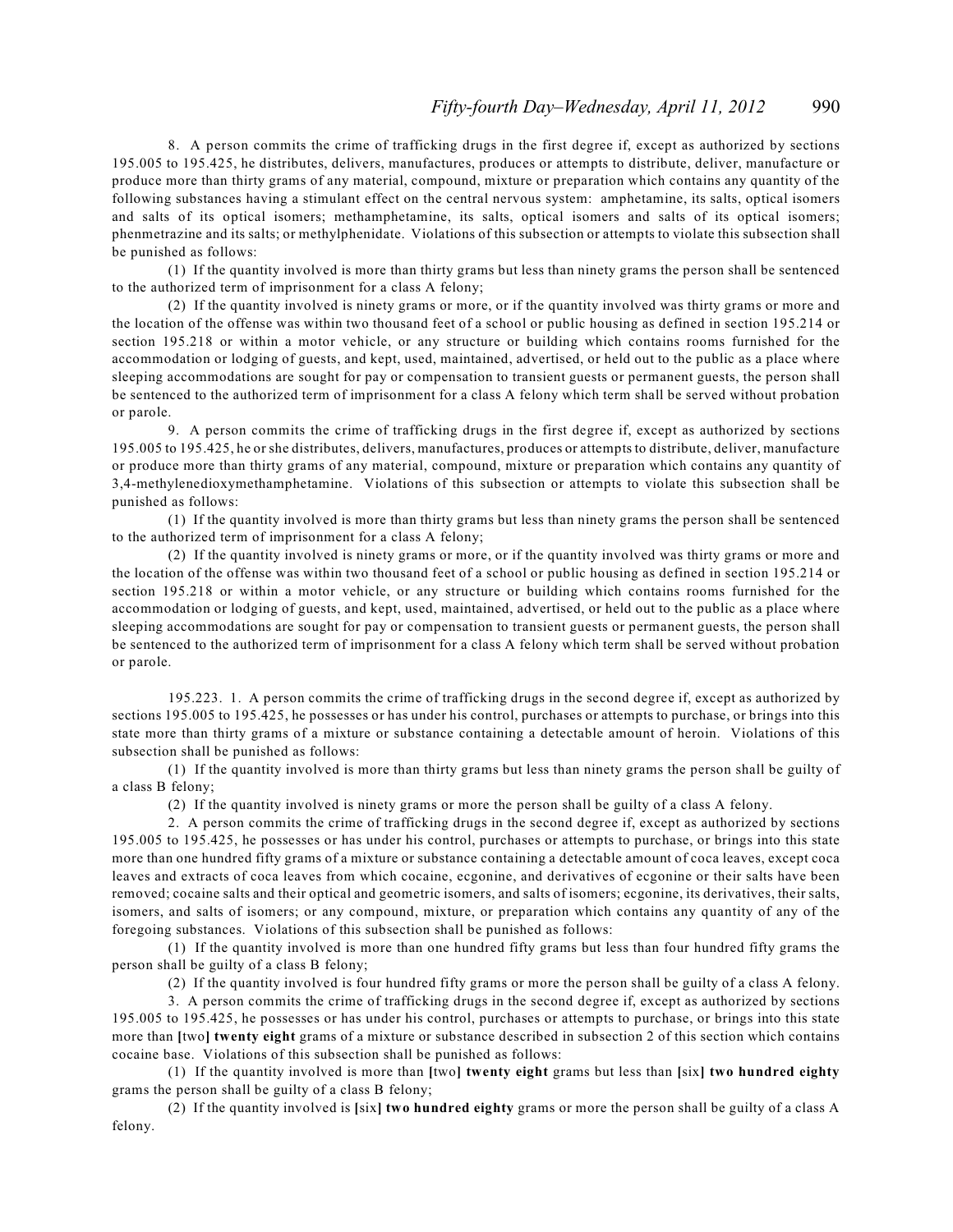8. A person commits the crime of trafficking drugs in the first degree if, except as authorized by sections 195.005 to 195.425, he distributes, delivers, manufactures, produces or attempts to distribute, deliver, manufacture or produce more than thirty grams of any material, compound, mixture or preparation which contains any quantity of the following substances having a stimulant effect on the central nervous system: amphetamine, its salts, optical isomers and salts of its optical isomers; methamphetamine, its salts, optical isomers and salts of its optical isomers; phenmetrazine and its salts; or methylphenidate. Violations of this subsection or attempts to violate this subsection shall be punished as follows:

(1) If the quantity involved is more than thirty grams but less than ninety grams the person shall be sentenced to the authorized term of imprisonment for a class A felony;

(2) If the quantity involved is ninety grams or more, or if the quantity involved was thirty grams or more and the location of the offense was within two thousand feet of a school or public housing as defined in section 195.214 or section 195.218 or within a motor vehicle, or any structure or building which contains rooms furnished for the accommodation or lodging of guests, and kept, used, maintained, advertised, or held out to the public as a place where sleeping accommodations are sought for pay or compensation to transient guests or permanent guests, the person shall be sentenced to the authorized term of imprisonment for a class A felony which term shall be served without probation or parole.

9. A person commits the crime of trafficking drugs in the first degree if, except as authorized by sections 195.005 to 195.425, he or she distributes, delivers, manufactures, produces or attempts to distribute, deliver, manufacture or produce more than thirty grams of any material, compound, mixture or preparation which contains any quantity of 3,4-methylenedioxymethamphetamine. Violations of this subsection or attempts to violate this subsection shall be punished as follows:

(1) If the quantity involved is more than thirty grams but less than ninety grams the person shall be sentenced to the authorized term of imprisonment for a class A felony;

(2) If the quantity involved is ninety grams or more, or if the quantity involved was thirty grams or more and the location of the offense was within two thousand feet of a school or public housing as defined in section 195.214 or section 195.218 or within a motor vehicle, or any structure or building which contains rooms furnished for the accommodation or lodging of guests, and kept, used, maintained, advertised, or held out to the public as a place where sleeping accommodations are sought for pay or compensation to transient guests or permanent guests, the person shall be sentenced to the authorized term of imprisonment for a class A felony which term shall be served without probation or parole.

195.223. 1. A person commits the crime of trafficking drugs in the second degree if, except as authorized by sections 195.005 to 195.425, he possesses or has under his control, purchases or attempts to purchase, or brings into this state more than thirty grams of a mixture or substance containing a detectable amount of heroin. Violations of this subsection shall be punished as follows:

(1) If the quantity involved is more than thirty grams but less than ninety grams the person shall be guilty of a class B felony;

(2) If the quantity involved is ninety grams or more the person shall be guilty of a class A felony.

2. A person commits the crime of trafficking drugs in the second degree if, except as authorized by sections 195.005 to 195.425, he possesses or has under his control, purchases or attempts to purchase, or brings into this state more than one hundred fifty grams of a mixture or substance containing a detectable amount of coca leaves, except coca leaves and extracts of coca leaves from which cocaine, ecgonine, and derivatives of ecgonine or their salts have been removed; cocaine salts and their optical and geometric isomers, and salts of isomers; ecgonine, its derivatives, their salts, isomers, and salts of isomers; or any compound, mixture, or preparation which contains any quantity of any of the foregoing substances. Violations of this subsection shall be punished as follows:

(1) If the quantity involved is more than one hundred fifty grams but less than four hundred fifty grams the person shall be guilty of a class B felony;

(2) If the quantity involved is four hundred fifty grams or more the person shall be guilty of a class A felony.

3. A person commits the crime of trafficking drugs in the second degree if, except as authorized by sections 195.005 to 195.425, he possesses or has under his control, purchases or attempts to purchase, or brings into this state more than **[**two**] twenty eight** grams of a mixture or substance described in subsection 2 of this section which contains cocaine base. Violations of this subsection shall be punished as follows:

(1) If the quantity involved is more than **[**two**] twenty eight** grams but less than **[**six**] two hundred eighty** grams the person shall be guilty of a class B felony;

(2) If the quantity involved is **[**six**] two hundred eighty** grams or more the person shall be guilty of a class A felony.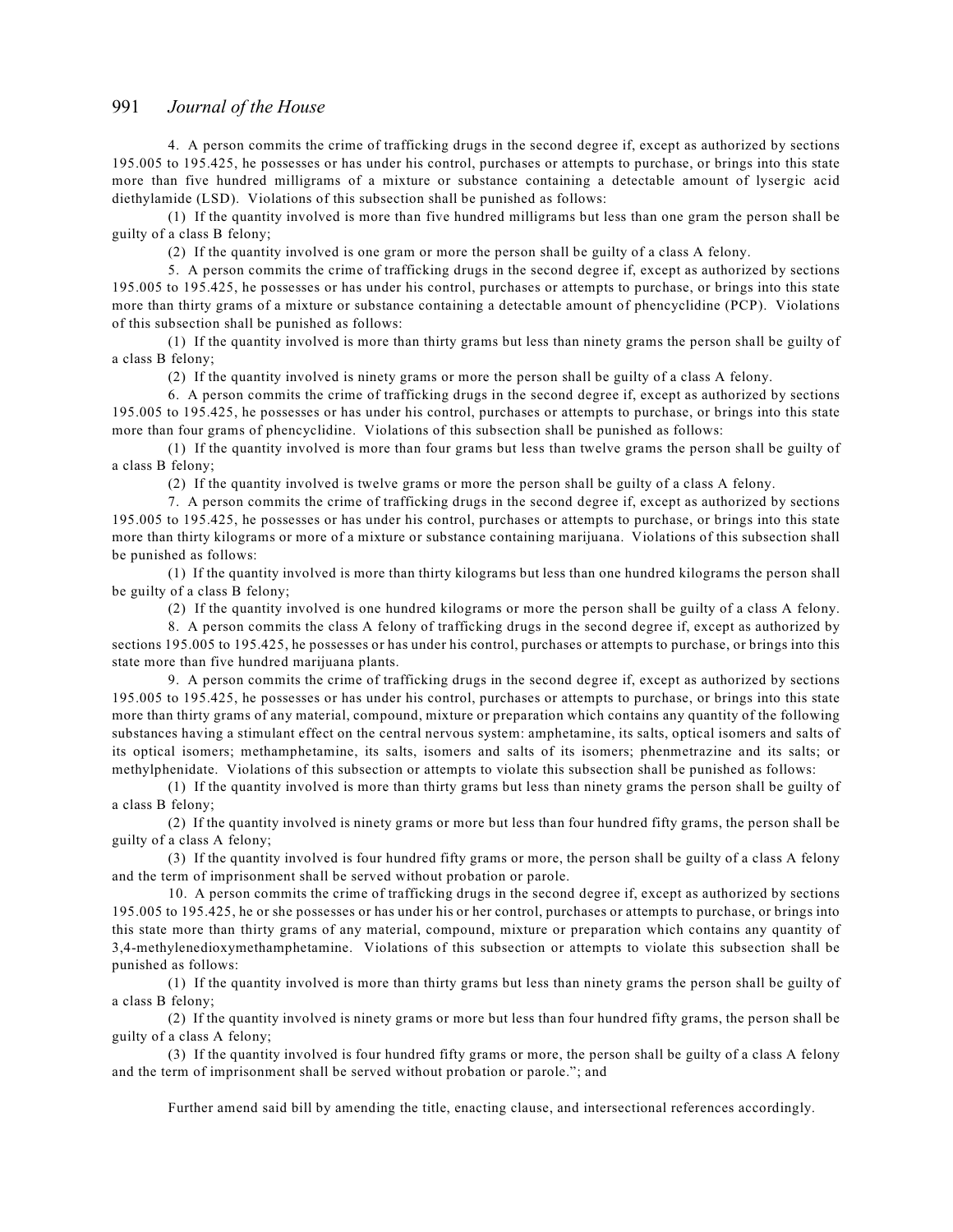4. A person commits the crime of trafficking drugs in the second degree if, except as authorized by sections 195.005 to 195.425, he possesses or has under his control, purchases or attempts to purchase, or brings into this state more than five hundred milligrams of a mixture or substance containing a detectable amount of lysergic acid diethylamide (LSD). Violations of this subsection shall be punished as follows:

(1) If the quantity involved is more than five hundred milligrams but less than one gram the person shall be guilty of a class B felony;

(2) If the quantity involved is one gram or more the person shall be guilty of a class A felony.

5. A person commits the crime of trafficking drugs in the second degree if, except as authorized by sections 195.005 to 195.425, he possesses or has under his control, purchases or attempts to purchase, or brings into this state more than thirty grams of a mixture or substance containing a detectable amount of phencyclidine (PCP). Violations of this subsection shall be punished as follows:

(1) If the quantity involved is more than thirty grams but less than ninety grams the person shall be guilty of a class B felony;

(2) If the quantity involved is ninety grams or more the person shall be guilty of a class A felony.

6. A person commits the crime of trafficking drugs in the second degree if, except as authorized by sections 195.005 to 195.425, he possesses or has under his control, purchases or attempts to purchase, or brings into this state more than four grams of phencyclidine. Violations of this subsection shall be punished as follows:

(1) If the quantity involved is more than four grams but less than twelve grams the person shall be guilty of a class B felony;

(2) If the quantity involved is twelve grams or more the person shall be guilty of a class A felony.

7. A person commits the crime of trafficking drugs in the second degree if, except as authorized by sections 195.005 to 195.425, he possesses or has under his control, purchases or attempts to purchase, or brings into this state more than thirty kilograms or more of a mixture or substance containing marijuana. Violations of this subsection shall be punished as follows:

(1) If the quantity involved is more than thirty kilograms but less than one hundred kilograms the person shall be guilty of a class B felony;

(2) If the quantity involved is one hundred kilograms or more the person shall be guilty of a class A felony.

8. A person commits the class A felony of trafficking drugs in the second degree if, except as authorized by sections 195.005 to 195.425, he possesses or has under his control, purchases or attempts to purchase, or brings into this state more than five hundred marijuana plants.

9. A person commits the crime of trafficking drugs in the second degree if, except as authorized by sections 195.005 to 195.425, he possesses or has under his control, purchases or attempts to purchase, or brings into this state more than thirty grams of any material, compound, mixture or preparation which contains any quantity of the following substances having a stimulant effect on the central nervous system: amphetamine, its salts, optical isomers and salts of its optical isomers; methamphetamine, its salts, isomers and salts of its isomers; phenmetrazine and its salts; or methylphenidate. Violations of this subsection or attempts to violate this subsection shall be punished as follows:

(1) If the quantity involved is more than thirty grams but less than ninety grams the person shall be guilty of a class B felony;

(2) If the quantity involved is ninety grams or more but less than four hundred fifty grams, the person shall be guilty of a class A felony;

(3) If the quantity involved is four hundred fifty grams or more, the person shall be guilty of a class A felony and the term of imprisonment shall be served without probation or parole.

10. A person commits the crime of trafficking drugs in the second degree if, except as authorized by sections 195.005 to 195.425, he or she possesses or has under his or her control, purchases or attempts to purchase, or brings into this state more than thirty grams of any material, compound, mixture or preparation which contains any quantity of 3,4-methylenedioxymethamphetamine. Violations of this subsection or attempts to violate this subsection shall be punished as follows:

(1) If the quantity involved is more than thirty grams but less than ninety grams the person shall be guilty of a class B felony;

(2) If the quantity involved is ninety grams or more but less than four hundred fifty grams, the person shall be guilty of a class A felony;

(3) If the quantity involved is four hundred fifty grams or more, the person shall be guilty of a class A felony and the term of imprisonment shall be served without probation or parole."; and

Further amend said bill by amending the title, enacting clause, and intersectional references accordingly.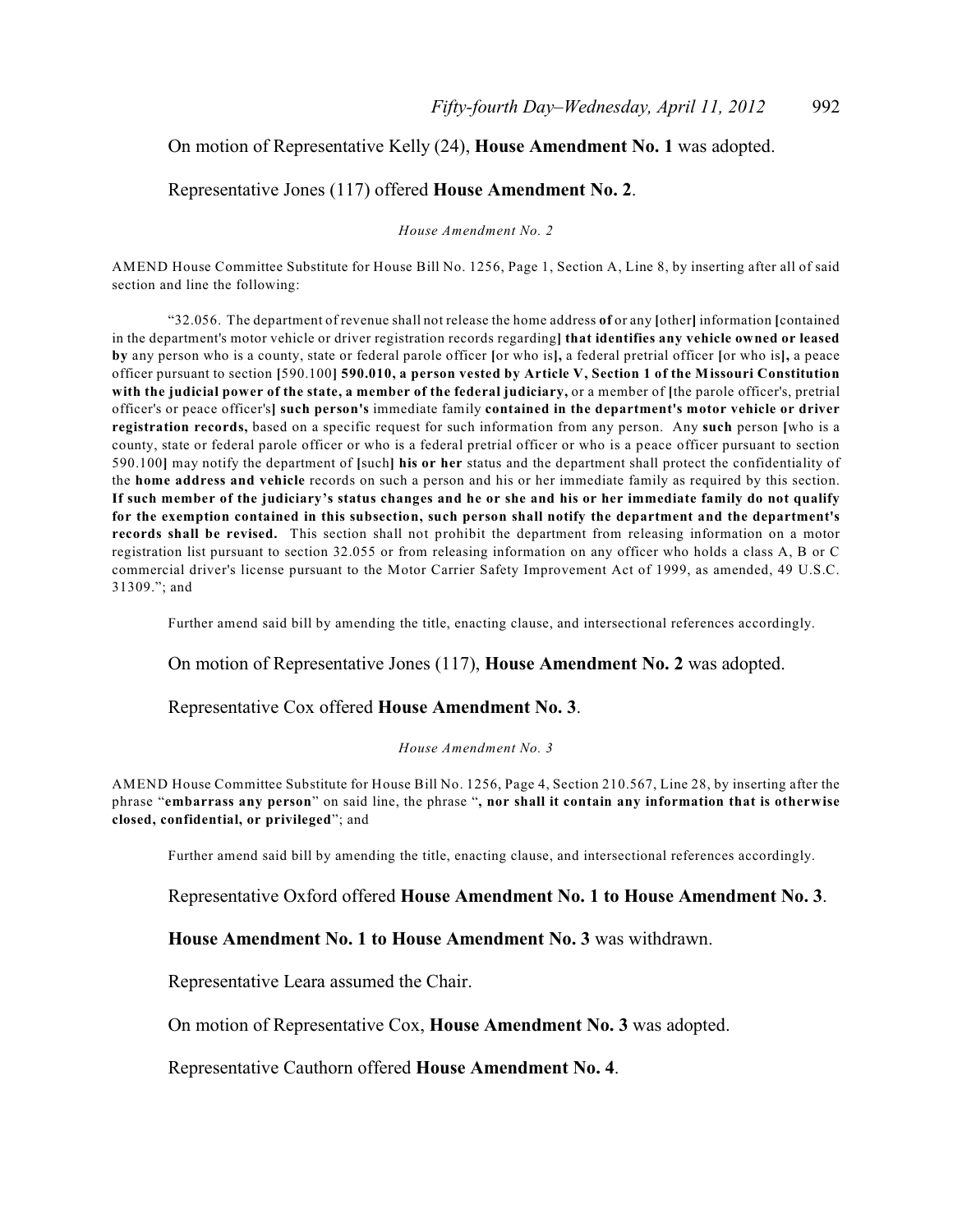### On motion of Representative Kelly (24), **House Amendment No. 1** was adopted.

#### Representative Jones (117) offered **House Amendment No. 2**.

*House Amendment No. 2*

AMEND House Committee Substitute for House Bill No. 1256, Page 1, Section A, Line 8, by inserting after all of said section and line the following:

"32.056. The department of revenue shall not release the home address **of** or any **[**other**]** information **[**contained in the department's motor vehicle or driver registration records regarding**] that identifies any vehicle owned or leased by** any person who is a county, state or federal parole officer **[**or who is**],** a federal pretrial officer **[**or who is**],** a peace officer pursuant to section **[**590.100**] 590.010, a person vested by Article V, Section 1 of the Missouri Constitution with the judicial power of the state, a member of the federal judiciary,** or a member of **[**the parole officer's, pretrial officer's or peace officer's**] such person's** immediate family **contained in the department's motor vehicle or driver registration records,** based on a specific request for such information from any person. Any **such** person **[**who is a county, state or federal parole officer or who is a federal pretrial officer or who is a peace officer pursuant to section 590.100**]** may notify the department of **[**such**] his or her** status and the department shall protect the confidentiality of the **home address and vehicle** records on such a person and his or her immediate family as required by this section. **If such member of the judiciary's status changes and he or she and his or her immediate family do not qualify for the exemption contained in this subsection, such person shall notify the department and the department's records shall be revised.** This section shall not prohibit the department from releasing information on a motor registration list pursuant to section 32.055 or from releasing information on any officer who holds a class A, B or C commercial driver's license pursuant to the Motor Carrier Safety Improvement Act of 1999, as amended, 49 U.S.C. 31309."; and

Further amend said bill by amending the title, enacting clause, and intersectional references accordingly.

On motion of Representative Jones (117), **House Amendment No. 2** was adopted.

Representative Cox offered **House Amendment No. 3**.

#### *House Amendment No. 3*

AMEND House Committee Substitute for House Bill No. 1256, Page 4, Section 210.567, Line 28, by inserting after the phrase "**embarrass any person**" on said line, the phrase "**, nor shall it contain any information that is otherwise closed, confidential, or privileged**"; and

Further amend said bill by amending the title, enacting clause, and intersectional references accordingly.

Representative Oxford offered **House Amendment No. 1 to House Amendment No. 3**.

#### **House Amendment No. 1 to House Amendment No. 3** was withdrawn.

Representative Leara assumed the Chair.

On motion of Representative Cox, **House Amendment No. 3** was adopted.

Representative Cauthorn offered **House Amendment No. 4**.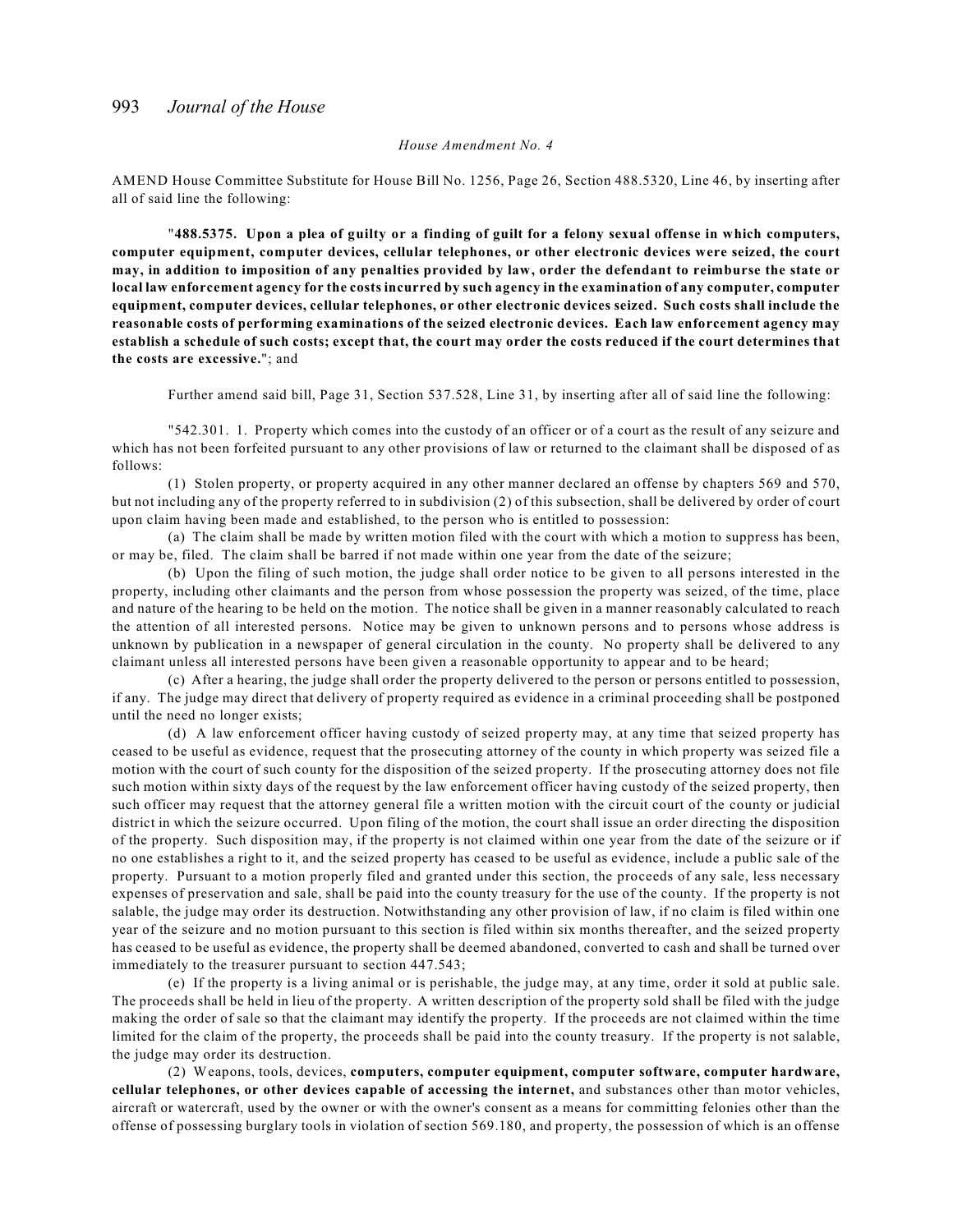#### *House Amendment No. 4*

AMEND House Committee Substitute for House Bill No. 1256, Page 26, Section 488.5320, Line 46, by inserting after all of said line the following:

"**488.5375. Upon a plea of guilty or a finding of guilt for a felony sexual offense in which computers, computer equipment, computer devices, cellular telephones, or other electronic devices were seized, the court may, in addition to imposition of any penalties provided by law, order the defendant to reimburse the state or local law enforcement agency for the costs incurred by such agency in the examination of any computer, computer equipment, computer devices, cellular telephones, or other electronic devices seized. Such costs shall include the reasonable costs of performing examinations of the seized electronic devices. Each law enforcement agency may establish a schedule of such costs; except that, the court may order the costs reduced if the court determines that the costs are excessive.**"; and

Further amend said bill, Page 31, Section 537.528, Line 31, by inserting after all of said line the following:

"542.301. 1. Property which comes into the custody of an officer or of a court as the result of any seizure and which has not been forfeited pursuant to any other provisions of law or returned to the claimant shall be disposed of as follows:

(1) Stolen property, or property acquired in any other manner declared an offense by chapters 569 and 570, but not including any of the property referred to in subdivision (2) of this subsection, shall be delivered by order of court upon claim having been made and established, to the person who is entitled to possession:

(a) The claim shall be made by written motion filed with the court with which a motion to suppress has been, or may be, filed. The claim shall be barred if not made within one year from the date of the seizure;

(b) Upon the filing of such motion, the judge shall order notice to be given to all persons interested in the property, including other claimants and the person from whose possession the property was seized, of the time, place and nature of the hearing to be held on the motion. The notice shall be given in a manner reasonably calculated to reach the attention of all interested persons. Notice may be given to unknown persons and to persons whose address is unknown by publication in a newspaper of general circulation in the county. No property shall be delivered to any claimant unless all interested persons have been given a reasonable opportunity to appear and to be heard;

(c) After a hearing, the judge shall order the property delivered to the person or persons entitled to possession, if any. The judge may direct that delivery of property required as evidence in a criminal proceeding shall be postponed until the need no longer exists;

(d) A law enforcement officer having custody of seized property may, at any time that seized property has ceased to be useful as evidence, request that the prosecuting attorney of the county in which property was seized file a motion with the court of such county for the disposition of the seized property. If the prosecuting attorney does not file such motion within sixty days of the request by the law enforcement officer having custody of the seized property, then such officer may request that the attorney general file a written motion with the circuit court of the county or judicial district in which the seizure occurred. Upon filing of the motion, the court shall issue an order directing the disposition of the property. Such disposition may, if the property is not claimed within one year from the date of the seizure or if no one establishes a right to it, and the seized property has ceased to be useful as evidence, include a public sale of the property. Pursuant to a motion properly filed and granted under this section, the proceeds of any sale, less necessary expenses of preservation and sale, shall be paid into the county treasury for the use of the county. If the property is not salable, the judge may order its destruction. Notwithstanding any other provision of law, if no claim is filed within one year of the seizure and no motion pursuant to this section is filed within six months thereafter, and the seized property has ceased to be useful as evidence, the property shall be deemed abandoned, converted to cash and shall be turned over immediately to the treasurer pursuant to section 447.543;

(e) If the property is a living animal or is perishable, the judge may, at any time, order it sold at public sale. The proceeds shall be held in lieu of the property. A written description of the property sold shall be filed with the judge making the order of sale so that the claimant may identify the property. If the proceeds are not claimed within the time limited for the claim of the property, the proceeds shall be paid into the county treasury. If the property is not salable, the judge may order its destruction.

(2) Weapons, tools, devices, **computers, computer equipment, computer software, computer hardware, cellular telephones, or other devices capable of accessing the internet,** and substances other than motor vehicles, aircraft or watercraft, used by the owner or with the owner's consent as a means for committing felonies other than the offense of possessing burglary tools in violation of section 569.180, and property, the possession of which is an offense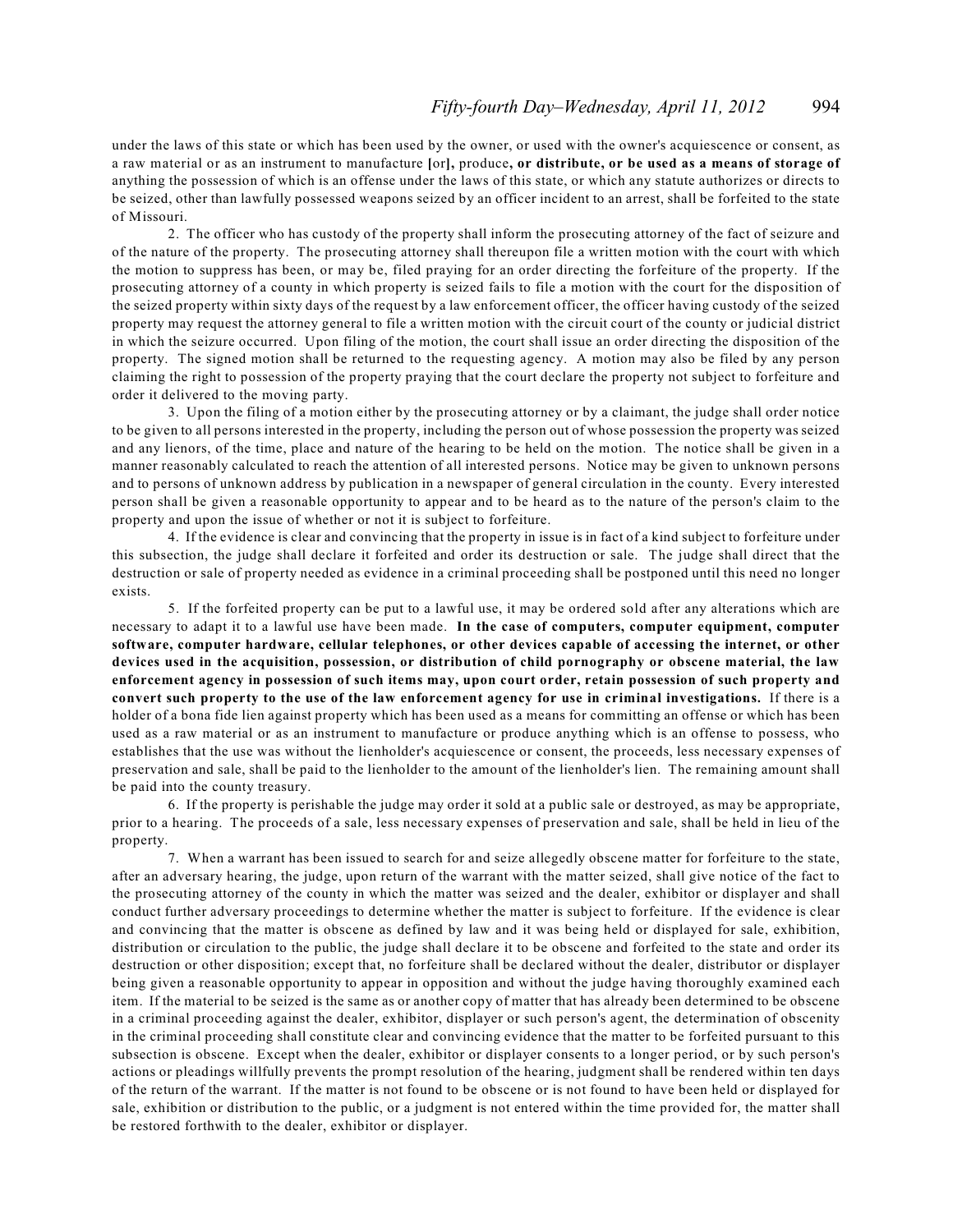under the laws of this state or which has been used by the owner, or used with the owner's acquiescence or consent, as a raw material or as an instrument to manufacture **[**or**],** produce**, or distribute, or be used as a means of storage of** anything the possession of which is an offense under the laws of this state, or which any statute authorizes or directs to be seized, other than lawfully possessed weapons seized by an officer incident to an arrest, shall be forfeited to the state of Missouri.

2. The officer who has custody of the property shall inform the prosecuting attorney of the fact of seizure and of the nature of the property. The prosecuting attorney shall thereupon file a written motion with the court with which the motion to suppress has been, or may be, filed praying for an order directing the forfeiture of the property. If the prosecuting attorney of a county in which property is seized fails to file a motion with the court for the disposition of the seized property within sixty days of the request by a law enforcement officer, the officer having custody of the seized property may request the attorney general to file a written motion with the circuit court of the county or judicial district in which the seizure occurred. Upon filing of the motion, the court shall issue an order directing the disposition of the property. The signed motion shall be returned to the requesting agency. A motion may also be filed by any person claiming the right to possession of the property praying that the court declare the property not subject to forfeiture and order it delivered to the moving party.

3. Upon the filing of a motion either by the prosecuting attorney or by a claimant, the judge shall order notice to be given to all persons interested in the property, including the person out of whose possession the property was seized and any lienors, of the time, place and nature of the hearing to be held on the motion. The notice shall be given in a manner reasonably calculated to reach the attention of all interested persons. Notice may be given to unknown persons and to persons of unknown address by publication in a newspaper of general circulation in the county. Every interested person shall be given a reasonable opportunity to appear and to be heard as to the nature of the person's claim to the property and upon the issue of whether or not it is subject to forfeiture.

4. If the evidence is clear and convincing that the property in issue is in fact of a kind subject to forfeiture under this subsection, the judge shall declare it forfeited and order its destruction or sale. The judge shall direct that the destruction or sale of property needed as evidence in a criminal proceeding shall be postponed until this need no longer exists.

5. If the forfeited property can be put to a lawful use, it may be ordered sold after any alterations which are necessary to adapt it to a lawful use have been made. **In the case of computers, computer equipment, computer software, computer hardware, cellular telephones, or other devices capable of accessing the internet, or other devices used in the acquisition, possession, or distribution of child pornography or obscene material, the law enforcement agency in possession of such items may, upon court order, retain possession of such property and convert such property to the use of the law enforcement agency for use in criminal investigations.** If there is a holder of a bona fide lien against property which has been used as a means for committing an offense or which has been used as a raw material or as an instrument to manufacture or produce anything which is an offense to possess, who establishes that the use was without the lienholder's acquiescence or consent, the proceeds, less necessary expenses of preservation and sale, shall be paid to the lienholder to the amount of the lienholder's lien. The remaining amount shall be paid into the county treasury.

6. If the property is perishable the judge may order it sold at a public sale or destroyed, as may be appropriate, prior to a hearing. The proceeds of a sale, less necessary expenses of preservation and sale, shall be held in lieu of the property.

7. When a warrant has been issued to search for and seize allegedly obscene matter for forfeiture to the state, after an adversary hearing, the judge, upon return of the warrant with the matter seized, shall give notice of the fact to the prosecuting attorney of the county in which the matter was seized and the dealer, exhibitor or displayer and shall conduct further adversary proceedings to determine whether the matter is subject to forfeiture. If the evidence is clear and convincing that the matter is obscene as defined by law and it was being held or displayed for sale, exhibition, distribution or circulation to the public, the judge shall declare it to be obscene and forfeited to the state and order its destruction or other disposition; except that, no forfeiture shall be declared without the dealer, distributor or displayer being given a reasonable opportunity to appear in opposition and without the judge having thoroughly examined each item. If the material to be seized is the same as or another copy of matter that has already been determined to be obscene in a criminal proceeding against the dealer, exhibitor, displayer or such person's agent, the determination of obscenity in the criminal proceeding shall constitute clear and convincing evidence that the matter to be forfeited pursuant to this subsection is obscene. Except when the dealer, exhibitor or displayer consents to a longer period, or by such person's actions or pleadings willfully prevents the prompt resolution of the hearing, judgment shall be rendered within ten days of the return of the warrant. If the matter is not found to be obscene or is not found to have been held or displayed for sale, exhibition or distribution to the public, or a judgment is not entered within the time provided for, the matter shall be restored forthwith to the dealer, exhibitor or displayer.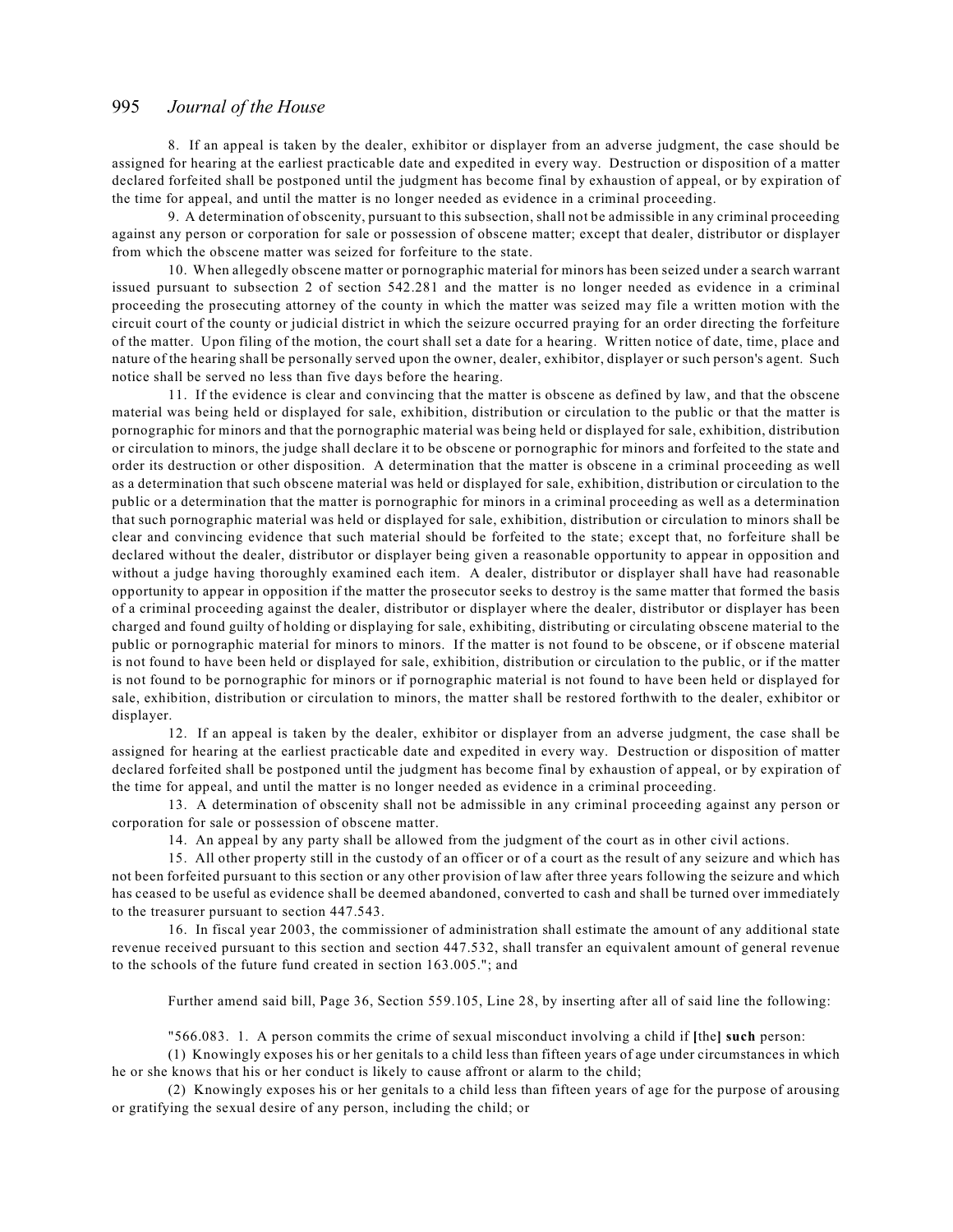8. If an appeal is taken by the dealer, exhibitor or displayer from an adverse judgment, the case should be assigned for hearing at the earliest practicable date and expedited in every way. Destruction or disposition of a matter declared forfeited shall be postponed until the judgment has become final by exhaustion of appeal, or by expiration of the time for appeal, and until the matter is no longer needed as evidence in a criminal proceeding.

9. A determination of obscenity, pursuant to this subsection, shall not be admissible in any criminal proceeding against any person or corporation for sale or possession of obscene matter; except that dealer, distributor or displayer from which the obscene matter was seized for forfeiture to the state.

10. When allegedly obscene matter or pornographic material for minors has been seized under a search warrant issued pursuant to subsection 2 of section 542.281 and the matter is no longer needed as evidence in a criminal proceeding the prosecuting attorney of the county in which the matter was seized may file a written motion with the circuit court of the county or judicial district in which the seizure occurred praying for an order directing the forfeiture of the matter. Upon filing of the motion, the court shall set a date for a hearing. Written notice of date, time, place and nature of the hearing shall be personally served upon the owner, dealer, exhibitor, displayer or such person's agent. Such notice shall be served no less than five days before the hearing.

11. If the evidence is clear and convincing that the matter is obscene as defined by law, and that the obscene material was being held or displayed for sale, exhibition, distribution or circulation to the public or that the matter is pornographic for minors and that the pornographic material was being held or displayed for sale, exhibition, distribution or circulation to minors, the judge shall declare it to be obscene or pornographic for minors and forfeited to the state and order its destruction or other disposition. A determination that the matter is obscene in a criminal proceeding as well as a determination that such obscene material was held or displayed for sale, exhibition, distribution or circulation to the public or a determination that the matter is pornographic for minors in a criminal proceeding as well as a determination that such pornographic material was held or displayed for sale, exhibition, distribution or circulation to minors shall be clear and convincing evidence that such material should be forfeited to the state; except that, no forfeiture shall be declared without the dealer, distributor or displayer being given a reasonable opportunity to appear in opposition and without a judge having thoroughly examined each item. A dealer, distributor or displayer shall have had reasonable opportunity to appear in opposition if the matter the prosecutor seeks to destroy is the same matter that formed the basis of a criminal proceeding against the dealer, distributor or displayer where the dealer, distributor or displayer has been charged and found guilty of holding or displaying for sale, exhibiting, distributing or circulating obscene material to the public or pornographic material for minors to minors. If the matter is not found to be obscene, or if obscene material is not found to have been held or displayed for sale, exhibition, distribution or circulation to the public, or if the matter is not found to be pornographic for minors or if pornographic material is not found to have been held or displayed for sale, exhibition, distribution or circulation to minors, the matter shall be restored forthwith to the dealer, exhibitor or displayer.

12. If an appeal is taken by the dealer, exhibitor or displayer from an adverse judgment, the case shall be assigned for hearing at the earliest practicable date and expedited in every way. Destruction or disposition of matter declared forfeited shall be postponed until the judgment has become final by exhaustion of appeal, or by expiration of the time for appeal, and until the matter is no longer needed as evidence in a criminal proceeding.

13. A determination of obscenity shall not be admissible in any criminal proceeding against any person or corporation for sale or possession of obscene matter.

14. An appeal by any party shall be allowed from the judgment of the court as in other civil actions.

15. All other property still in the custody of an officer or of a court as the result of any seizure and which has not been forfeited pursuant to this section or any other provision of law after three years following the seizure and which has ceased to be useful as evidence shall be deemed abandoned, converted to cash and shall be turned over immediately to the treasurer pursuant to section 447.543.

16. In fiscal year 2003, the commissioner of administration shall estimate the amount of any additional state revenue received pursuant to this section and section 447.532, shall transfer an equivalent amount of general revenue to the schools of the future fund created in section 163.005."; and

Further amend said bill, Page 36, Section 559.105, Line 28, by inserting after all of said line the following:

"566.083. 1. A person commits the crime of sexual misconduct involving a child if **[**the**] such** person:

(1) Knowingly exposes his or her genitals to a child less than fifteen years of age under circumstances in which he or she knows that his or her conduct is likely to cause affront or alarm to the child;

(2) Knowingly exposes his or her genitals to a child less than fifteen years of age for the purpose of arousing or gratifying the sexual desire of any person, including the child; or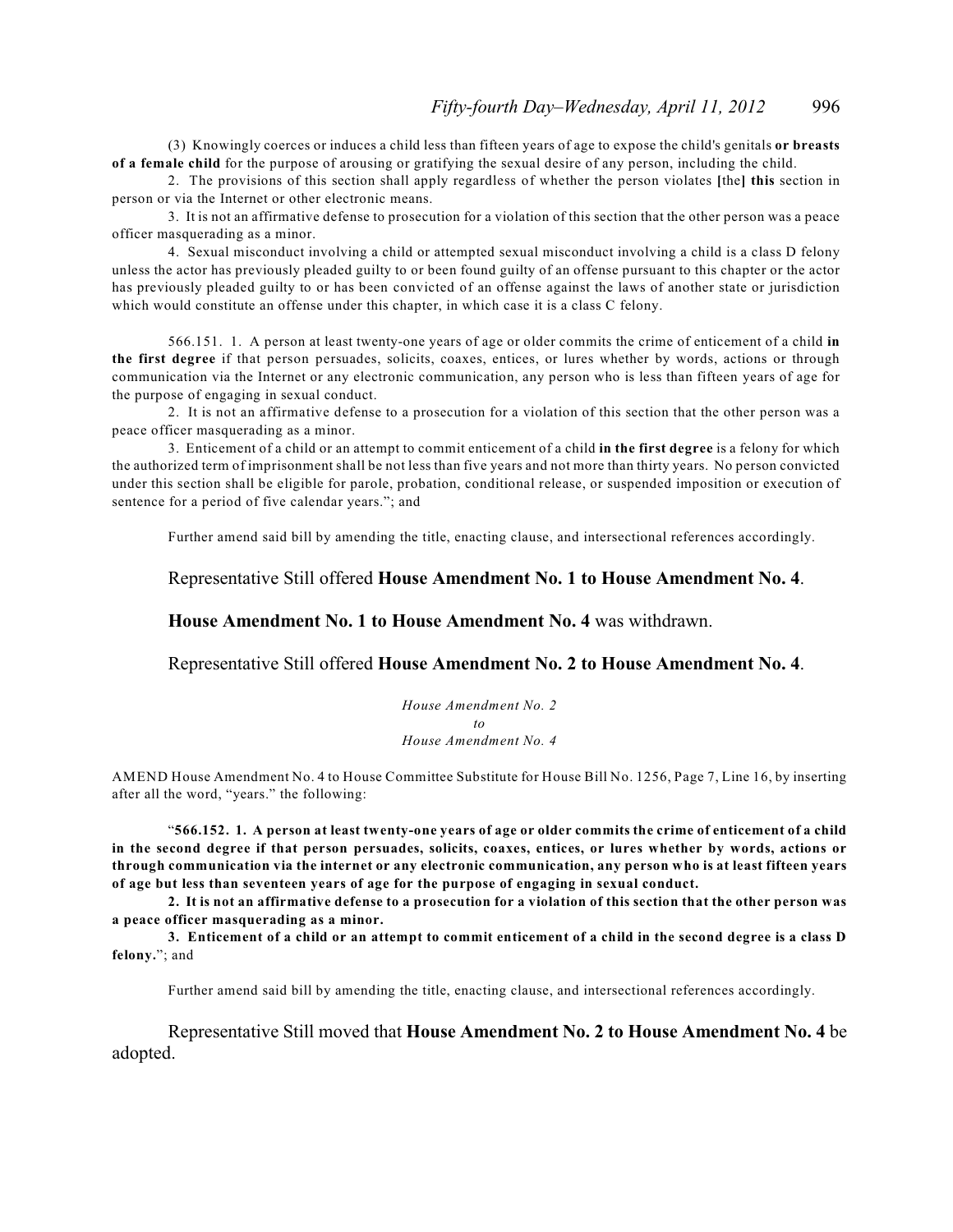(3) Knowingly coerces or induces a child less than fifteen years of age to expose the child's genitals **or breasts of a female child** for the purpose of arousing or gratifying the sexual desire of any person, including the child.

2. The provisions of this section shall apply regardless of whether the person violates **[**the**] this** section in person or via the Internet or other electronic means.

3. It is not an affirmative defense to prosecution for a violation of this section that the other person was a peace officer masquerading as a minor.

4. Sexual misconduct involving a child or attempted sexual misconduct involving a child is a class D felony unless the actor has previously pleaded guilty to or been found guilty of an offense pursuant to this chapter or the actor has previously pleaded guilty to or has been convicted of an offense against the laws of another state or jurisdiction which would constitute an offense under this chapter, in which case it is a class C felony.

566.151. 1. A person at least twenty-one years of age or older commits the crime of enticement of a child **in the first degree** if that person persuades, solicits, coaxes, entices, or lures whether by words, actions or through communication via the Internet or any electronic communication, any person who is less than fifteen years of age for the purpose of engaging in sexual conduct.

2. It is not an affirmative defense to a prosecution for a violation of this section that the other person was a peace officer masquerading as a minor.

3. Enticement of a child or an attempt to commit enticement of a child **in the first degree** is a felony for which the authorized term of imprisonment shall be not less than five years and not more than thirty years. No person convicted under this section shall be eligible for parole, probation, conditional release, or suspended imposition or execution of sentence for a period of five calendar years."; and

Further amend said bill by amending the title, enacting clause, and intersectional references accordingly.

Representative Still offered **House Amendment No. 1 to House Amendment No. 4**.

**House Amendment No. 1 to House Amendment No. 4** was withdrawn.

Representative Still offered **House Amendment No. 2 to House Amendment No. 4**.

*House Amendment No. 2 to House Amendment No. 4*

AMEND House Amendment No. 4 to House Committee Substitute for House Bill No. 1256, Page 7, Line 16, by inserting after all the word, "years." the following:

"**566.152. 1. A person at least twenty-one years of age or older commits the crime of enticement of a child in the second degree if that person persuades, solicits, coaxes, entices, or lures whether by words, actions or through communication via the internet or any electronic communication, any person who is at least fifteen years of age but less than seventeen years of age for the purpose of engaging in sexual conduct.**

**2. It is not an affirmative defense to a prosecution for a violation of this section that the other person was a peace officer masquerading as a minor.**

**3. Enticement of a child or an attempt to commit enticement of a child in the second degree is a class D felony.**"; and

Further amend said bill by amending the title, enacting clause, and intersectional references accordingly.

Representative Still moved that **House Amendment No. 2 to House Amendment No. 4** be adopted.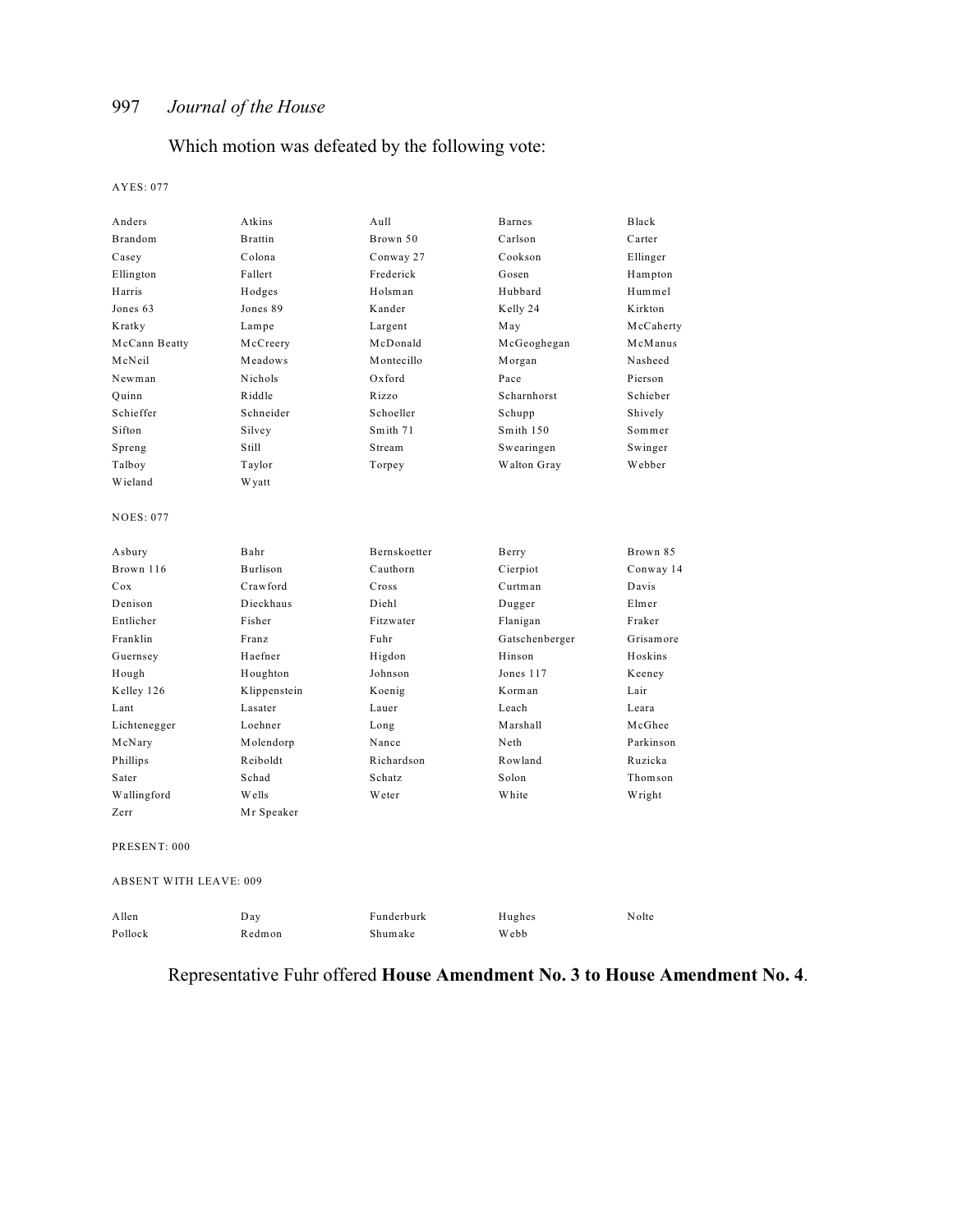# Which motion was defeated by the following vote:

#### AYES: 077

| Anders                        | Atkins         | Aull          | <b>Barnes</b>  | Black     |
|-------------------------------|----------------|---------------|----------------|-----------|
| Brandom                       | <b>Brattin</b> | Brown 50      | Carlson        | Carter    |
| Casey                         | Colona         | Conway 27     | Cookson        | Ellinger  |
| Ellington                     | Fallert        | Frederick     | Gosen          | Hampton   |
| Harris                        | Hodges         | Holsman       | Hubbard        | Hummel    |
| Jones 63                      | Jones 89       | Kander        | Kelly 24       | Kirkton   |
| Kratky                        | Lampe          | Largent       | May            | McCaherty |
| McCann Beatty                 | McCreery       | McDonald      | McGeoghegan    | McManus   |
| McNeil                        | Meadows        | Montecillo    | Morgan         | Nasheed   |
| Newman                        | Nichols        | $Ox$ ford     | Pace           | Pierson   |
| Ouinn                         | Riddle         | Rizzo         | Scharnhorst    | Schieber  |
| Schieffer                     | Schneider      | Schoeller     | Schupp         | Shively   |
| Sifton                        | Silvey         | Smith 71      | Smith 150      | Sommer    |
| Spreng                        | Still          | Stream        | Swearingen     | Swinger   |
| Talboy                        | Taylor         | Torpey        | Walton Gray    | Webber    |
| Wieland                       | <b>Wyatt</b>   |               |                |           |
| <b>NOES: 077</b>              |                |               |                |           |
| Asbury                        | Bahr           | Bernskoetter  | Berry          | Brown 85  |
| Brown 116                     | Burlison       | Cauthorn      | Cierpiot       | Conway 14 |
| Cox                           | Crawford       | Cross         | Curtman        | Davis     |
| Denison                       | Dieckhaus      | Diehl         | Dugger         | Elmer     |
| Entlicher                     | Fisher         | Fitzwater     | Flanigan       | Fraker    |
| Franklin                      | Franz          | Fuhr          | Gatschenberger | Grisamore |
| Guernsey                      | Haefner        | Higdon        | Hinson         | Hoskins   |
| Hough                         | Houghton       | Johnson       | Jones 117      | Keeney    |
| Kelley 126                    | Klippenstein   | Koenig        | Korman         | Lair      |
| Lant                          | Lasater        | Lauer         | Leach          | Leara     |
| Lichtenegger                  | Loehner        | Long          | Marshall       | McGhee    |
| McNary                        | Molendorp      | Nance         | Neth           | Parkinson |
| Phillips                      | Reiboldt       | Richardson    | Rowland        | Ruzicka   |
| Sater                         | Schad          | Schatz        | Solon          | Thomson   |
| Wallingford                   | Wells          | <b>W</b> eter | White          | Wright    |
| Zerr                          | Mr Speaker     |               |                |           |
| PRESENT: 000                  |                |               |                |           |
| <b>ABSENT WITH LEAVE: 009</b> |                |               |                |           |
| Allen                         | Day            | Funderburk    | Hughes         | Nolte     |
| Pollock                       | Redmon         | Shumake       | Webb           |           |

# Representative Fuhr offered **House Amendment No. 3 to House Amendment No. 4**.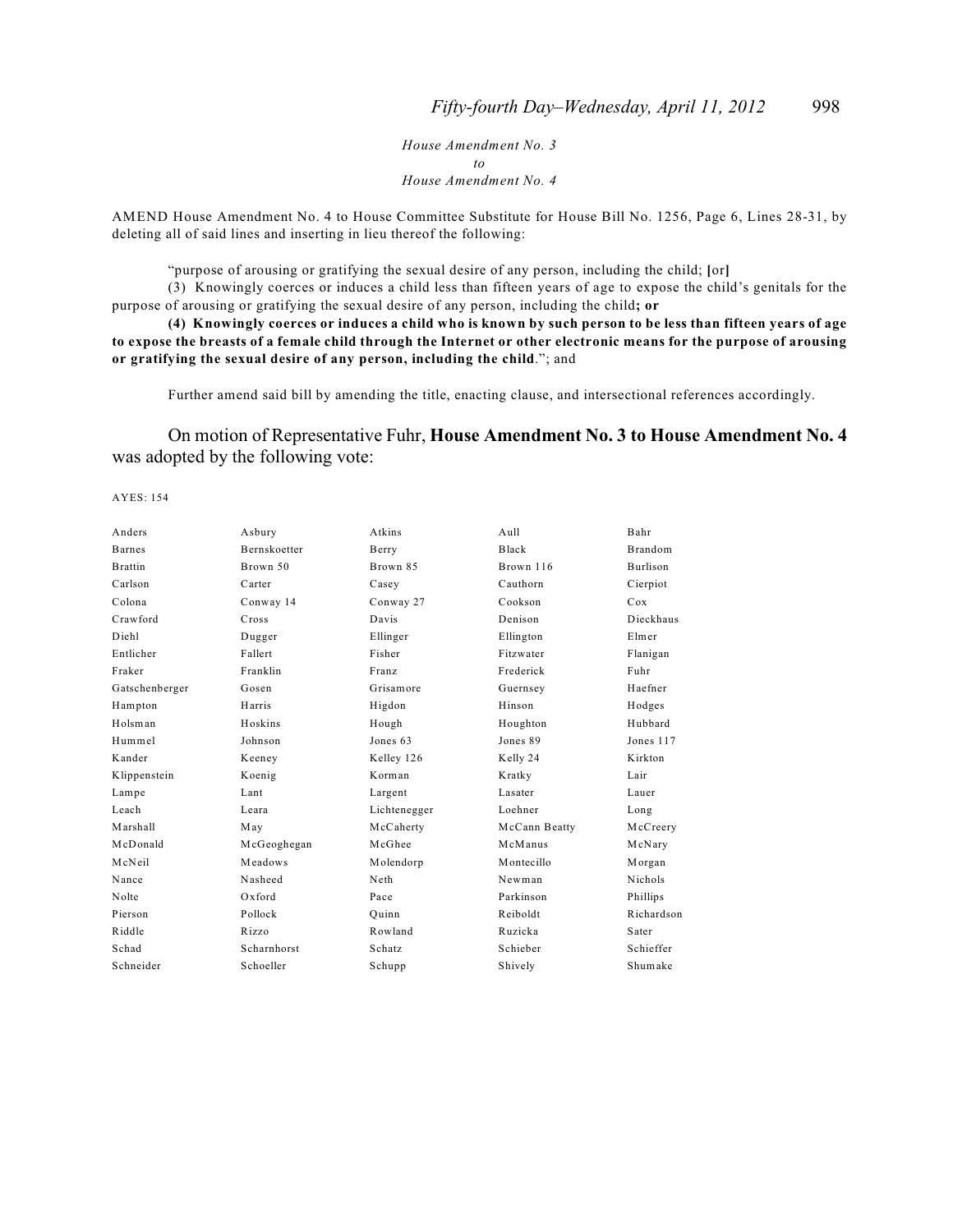*House Amendment No. 3 to House Amendment No. 4*

AMEND House Amendment No. 4 to House Committee Substitute for House Bill No. 1256, Page 6, Lines 28-31, by deleting all of said lines and inserting in lieu thereof the following:

"purpose of arousing or gratifying the sexual desire of any person, including the child; **[**or**]**

(3) Knowingly coerces or induces a child less than fifteen years of age to expose the child's genitals for the purpose of arousing or gratifying the sexual desire of any person, including the child**; or**

**(4) Knowingly coerces or induces a child who is known by such person to be less than fifteen years of age to expose the breasts of a female child through the Internet or other electronic means for the purpose of arousing or gratifying the sexual desire of any person, including the child**."; and

Further amend said bill by amending the title, enacting clause, and intersectional references accordingly.

On motion of Representative Fuhr, **House Amendment No. 3 to House Amendment No. 4** was adopted by the following vote:

AYES: 154

| Asbury              | Atkins       | Aull          | Bahr            |
|---------------------|--------------|---------------|-----------------|
| <b>Bernskoetter</b> | Berry        | Black         | <b>Brandom</b>  |
| Brown 50            | Brown 85     | Brown 116     | <b>Burlison</b> |
| Carter              | Casey        | Cauthorn      | Cierpiot        |
| Conway 14           | Conway 27    | Cookson       | Cox             |
| Cross               | Davis        | Denison       | Dieckhaus       |
| Dugger              | Ellinger     | Ellington     | Elmer           |
| Fallert             | Fisher       | Fitzwater     | Flanigan        |
| Franklin            | Franz        | Frederick     | Fuhr            |
| Gosen               | Grisamore    | Guernsey      | Haefner         |
| Harris              | Higdon       | Hinson        | Hodges          |
| Hoskins             | Hough        | Houghton      | Hubbard         |
| Johnson             | Jones 63     | Jones 89      | Jones 117       |
| Keeney              | Kelley 126   | Kelly 24      | Kirkton         |
| Koenig              | Korman       | Kratky        | Lair            |
| Lant                | Largent      | Lasater       | Lauer           |
| Leara               | Lichtenegger | Loehner       | Long            |
| May                 | McCaherty    | McCann Beatty | McCreery        |
| McGeoghegan         | McGhee       | McManus       | McNary          |
| Meadows             | Molendorp    | Montecillo    | Morgan          |
| Nasheed             | Neth         | Newman        | <b>Nichols</b>  |
| $Ox$ ford           | Pace         | Parkinson     | Phillips        |
| Pollock             | Ouinn        | Reiboldt      | Richardson      |
| Rizzo               | Rowland      | Ruzicka       | Sater           |
| Scharnhorst         | Schatz       | Schieber      | Schieffer       |
| Schoeller           | Schupp       | Shively       | Shumake         |
|                     |              |               |                 |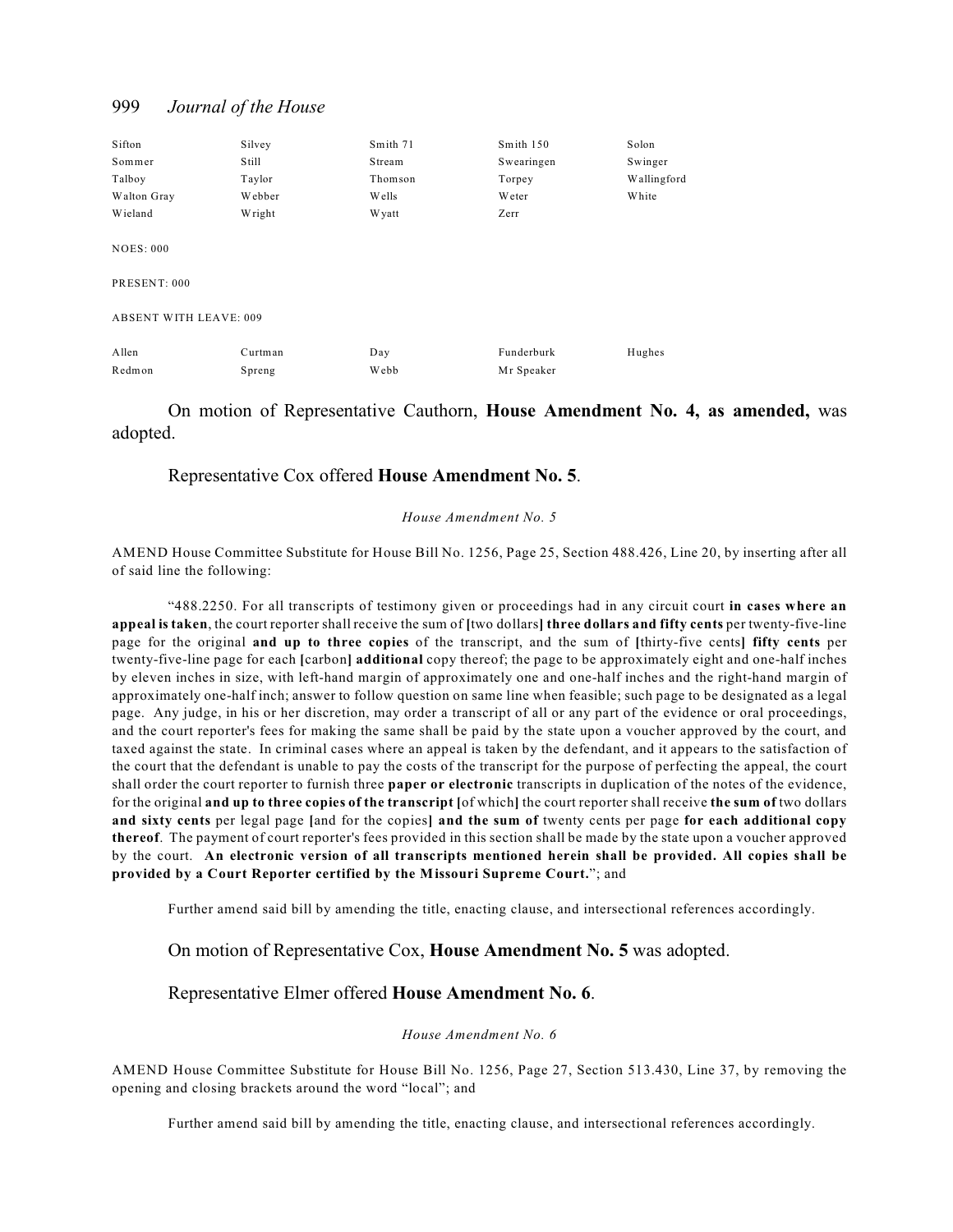| Sifton                        | Silvey  | Smith 71 | Smith 150  | Solon       |
|-------------------------------|---------|----------|------------|-------------|
| Sommer                        | Still   | Stream   | Swearingen | Swinger     |
| Talboy                        | Taylor  | Thomson  | Torpey     | Wallingford |
| Walton Gray                   | Webber  | W ells   | Weter      | White       |
| Wieland                       | Wright  | W yatt   | Zerr       |             |
| <b>NOES: 000</b>              |         |          |            |             |
| PRESENT: 000                  |         |          |            |             |
| <b>ABSENT WITH LEAVE: 009</b> |         |          |            |             |
| Allen                         | Curtman | Day      | Funderburk | Hughes      |
| Redmon                        | Spreng  | Webb     | Mr Speaker |             |

On motion of Representative Cauthorn, **House Amendment No. 4, as amended,** was adopted.

#### Representative Cox offered **House Amendment No. 5**.

#### *House Amendment No. 5*

AMEND House Committee Substitute for House Bill No. 1256, Page 25, Section 488.426, Line 20, by inserting after all of said line the following:

"488.2250. For all transcripts of testimony given or proceedings had in any circuit court **in cases where an appeal is taken**, the court reporter shall receive the sum of **[**two dollars**] three dollars and fifty cents** per twenty-five-line page for the original **and up to three copies** of the transcript, and the sum of **[**thirty-five cents**] fifty cents** per twenty-five-line page for each **[**carbon**] additional** copy thereof; the page to be approximately eight and one-half inches by eleven inches in size, with left-hand margin of approximately one and one-half inches and the right-hand margin of approximately one-half inch; answer to follow question on same line when feasible; such page to be designated as a legal page. Any judge, in his or her discretion, may order a transcript of all or any part of the evidence or oral proceedings, and the court reporter's fees for making the same shall be paid by the state upon a voucher approved by the court, and taxed against the state. In criminal cases where an appeal is taken by the defendant, and it appears to the satisfaction of the court that the defendant is unable to pay the costs of the transcript for the purpose of perfecting the appeal, the court shall order the court reporter to furnish three **paper or electronic** transcripts in duplication of the notes of the evidence, for the original **and up to three copies of the transcript [**of which**]** the court reporter shall receive **the sum of** two dollars **and sixty cents** per legal page **[**and for the copies**] and the sum of** twenty cents per page **for each additional copy thereof**. The payment of court reporter's fees provided in this section shall be made by the state upon a voucher approved by the court. **An electronic version of all transcripts mentioned herein shall be provided. All copies shall be provided by a Court Reporter certified by the Missouri Supreme Court.**"; and

Further amend said bill by amending the title, enacting clause, and intersectional references accordingly.

#### On motion of Representative Cox, **House Amendment No. 5** was adopted.

#### Representative Elmer offered **House Amendment No. 6**.

#### *House Amendment No. 6*

AMEND House Committee Substitute for House Bill No. 1256, Page 27, Section 513.430, Line 37, by removing the opening and closing brackets around the word "local"; and

Further amend said bill by amending the title, enacting clause, and intersectional references accordingly.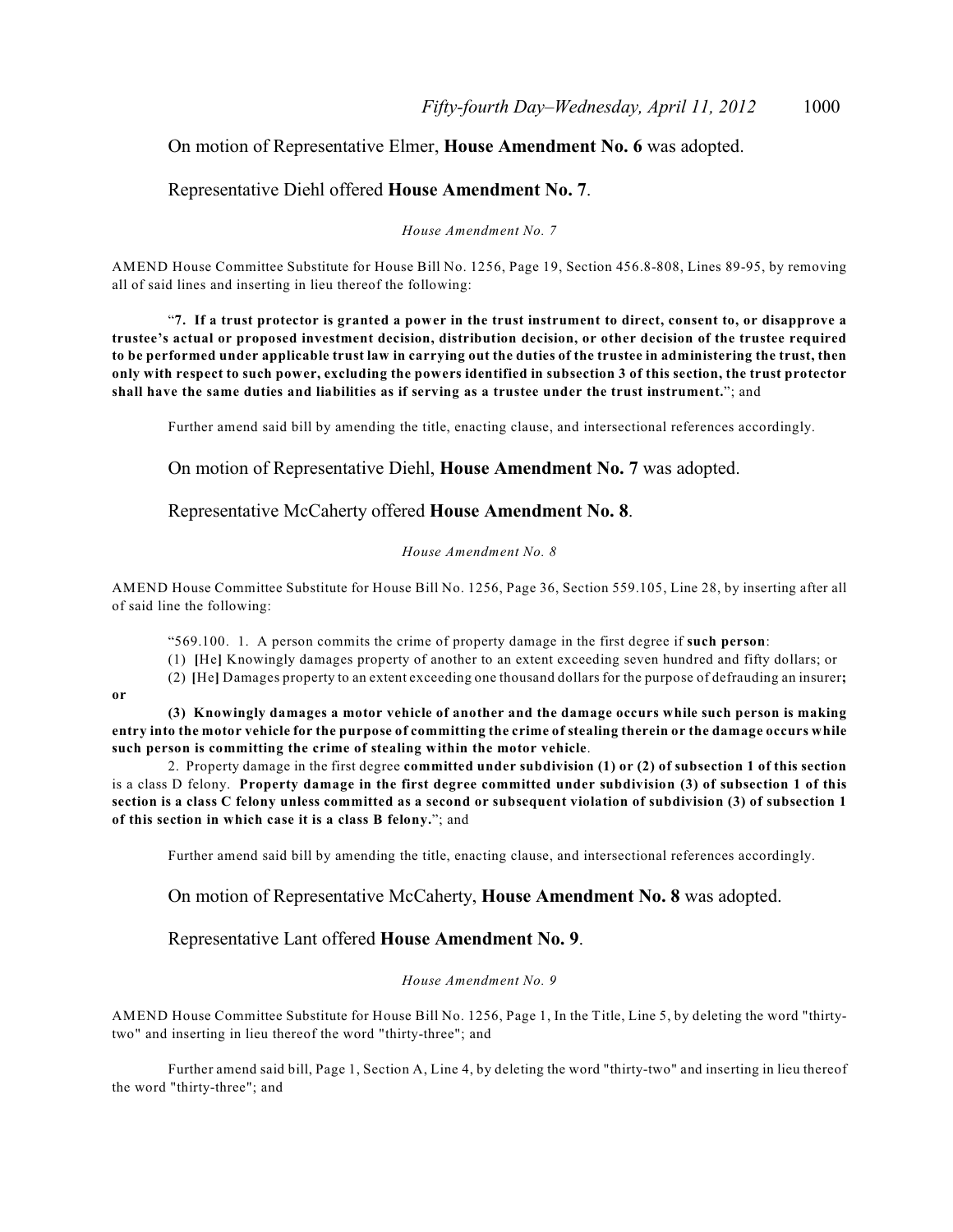### On motion of Representative Elmer, **House Amendment No. 6** was adopted.

#### Representative Diehl offered **House Amendment No. 7**.

*House Amendment No. 7*

AMEND House Committee Substitute for House Bill No. 1256, Page 19, Section 456.8-808, Lines 89-95, by removing all of said lines and inserting in lieu thereof the following:

"**7. If a trust protector is granted a power in the trust instrument to direct, consent to, or disapprove a trustee's actual or proposed investment decision, distribution decision, or other decision of the trustee required to be performed under applicable trust law in carrying out the duties of the trustee in administering the trust, then only with respect to such power, excluding the powers identified in subsection 3 of this section, the trust protector shall have the same duties and liabilities as if serving as a trustee under the trust instrument.**"; and

Further amend said bill by amending the title, enacting clause, and intersectional references accordingly.

On motion of Representative Diehl, **House Amendment No. 7** was adopted.

Representative McCaherty offered **House Amendment No. 8**.

#### *House Amendment No. 8*

AMEND House Committee Substitute for House Bill No. 1256, Page 36, Section 559.105, Line 28, by inserting after all of said line the following:

"569.100. 1. A person commits the crime of property damage in the first degree if **such person**:

(1) **[**He**]** Knowingly damages property of another to an extent exceeding seven hundred and fifty dollars; or

(2) **[**He**]** Damages property to an extent exceeding one thousand dollars for the purpose of defrauding an insurer**;**

**or**

**(3) Knowingly damages a motor vehicle of another and the damage occurs while such person is making entry into the motor vehicle for the purpose of committing the crime of stealing therein or the damage occurs while such person is committing the crime of stealing within the motor vehicle**.

2. Property damage in the first degree **committed under subdivision (1) or (2) of subsection 1 of this section** is a class D felony. **Property damage in the first degree committed under subdivision (3) of subsection 1 of this section is a class C felony unless committed as a second or subsequent violation of subdivision (3) of subsection 1 of this section in which case it is a class B felony.**"; and

Further amend said bill by amending the title, enacting clause, and intersectional references accordingly.

On motion of Representative McCaherty, **House Amendment No. 8** was adopted.

Representative Lant offered **House Amendment No. 9**.

#### *House Amendment No. 9*

AMEND House Committee Substitute for House Bill No. 1256, Page 1, In the Title, Line 5, by deleting the word "thirtytwo" and inserting in lieu thereof the word "thirty-three"; and

Further amend said bill, Page 1, Section A, Line 4, by deleting the word "thirty-two" and inserting in lieu thereof the word "thirty-three"; and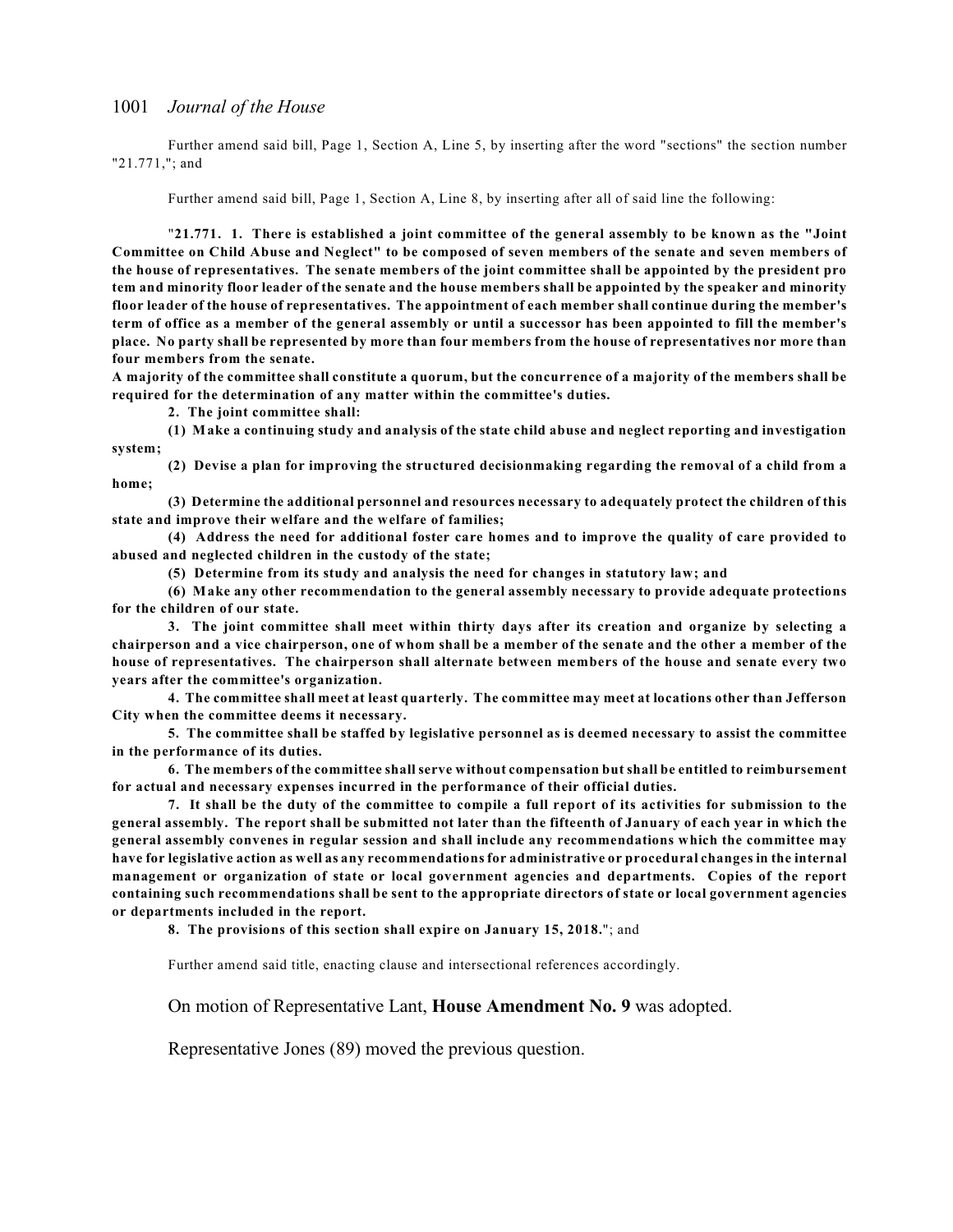Further amend said bill, Page 1, Section A, Line 5, by inserting after the word "sections" the section number "21.771,"; and

Further amend said bill, Page 1, Section A, Line 8, by inserting after all of said line the following:

"**21.771. 1. There is established a joint committee of the general assembly to be known as the "Joint Committee on Child Abuse and Neglect" to be composed of seven members of the senate and seven members of the house of representatives. The senate members of the joint committee shall be appointed by the president pro tem and minority floor leader of the senate and the house members shall be appointed by the speaker and minority floor leader of the house of representatives. The appointment of each member shall continue during the member's term of office as a member of the general assembly or until a successor has been appointed to fill the member's place. No party shall be represented by more than four members from the house of representatives nor more than four members from the senate.** 

**A majority of the committee shall constitute a quorum, but the concurrence of a majority of the members shall be required for the determination of any matter within the committee's duties.**

**2. The joint committee shall:**

**(1) Make a continuing study and analysis of the state child abuse and neglect reporting and investigation system;**

**(2) Devise a plan for improving the structured decisionmaking regarding the removal of a child from a home;**

**(3) Determine the additional personnel and resources necessary to adequately protect the children of this state and improve their welfare and the welfare of families;**

**(4) Address the need for additional foster care homes and to improve the quality of care provided to abused and neglected children in the custody of the state;**

**(5) Determine from its study and analysis the need for changes in statutory law; and**

**(6) Make any other recommendation to the general assembly necessary to provide adequate protections for the children of our state.**

**3. The joint committee shall meet within thirty days after its creation and organize by selecting a chairperson and a vice chairperson, one of whom shall be a member of the senate and the other a member of the house of representatives. The chairperson shall alternate between members of the house and senate every two years after the committee's organization.**

**4. The committee shall meet at least quarterly. The committee may meet at locations other than Jefferson City when the committee deems it necessary.**

**5. The committee shall be staffed by legislative personnel as is deemed necessary to assist the committee in the performance of its duties.**

**6. The members of the committee shall serve without compensation but shall be entitled to reimbursement for actual and necessary expenses incurred in the performance of their official duties.**

**7. It shall be the duty of the committee to compile a full report of its activities for submission to the general assembly. The report shall be submitted not later than the fifteenth of January of each year in which the general assembly convenes in regular session and shall include any recommendations which the committee may have for legislative action as well as any recommendations for administrative or procedural changes in the internal management or organization of state or local government agencies and departments. Copies of the report containing such recommendations shall be sent to the appropriate directors of state or local government agencies or departments included in the report.**

**8. The provisions of this section shall expire on January 15, 2018.**"; and

Further amend said title, enacting clause and intersectional references accordingly.

On motion of Representative Lant, **House Amendment No. 9** was adopted.

Representative Jones (89) moved the previous question.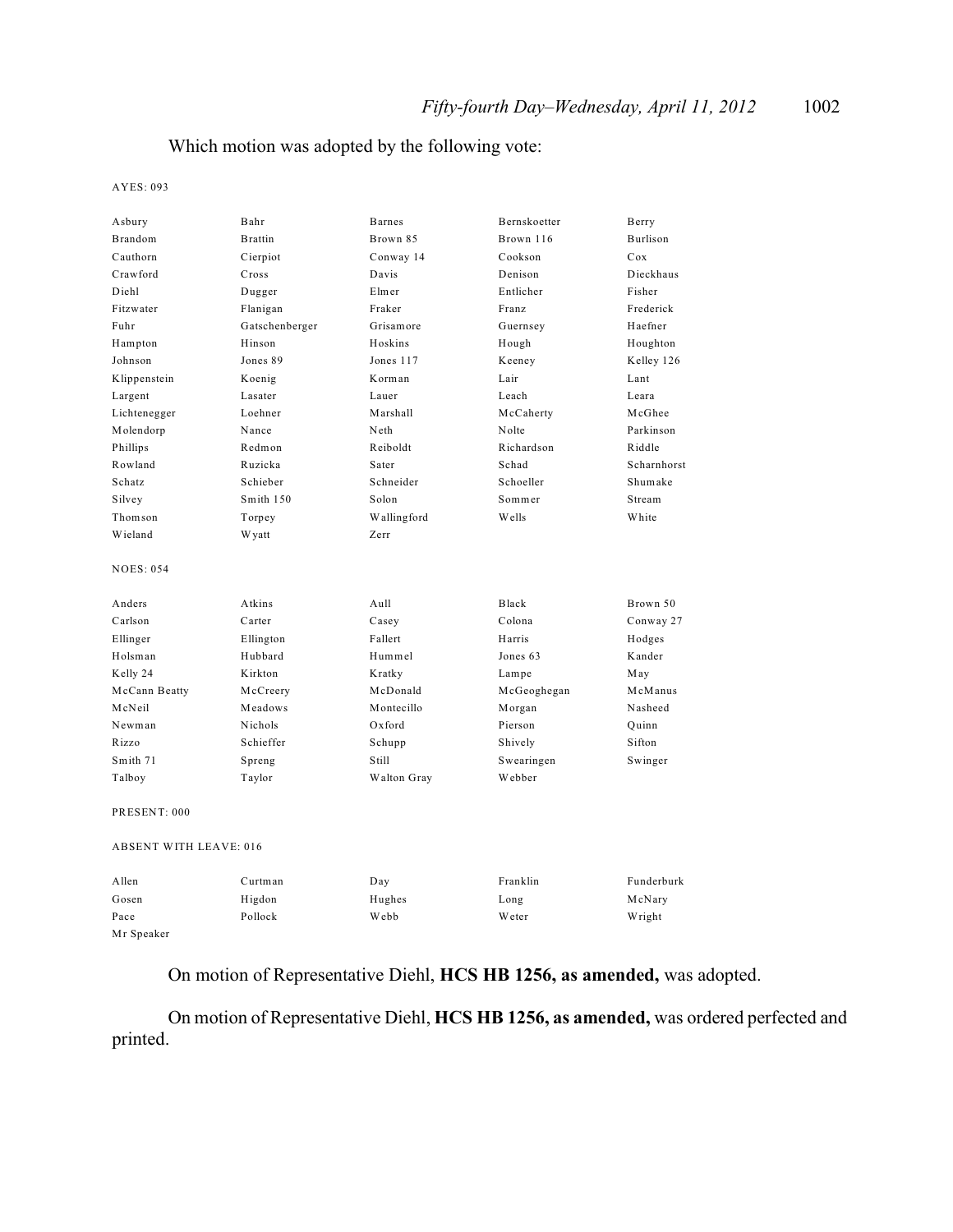### Which motion was adopted by the following vote:

AYES: 093

| Asbury                        | Bahr            | <b>Barnes</b> | Bernskoetter | Berry       |
|-------------------------------|-----------------|---------------|--------------|-------------|
| Brandom                       | <b>B</b> rattin | Brown 85      | Brown 116    | Burlison    |
| Cauthorn                      | Cierpiot        | Conway 14     | Cookson      | Cox         |
| Crawford                      | Cross           | Davis         | Denison      | Dieckhaus   |
| Diehl                         | Dugger          | Elmer         | Entlicher    | Fisher      |
| Fitzwater                     | Flanigan        | Fraker        | Franz        | Frederick   |
| Fuhr                          | Gatschenberger  | Grisamore     | Guernsey     | Haefner     |
| Hampton                       | Hinson          | Hoskins       | Hough        | Houghton    |
| Johnson                       | Jones 89        | Jones 117     | Keeney       | Kelley 126  |
| Klippenstein                  | Koenig          | Korman        | Lair         | Lant        |
| Largent                       | Lasater         | Lauer         | Leach        | Leara       |
| Lichtenegger                  | Loehner         | Marshall      | McCaherty    | McGhee      |
| Molendorp                     | Nance           | Neth          | Nolte        | Parkinson   |
| Phillips                      | Redmon          | Reiboldt      | Richardson   | Riddle      |
| Rowland                       | Ruzicka         | Sater         | Schad        | Scharnhorst |
| Schatz                        | Schieber        | Schneider     | Schoeller    | Shumake     |
| Silvey                        | Smith 150       | Solon         | Sommer       | Stream      |
| Thomson                       | Torpey          | Wallingford   | Wells        | White       |
| Wieland                       | <b>Wyatt</b>    | Zerr          |              |             |
| <b>NOES: 054</b>              |                 |               |              |             |
| Anders                        | Atkins          | Aull          | Black        | Brown 50    |
| Carlson                       | Carter          | Casey         | Colona       | Conway 27   |
| Ellinger                      | Ellington       | Fallert       | Harris       | Hodges      |
| Holsman                       | Hubbard         | Hummel        | Jones 63     | Kander      |
| Kelly 24                      | Kirkton         | Kratky        | Lampe        | May         |
| McCann Beatty                 | McCreery        | McDonald      | McGeoghegan  | McManus     |
| McNeil                        | Meadows         | Montecillo    | Morgan       | Nasheed     |
| Newman                        | <b>Nichols</b>  | Oxford        | Pierson      | Quinn       |
| Rizzo                         | Schieffer       | Schupp        | Shively      | Sifton      |
| Smith 71                      | Spreng          | Still         | Swearingen   | Swinger     |
| Talboy                        | Taylor          | Walton Gray   | Webber       |             |
| PRESENT: 000                  |                 |               |              |             |
| <b>ABSENT WITH LEAVE: 016</b> |                 |               |              |             |
| A llen                        | Curtman         | Day           | Franklin     | Funderburk  |
| Gosen                         | Higdon          | Hughes        | Long         | McNary      |
| Pace                          | Pollock         | Webb          | Weter        | Wright      |
| Mr Speaker                    |                 |               |              |             |

On motion of Representative Diehl, **HCS HB 1256, as amended,** was adopted.

On motion of Representative Diehl, **HCS HB 1256, as amended,** was ordered perfected and printed.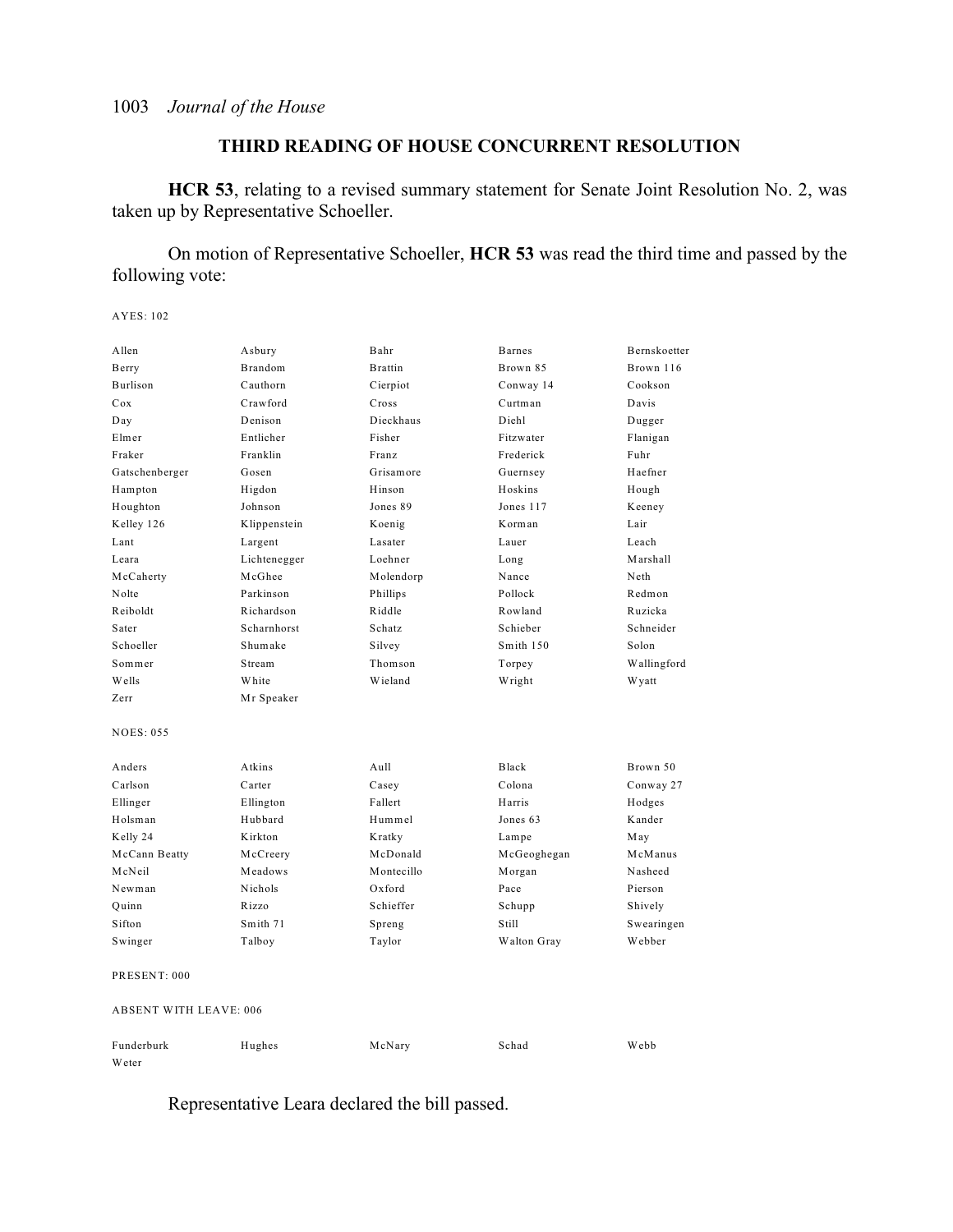### **THIRD READING OF HOUSE CONCURRENT RESOLUTION**

**HCR 53**, relating to a revised summary statement for Senate Joint Resolution No. 2, was taken up by Representative Schoeller.

On motion of Representative Schoeller, **HCR 53** was read the third time and passed by the following vote:

AYES: 102

| Allen                         | Asbury       | Bahr           | <b>Barnes</b> | Bernskoetter |
|-------------------------------|--------------|----------------|---------------|--------------|
| Berry                         | Brandom      | <b>Brattin</b> | Brown 85      | Brown 116    |
| Burlison                      | Cauthorn     | Cierpiot       | Conway 14     | Cookson      |
| Cox                           | Crawford     | Cross          | Curtman       | Davis        |
| Day                           | Denison      | Dieckhaus      | Diehl         | Dugger       |
| Elmer                         | Entlicher    | Fisher         | Fitzwater     | Flanigan     |
| Fraker                        | Franklin     | Franz          | Frederick     | Fuhr         |
| Gatschenberger                | Gosen        | Grisamore      | Guernsey      | Haefner      |
| Hampton                       | Higdon       | Hinson         | Hoskins       | Hough        |
| Houghton                      | Johnson      | Jones 89       | Jones 117     | Keeney       |
| Kelley 126                    | Klippenstein | Koenig         | Korman        | Lair         |
| Lant                          | Largent      | Lasater        | Lauer         | Leach        |
| Leara                         | Lichtenegger | Loehner        | Long          | Marshall     |
| McCaherty                     | McGhee       | Molendorp      | Nance         | Neth         |
| Nolte                         | Parkinson    | Phillips       | Pollock       | Redmon       |
| Reiboldt                      | Richardson   | Riddle         | Rowland       | Ruzicka      |
| Sater                         | Scharnhorst  | Schatz         | Schieber      | Schneider    |
| Schoeller                     | Shumake      | Silvey         | Smith 150     | Solon        |
| Sommer                        | Stream       | Thomson        | Torpey        | Wallingford  |
| Wells                         | White        | Wieland        | Wright        | W yatt       |
| Zerr                          | Mr Speaker   |                |               |              |
| <b>NOES: 055</b>              |              |                |               |              |
| Anders                        | Atkins       | Aull           | Black         | Brown 50     |
| Carlson                       | Carter       | Casey          | Colona        | Conway 27    |
| Ellinger                      | Ellington    | Fallert        | Harris        | Hodges       |
| Holsman                       | Hubbard      | Hummel         | Jones 63      | Kander       |
| Kelly 24                      | Kirkton      | Kratky         | Lampe         | May          |
| McCann Beatty                 | McCreery     | McDonald       | McGeoghegan   | McManus      |
| McNeil                        | Meadows      | Montecillo     | Morgan        | Nasheed      |
| Newman                        | Nichols      | Oxford         | Pace          | Pierson      |
| Quinn                         | Rizzo        | Schieffer      | Schupp        | Shively      |
| Sifton                        | Smith 71     | Spreng         | Still         | Swearingen   |
| Swinger                       | Talboy       | Taylor         | Walton Gray   | Webber       |
| PRESENT: 000                  |              |                |               |              |
| <b>ABSENT WITH LEAVE: 006</b> |              |                |               |              |
| Funderburk                    | Hughes       | McNary         | Schad         | Webb         |
| Weter                         |              |                |               |              |

Representative Leara declared the bill passed.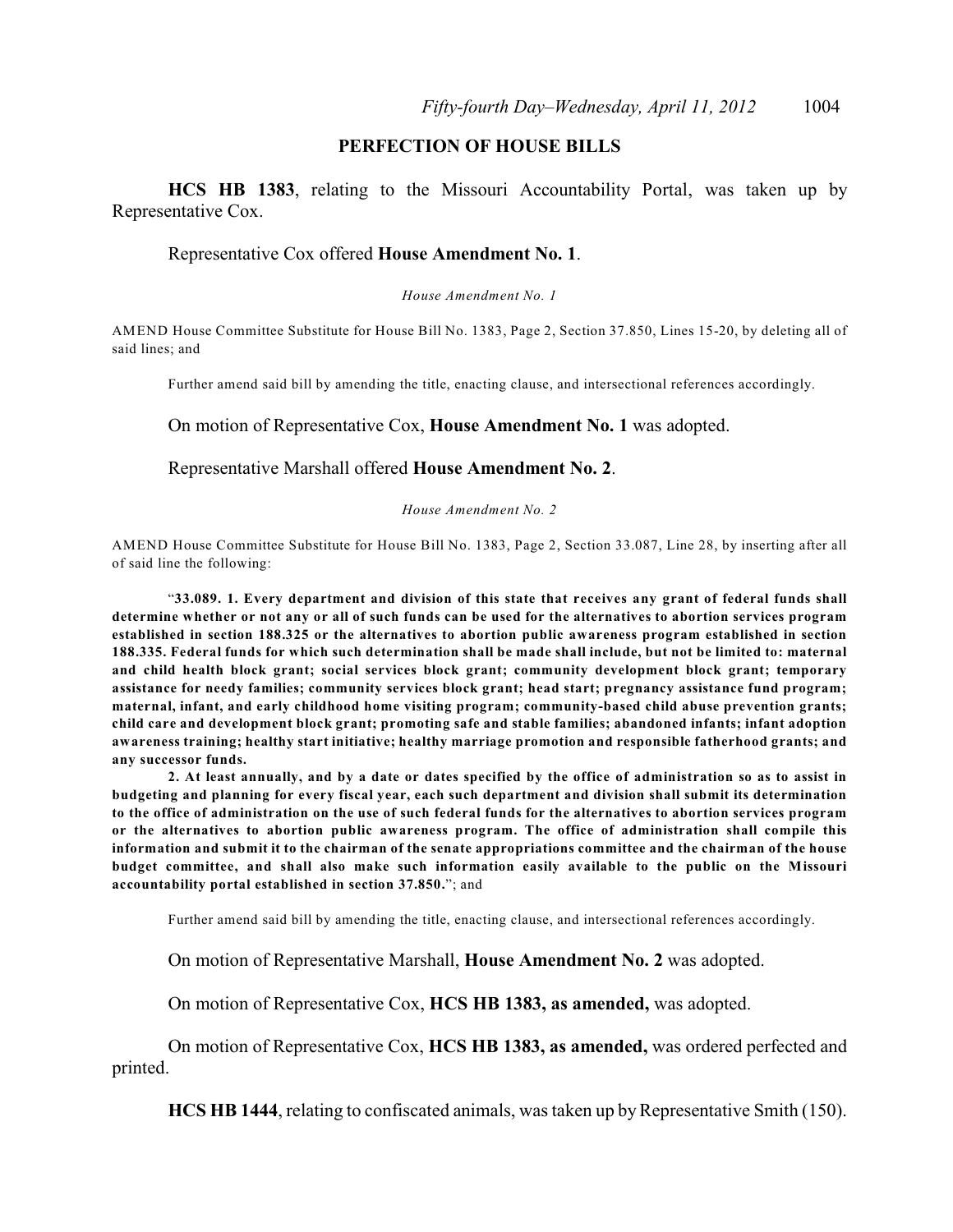### **PERFECTION OF HOUSE BILLS**

**HCS HB 1383**, relating to the Missouri Accountability Portal, was taken up by Representative Cox.

#### Representative Cox offered **House Amendment No. 1**.

*House Amendment No. 1*

AMEND House Committee Substitute for House Bill No. 1383, Page 2, Section 37.850, Lines 15-20, by deleting all of said lines; and

Further amend said bill by amending the title, enacting clause, and intersectional references accordingly.

On motion of Representative Cox, **House Amendment No. 1** was adopted.

#### Representative Marshall offered **House Amendment No. 2**.

*House Amendment No. 2*

AMEND House Committee Substitute for House Bill No. 1383, Page 2, Section 33.087, Line 28, by inserting after all of said line the following:

"**33.089. 1. Every department and division of this state that receives any grant of federal funds shall determine whether or not any or all of such funds can be used for the alternatives to abortion services program established in section 188.325 or the alternatives to abortion public awareness program established in section 188.335. Federal funds for which such determination shall be made shall include, but not be limited to: maternal and child health block grant; social services block grant; community development block grant; temporary assistance for needy families; community services block grant; head start; pregnancy assistance fund program; maternal, infant, and early childhood home visiting program; community-based child abuse prevention grants; child care and development block grant; promoting safe and stable families; abandoned infants; infant adoption awareness training; healthy start initiative; healthy marriage promotion and responsible fatherhood grants; and any successor funds.**

**2. At least annually, and by a date or dates specified by the office of administration so as to assist in budgeting and planning for every fiscal year, each such department and division shall submit its determination to the office of administration on the use of such federal funds for the alternatives to abortion services program or the alternatives to abortion public awareness program. The office of administration shall compile this information and submit it to the chairman of the senate appropriations committee and the chairman of the house budget committee, and shall also make such information easily available to the public on the Missouri accountability portal established in section 37.850.**"; and

Further amend said bill by amending the title, enacting clause, and intersectional references accordingly.

On motion of Representative Marshall, **House Amendment No. 2** was adopted.

On motion of Representative Cox, **HCS HB 1383, as amended,** was adopted.

On motion of Representative Cox, **HCS HB 1383, as amended,** was ordered perfected and printed.

**HCS HB 1444**, relating to confiscated animals, was taken up by Representative Smith (150).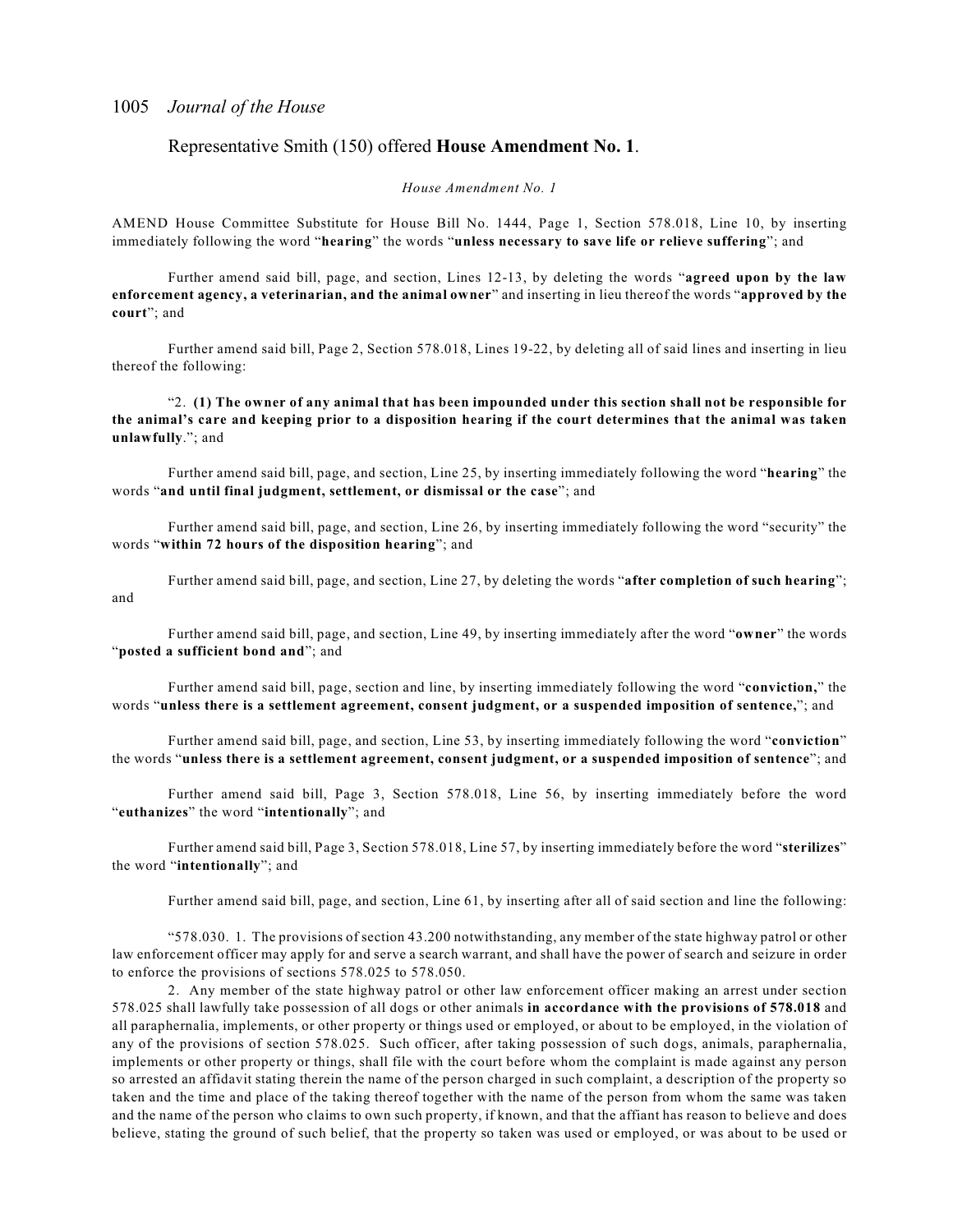#### Representative Smith (150) offered **House Amendment No. 1**.

#### *House Amendment No. 1*

AMEND House Committee Substitute for House Bill No. 1444, Page 1, Section 578.018, Line 10, by inserting immediately following the word "**hearing**" the words "**unless necessary to save life or relieve suffering**"; and

Further amend said bill, page, and section, Lines 12-13, by deleting the words "**agreed upon by the law enforcement agency, a veterinarian, and the animal owner**" and inserting in lieu thereof the words "**approved by the court**"; and

Further amend said bill, Page 2, Section 578.018, Lines 19-22, by deleting all of said lines and inserting in lieu thereof the following:

"2. **(1) The owner of any animal that has been impounded under this section shall not be responsible for the animal's care and keeping prior to a disposition hearing if the court determines that the animal was taken unlawfully**."; and

Further amend said bill, page, and section, Line 25, by inserting immediately following the word "**hearing**" the words "**and until final judgment, settlement, or dismissal or the case**"; and

Further amend said bill, page, and section, Line 26, by inserting immediately following the word "security" the words "**within 72 hours of the disposition hearing**"; and

Further amend said bill, page, and section, Line 27, by deleting the words "**after completion of such hearing**"; and

Further amend said bill, page, and section, Line 49, by inserting immediately after the word "**owner**" the words "**posted a sufficient bond and**"; and

Further amend said bill, page, section and line, by inserting immediately following the word "**conviction,**" the words "**unless there is a settlement agreement, consent judgment, or a suspended imposition of sentence,**"; and

Further amend said bill, page, and section, Line 53, by inserting immediately following the word "**conviction**" the words "**unless there is a settlement agreement, consent judgment, or a suspended imposition of sentence**"; and

Further amend said bill, Page 3, Section 578.018, Line 56, by inserting immediately before the word "**euthanizes**" the word "**intentionally**"; and

Further amend said bill, Page 3, Section 578.018, Line 57, by inserting immediately before the word "**sterilizes**" the word "**intentionally**"; and

Further amend said bill, page, and section, Line 61, by inserting after all of said section and line the following:

"578.030. 1. The provisions of section 43.200 notwithstanding, any member of the state highway patrol or other law enforcement officer may apply for and serve a search warrant, and shall have the power of search and seizure in order to enforce the provisions of sections 578.025 to 578.050.

2. Any member of the state highway patrol or other law enforcement officer making an arrest under section 578.025 shall lawfully take possession of all dogs or other animals **in accordance with the provisions of 578.018** and all paraphernalia, implements, or other property or things used or employed, or about to be employed, in the violation of any of the provisions of section 578.025. Such officer, after taking possession of such dogs, animals, paraphernalia, implements or other property or things, shall file with the court before whom the complaint is made against any person so arrested an affidavit stating therein the name of the person charged in such complaint, a description of the property so taken and the time and place of the taking thereof together with the name of the person from whom the same was taken and the name of the person who claims to own such property, if known, and that the affiant has reason to believe and does believe, stating the ground of such belief, that the property so taken was used or employed, or was about to be used or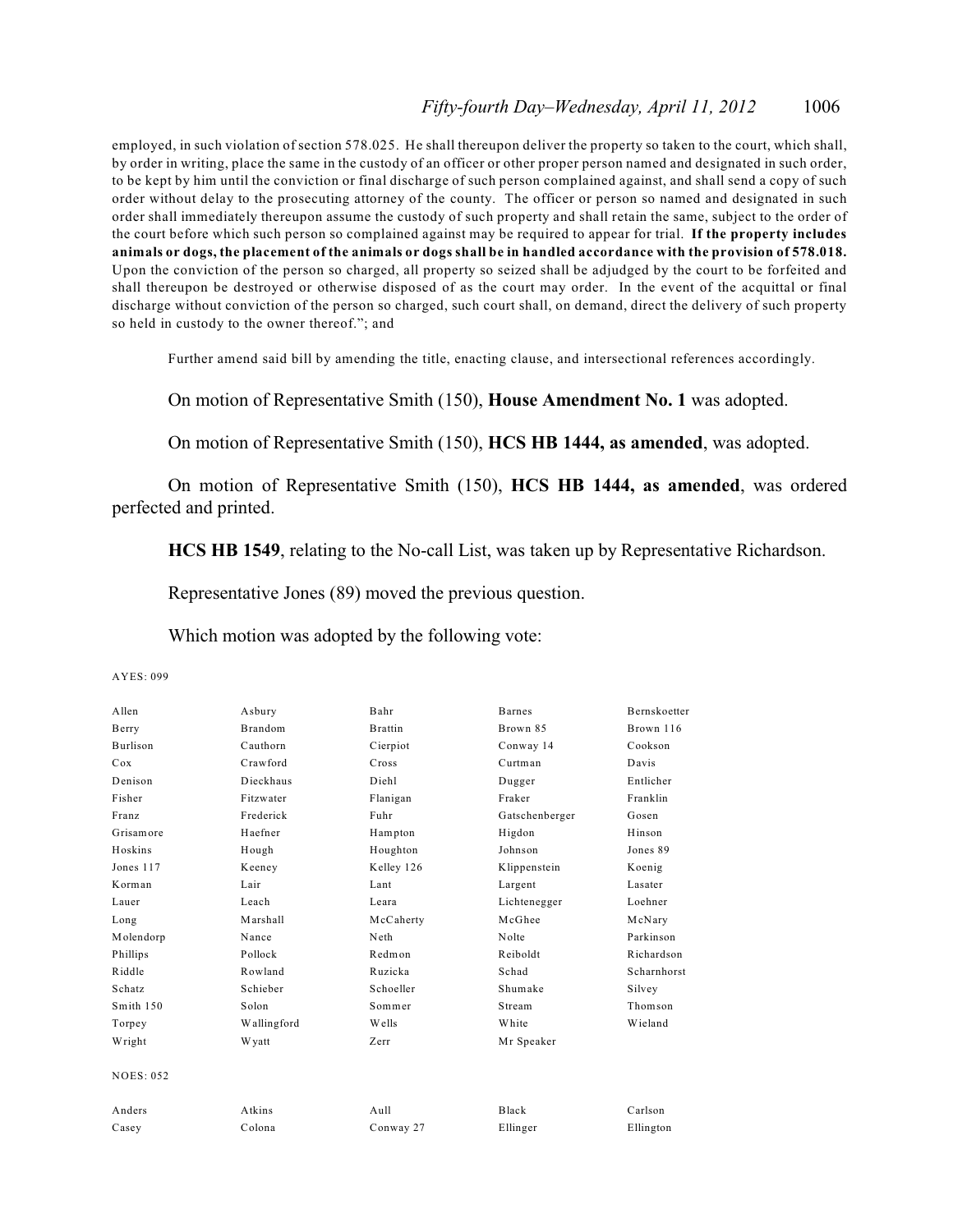employed, in such violation of section 578.025. He shall thereupon deliver the property so taken to the court, which shall, by order in writing, place the same in the custody of an officer or other proper person named and designated in such order, to be kept by him until the conviction or final discharge of such person complained against, and shall send a copy of such order without delay to the prosecuting attorney of the county. The officer or person so named and designated in such order shall immediately thereupon assume the custody of such property and shall retain the same, subject to the order of the court before which such person so complained against may be required to appear for trial. **If the property includes animals or dogs, the placement of the animals or dogs shall be in handled accordance with the provision of 578.018.** Upon the conviction of the person so charged, all property so seized shall be adjudged by the court to be forfeited and shall thereupon be destroyed or otherwise disposed of as the court may order. In the event of the acquittal or final discharge without conviction of the person so charged, such court shall, on demand, direct the delivery of such property so held in custody to the owner thereof."; and

Further amend said bill by amending the title, enacting clause, and intersectional references accordingly.

On motion of Representative Smith (150), **House Amendment No. 1** was adopted.

On motion of Representative Smith (150), **HCS HB 1444, as amended**, was adopted.

On motion of Representative Smith (150), **HCS HB 1444, as amended**, was ordered perfected and printed.

**HCS HB 1549**, relating to the No-call List, was taken up by Representative Richardson.

Representative Jones (89) moved the previous question.

Which motion was adopted by the following vote:

AYES: 099

| A llen          | Asbury         | Bahr              | <b>Barnes</b>  | <b>Bernskoetter</b> |
|-----------------|----------------|-------------------|----------------|---------------------|
| Berry           | <b>Brandom</b> | <b>Brattin</b>    | Brown 85       | Brown 116           |
| <b>Burlison</b> | Cauthorn       | Cierpiot          | Conway 14      | Cookson             |
| Cox             | Crawford       | Cross             | Curtman        | Davis               |
| Denison         | Dieckhaus      | Diehl             | Dugger         | Entlicher           |
| Fisher          | Fitzwater      | Flanigan          | Fraker         | Franklin            |
| Franz           | Frederick      | Fuhr              | Gatschenberger | Gosen               |
| Grisamore       | Haefner        | Hampton           | Higdon         | Hinson              |
| Hoskins         | Hough          | Houghton          | Johnson        | Jones 89            |
| Jones 117       | Keeney         | Kelley 126        | Klippenstein   | Koenig              |
| Korman          | Lair           | Lant              | Largent        | Lasater             |
| Lauer           | Leach          | Leara             | Lichtenegger   | Loehner             |
| Long            | Marshall       | McCaherty         | McGhee         | McNary              |
| Molendorp       | Nance          | Neth              | Nolte          | Parkinson           |
| Phillips        | Pollock        | Redmon            | Reiboldt       | Richardson          |
| Riddle          | Rowland        | Ruzicka           | Schad          | Scharnhorst         |
| Schatz          | Schieber       | Schoeller         | Shumake        | Silvey              |
| Smith 150       | Solon          | Sommer            | Stream         | Thomson             |
| Torpey          | Wallingford    | Wells             | White          | Wieland             |
| Wright          | <b>W</b> yatt  | Zerr              | Mr Speaker     |                     |
| NOES: 052       |                |                   |                |                     |
| Anders          | Atkins         | A <sub>u</sub> 11 | <b>Black</b>   | Carlson             |
| Casey           | Colona         | Conway 27         | Ellinger       | Ellington           |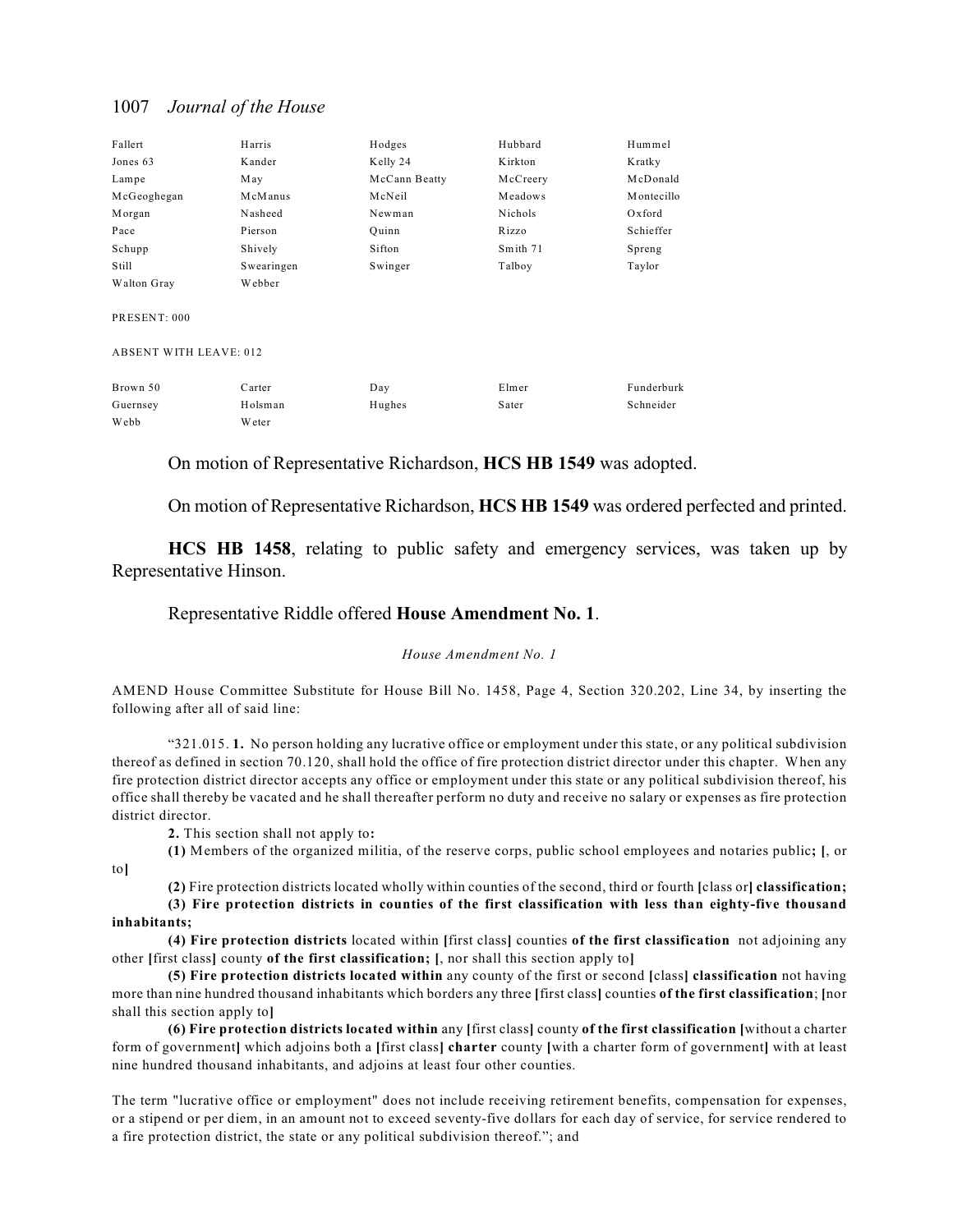| Fallert                       | Harris     | Hodges        | Hubbard  | Hummel     |
|-------------------------------|------------|---------------|----------|------------|
| Jones 63                      | Kander     | Kelly 24      | Kirkton  | Kratky     |
| Lampe                         | May        | McCann Beatty | McCreery | McDonald   |
| McGeoghegan                   | McManus    | McNeil        | Meadows  | Montecillo |
| Morgan                        | Nasheed    | Newman        | Nichols  | Oxford     |
| Pace                          | Pierson    | Ouinn         | Rizzo    | Schieffer  |
| Schupp                        | Shively    | Sifton        | Smith 71 | Spreng     |
| Still                         | Swearingen | Swinger       | Talboy   | Taylor     |
| Walton Gray                   | Webber     |               |          |            |
| PRESENT: 000                  |            |               |          |            |
| <b>ABSENT WITH LEAVE: 012</b> |            |               |          |            |
| Brown 50                      | Carter     | Day           | Elmer    | Funderburk |
| Guernsey                      | Holsman    | Hughes        | Sater    | Schneider  |
| Webb                          | Weter      |               |          |            |

On motion of Representative Richardson, **HCS HB 1549** was adopted.

On motion of Representative Richardson, **HCS HB 1549** was ordered perfected and printed.

**HCS HB 1458**, relating to public safety and emergency services, was taken up by Representative Hinson.

#### Representative Riddle offered **House Amendment No. 1**.

#### *House Amendment No. 1*

AMEND House Committee Substitute for House Bill No. 1458, Page 4, Section 320.202, Line 34, by inserting the following after all of said line:

"321.015. **1.** No person holding any lucrative office or employment under this state, or any political subdivision thereof as defined in section 70.120, shall hold the office of fire protection district director under this chapter. When any fire protection district director accepts any office or employment under this state or any political subdivision thereof, his office shall thereby be vacated and he shall thereafter perform no duty and receive no salary or expenses as fire protection district director.

**2.** This section shall not apply to**:**

to**]**

**(1)** Members of the organized militia, of the reserve corps, public school employees and notaries public**; [**, or

**(2)** Fire protection districts located wholly within counties of the second, third or fourth **[**class or**] classification;**

#### **(3) Fire protection districts in counties of the first classification with less than eighty-five thousand inhabitants;**

**(4) Fire protection districts** located within **[**first class**]** counties **of the first classification** not adjoining any other **[**first class**]** county **of the first classification; [**, nor shall this section apply to**]**

**(5) Fire protection districts located within** any county of the first or second **[**class**] classification** not having more than nine hundred thousand inhabitants which borders any three **[**first class**]** counties **of the first classification**; **[**nor shall this section apply to**]**

**(6) Fire protection districts located within** any **[**first class**]** county **of the first classification [**without a charter form of government**]** which adjoins both a **[**first class**] charter** county **[**with a charter form of government**]** with at least nine hundred thousand inhabitants, and adjoins at least four other counties.

The term "lucrative office or employment" does not include receiving retirement benefits, compensation for expenses, or a stipend or per diem, in an amount not to exceed seventy-five dollars for each day of service, for service rendered to a fire protection district, the state or any political subdivision thereof."; and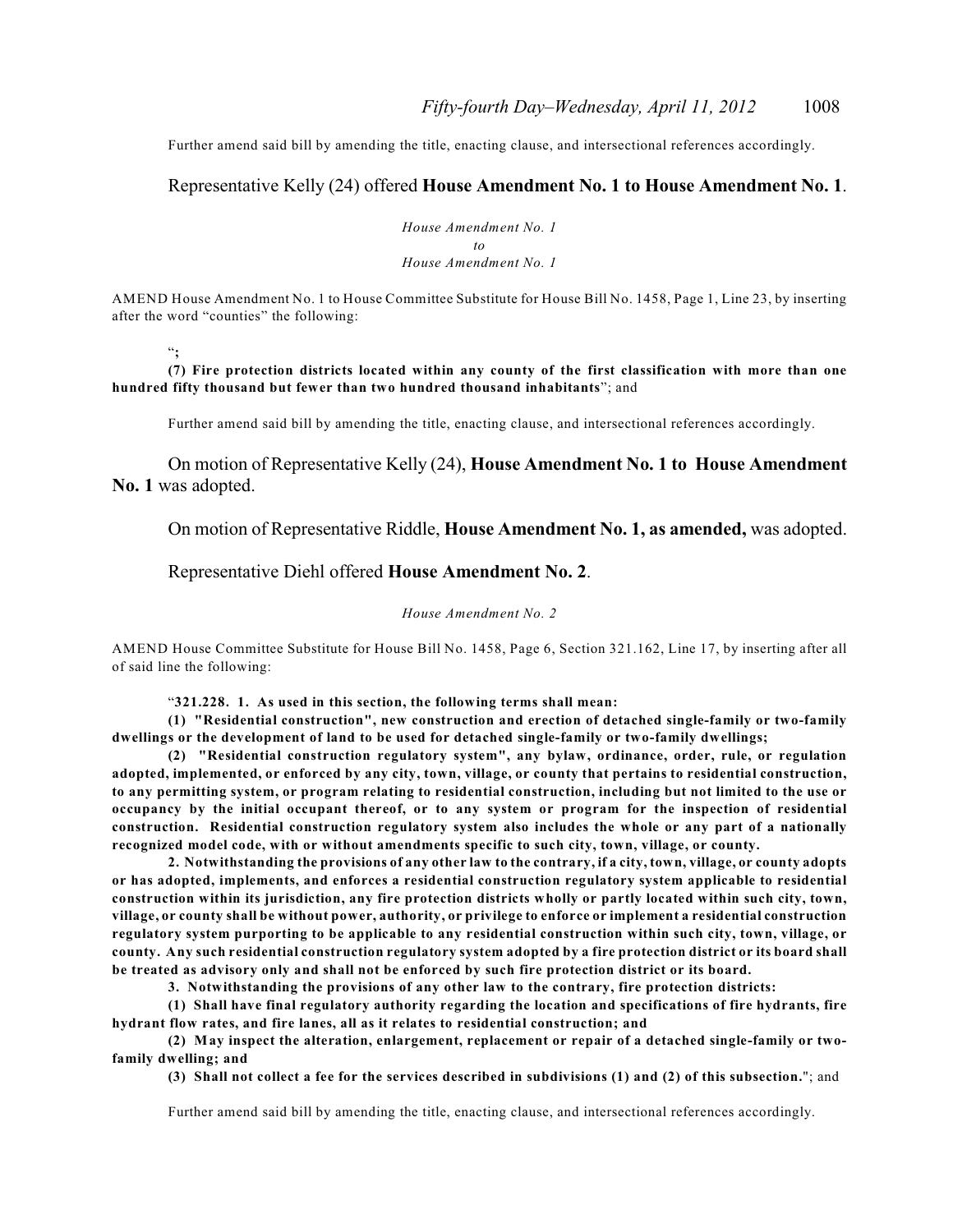Further amend said bill by amending the title, enacting clause, and intersectional references accordingly.

#### Representative Kelly (24) offered **House Amendment No. 1 to House Amendment No. 1**.

*House Amendment No. 1 to House Amendment No. 1*

AMEND House Amendment No. 1 to House Committee Substitute for House Bill No. 1458, Page 1, Line 23, by inserting after the word "counties" the following:

"**;** 

**(7) Fire protection districts located within any county of the first classification with more than one hundred fifty thousand but fewer than two hundred thousand inhabitants**"; and

Further amend said bill by amending the title, enacting clause, and intersectional references accordingly.

On motion of Representative Kelly (24), **House Amendment No. 1 to House Amendment No. 1** was adopted.

On motion of Representative Riddle, **House Amendment No. 1, as amended,** was adopted.

#### Representative Diehl offered **House Amendment No. 2**.

#### *House Amendment No. 2*

AMEND House Committee Substitute for House Bill No. 1458, Page 6, Section 321.162, Line 17, by inserting after all of said line the following:

"**321.228. 1. As used in this section, the following terms shall mean:**

**(1) "Residential construction", new construction and erection of detached single-family or two-family dwellings or the development of land to be used for detached single-family or two-family dwellings;**

**(2) "Residential construction regulatory system", any bylaw, ordinance, order, rule, or regulation adopted, implemented, or enforced by any city, town, village, or county that pertains to residential construction, to any permitting system, or program relating to residential construction, including but not limited to the use or occupancy by the initial occupant thereof, or to any system or program for the inspection of residential construction. Residential construction regulatory system also includes the whole or any part of a nationally recognized model code, with or without amendments specific to such city, town, village, or county.**

**2. Notwithstanding the provisions of any other law to the contrary, if a city, town, village, or county adopts or has adopted, implements, and enforces a residential construction regulatory system applicable to residential construction within its jurisdiction, any fire protection districts wholly or partly located within such city, town, village, or county shall be without power, authority, or privilege to enforce or implement a residential construction regulatory system purporting to be applicable to any residential construction within such city, town, village, or county. Any such residential construction regulatory system adopted by a fire protection district or its board shall be treated as advisory only and shall not be enforced by such fire protection district or its board.**

**3. Notwithstanding the provisions of any other law to the contrary, fire protection districts:**

**(1) Shall have final regulatory authority regarding the location and specifications of fire hydrants, fire hydrant flow rates, and fire lanes, all as it relates to residential construction; and**

**(2) May inspect the alteration, enlargement, replacement or repair of a detached single-family or twofamily dwelling; and**

**(3) Shall not collect a fee for the services described in subdivisions (1) and (2) of this subsection.**"; and

Further amend said bill by amending the title, enacting clause, and intersectional references accordingly.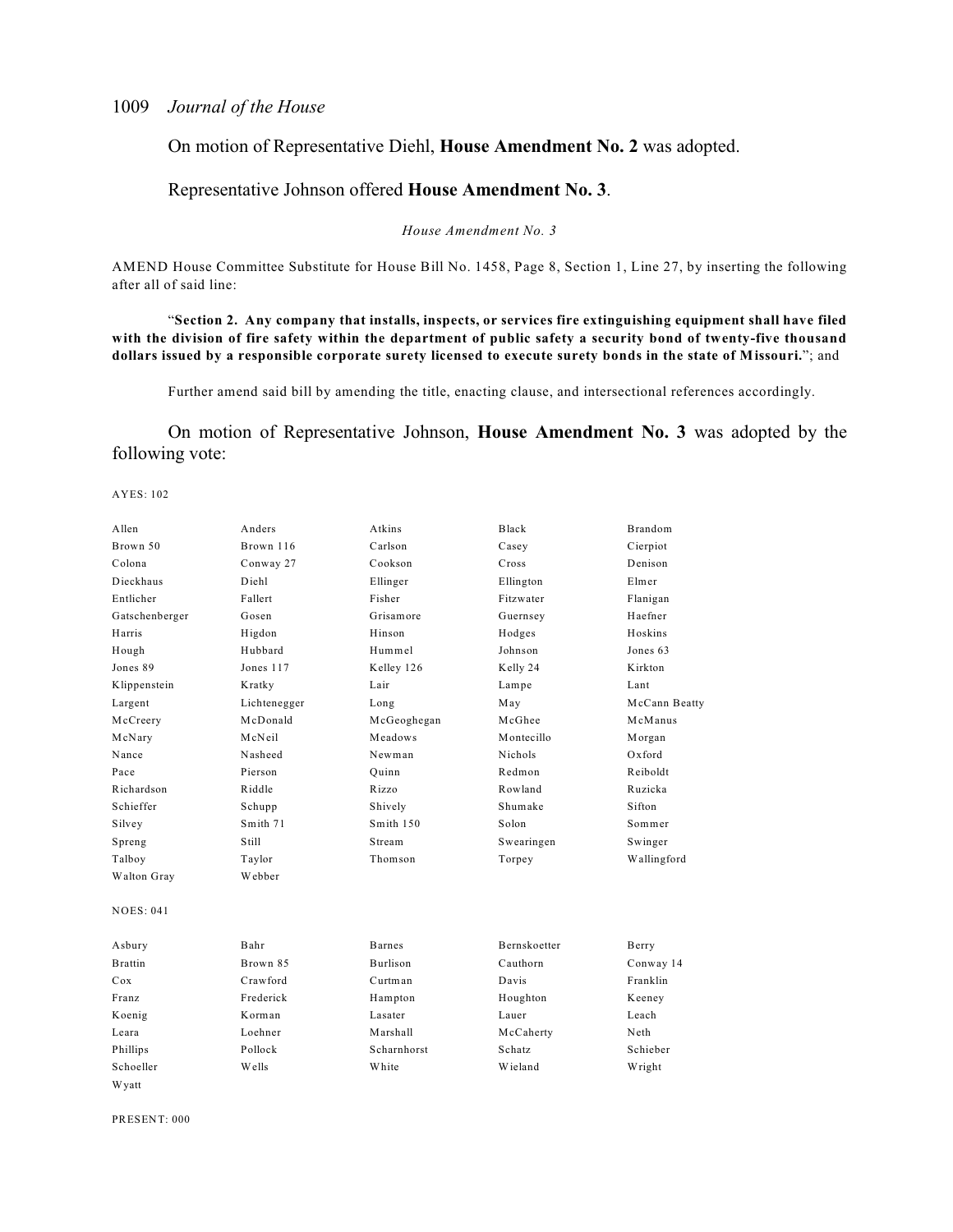#### On motion of Representative Diehl, **House Amendment No. 2** was adopted.

#### Representative Johnson offered **House Amendment No. 3**.

#### *House Amendment No. 3*

AMEND House Committee Substitute for House Bill No. 1458, Page 8, Section 1, Line 27, by inserting the following after all of said line:

"**Section 2. Any company that installs, inspects, or services fire extinguishing equipment shall have filed with the division of fire safety within the department of public safety a security bond of twenty-five thousand dollars issued by a responsible corporate surety licensed to execute surety bonds in the state of Missouri.**"; and

Further amend said bill by amending the title, enacting clause, and intersectional references accordingly.

On motion of Representative Johnson, **House Amendment No. 3** was adopted by the following vote:

#### AYES: 102

| Allen            | Anders       | Atkins          | Black          | <b>Brandom</b> |
|------------------|--------------|-----------------|----------------|----------------|
| Brown 50         | Brown 116    | Carlson         | Casey          | Cierpiot       |
| Colona           | Conway 27    | Cookson         | Cross          | Denison        |
| Dieckhaus        | Diehl        | Ellinger        | Ellington      | Elmer          |
| Entlicher        | Fallert      | Fisher          | Fitzwater      | Flanigan       |
| Gatschenberger   | Gosen        | Grisamore       | Guernsey       | Haefner        |
| Harris           | Higdon       | Hinson          | Hodges         | Hoskins        |
| Hough            | Hubbard      | Hummel          | Johnson        | Jones 63       |
| Jones 89         | Jones 117    | Kelley 126      | Kelly 24       | Kirkton        |
| Klippenstein     | Kratky       | Lair            | Lampe          | Lant           |
| Largent          | Lichtenegger | Long            | May            | McCann Beatty  |
| McCreery         | McDonald     | McGeoghegan     | McGhee         | McManus        |
| McNary           | McNeil       | Meadows         | Montecillo     | Morgan         |
| Nance            | Nasheed      | Newman          | <b>Nichols</b> | $Ox$ ford      |
| Pace             | Pierson      | Ouinn           | Redmon         | Reiboldt       |
| Richardson       | Riddle       | Rizzo           | Rowland        | Ruzicka        |
| Schieffer        | Schupp       | Shively         | Shumake        | Sifton         |
| Silvey           | Smith 71     | Smith 150       | Solon          | Sommer         |
| Spreng           | Still        | Stream          | Swearingen     | Swinger        |
| Talboy           | Taylor       | Thomson         | Torpey         | Wallingford    |
| Walton Gray      | Webber       |                 |                |                |
| <b>NOES: 041</b> |              |                 |                |                |
| Asbury           | Bahr         | <b>Barnes</b>   | Bernskoetter   | Berry          |
| <b>Brattin</b>   | Brown 85     | <b>Burlison</b> | Cauthorn       | Conway 14      |
| Cox              | Crawford     | Curtman         | Davis          | Franklin       |
| Franz            | Frederick    | Hampton         | Houghton       | Keeney         |
| Koenig           | Korman       | Lasater         | Lauer          | Leach          |
| Leara            | Loehner      | Marshall        | McCaherty      | Neth           |
| Phillips         | Pollock      | Scharnhorst     | Schatz         | Schieber       |
| Schoeller        | Wells        | White           | Wieland        | Wright         |
| W yatt           |              |                 |                |                |

PRESENT: 000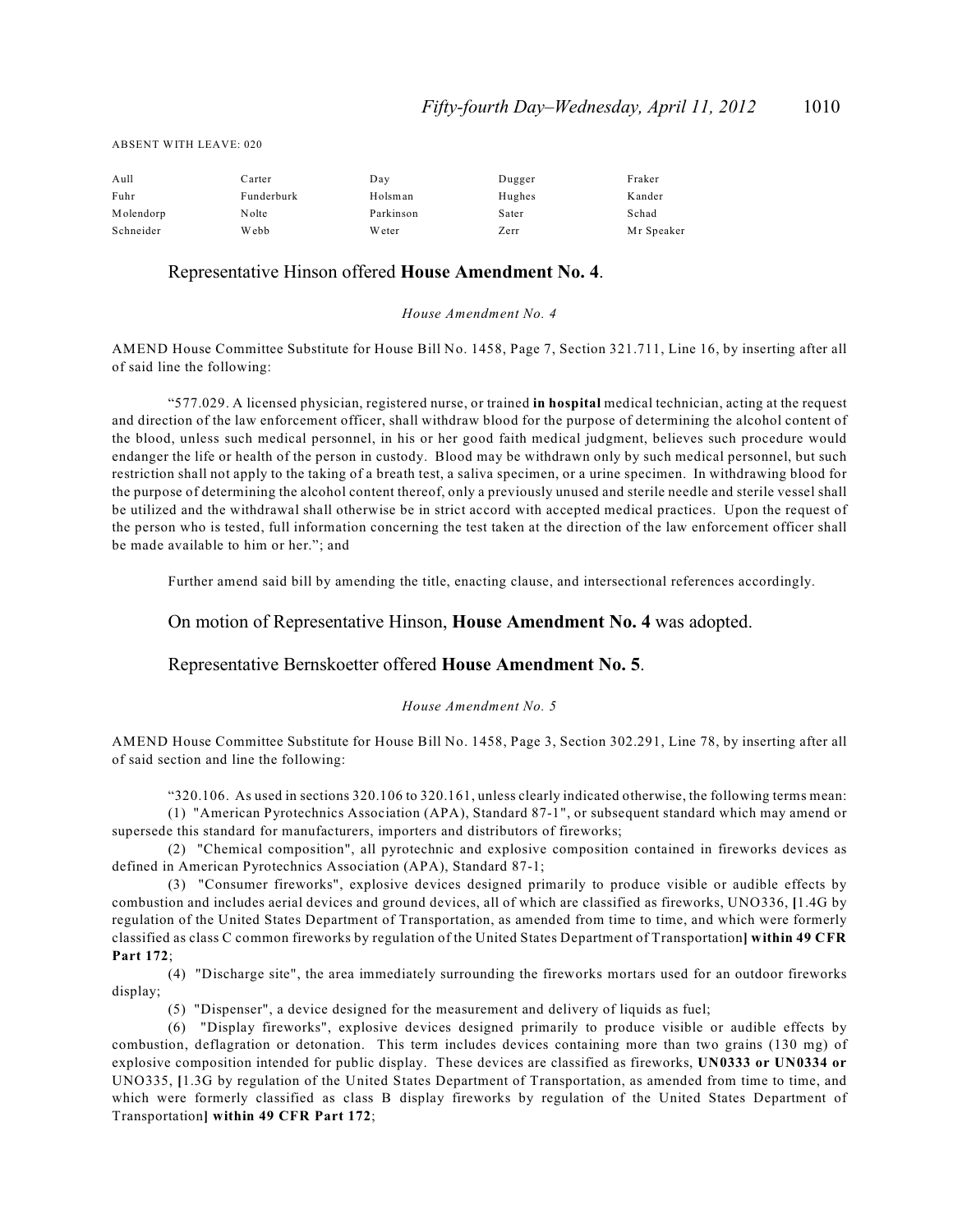| Aull      | Carter     | Day           | Dugger | Fraker     |
|-----------|------------|---------------|--------|------------|
| Fuhr      | Funderburk | Holsman       | Hughes | Kander     |
| Molendorp | Nolte      | Parkinson     | Sater  | Schad      |
| Schneider | Webb       | <b>W</b> eter | Zerr   | Mr Speaker |

### ABSENT WITH LEAVE: 020

#### Representative Hinson offered **House Amendment No. 4**.

*House Amendment No. 4*

AMEND House Committee Substitute for House Bill No. 1458, Page 7, Section 321.711, Line 16, by inserting after all of said line the following:

"577.029. A licensed physician, registered nurse, or trained **in hospital** medical technician, acting at the request and direction of the law enforcement officer, shall withdraw blood for the purpose of determining the alcohol content of the blood, unless such medical personnel, in his or her good faith medical judgment, believes such procedure would endanger the life or health of the person in custody. Blood may be withdrawn only by such medical personnel, but such restriction shall not apply to the taking of a breath test, a saliva specimen, or a urine specimen. In withdrawing blood for the purpose of determining the alcohol content thereof, only a previously unused and sterile needle and sterile vessel shall be utilized and the withdrawal shall otherwise be in strict accord with accepted medical practices. Upon the request of the person who is tested, full information concerning the test taken at the direction of the law enforcement officer shall be made available to him or her."; and

Further amend said bill by amending the title, enacting clause, and intersectional references accordingly.

On motion of Representative Hinson, **House Amendment No. 4** was adopted.

#### Representative Bernskoetter offered **House Amendment No. 5**.

#### *House Amendment No. 5*

AMEND House Committee Substitute for House Bill No. 1458, Page 3, Section 302.291, Line 78, by inserting after all of said section and line the following:

"320.106. As used in sections 320.106 to 320.161, unless clearly indicated otherwise, the following terms mean: (1) "American Pyrotechnics Association (APA), Standard 87-1", or subsequent standard which may amend or

supersede this standard for manufacturers, importers and distributors of fireworks;

(2) "Chemical composition", all pyrotechnic and explosive composition contained in fireworks devices as defined in American Pyrotechnics Association (APA), Standard 87-1;

(3) "Consumer fireworks", explosive devices designed primarily to produce visible or audible effects by combustion and includes aerial devices and ground devices, all of which are classified as fireworks, UNO336, **[**1.4G by regulation of the United States Department of Transportation, as amended from time to time, and which were formerly classified as class C common fireworks by regulation of the United States Department of Transportation**] within 49 CFR Part 172**;

(4) "Discharge site", the area immediately surrounding the fireworks mortars used for an outdoor fireworks display;

(5) "Dispenser", a device designed for the measurement and delivery of liquids as fuel;

(6) "Display fireworks", explosive devices designed primarily to produce visible or audible effects by combustion, deflagration or detonation. This term includes devices containing more than two grains (130 mg) of explosive composition intended for public display. These devices are classified as fireworks, **UN0333 or UN0334 or** UNO335, **[**1.3G by regulation of the United States Department of Transportation, as amended from time to time, and which were formerly classified as class B display fireworks by regulation of the United States Department of Transportation**] within 49 CFR Part 172**;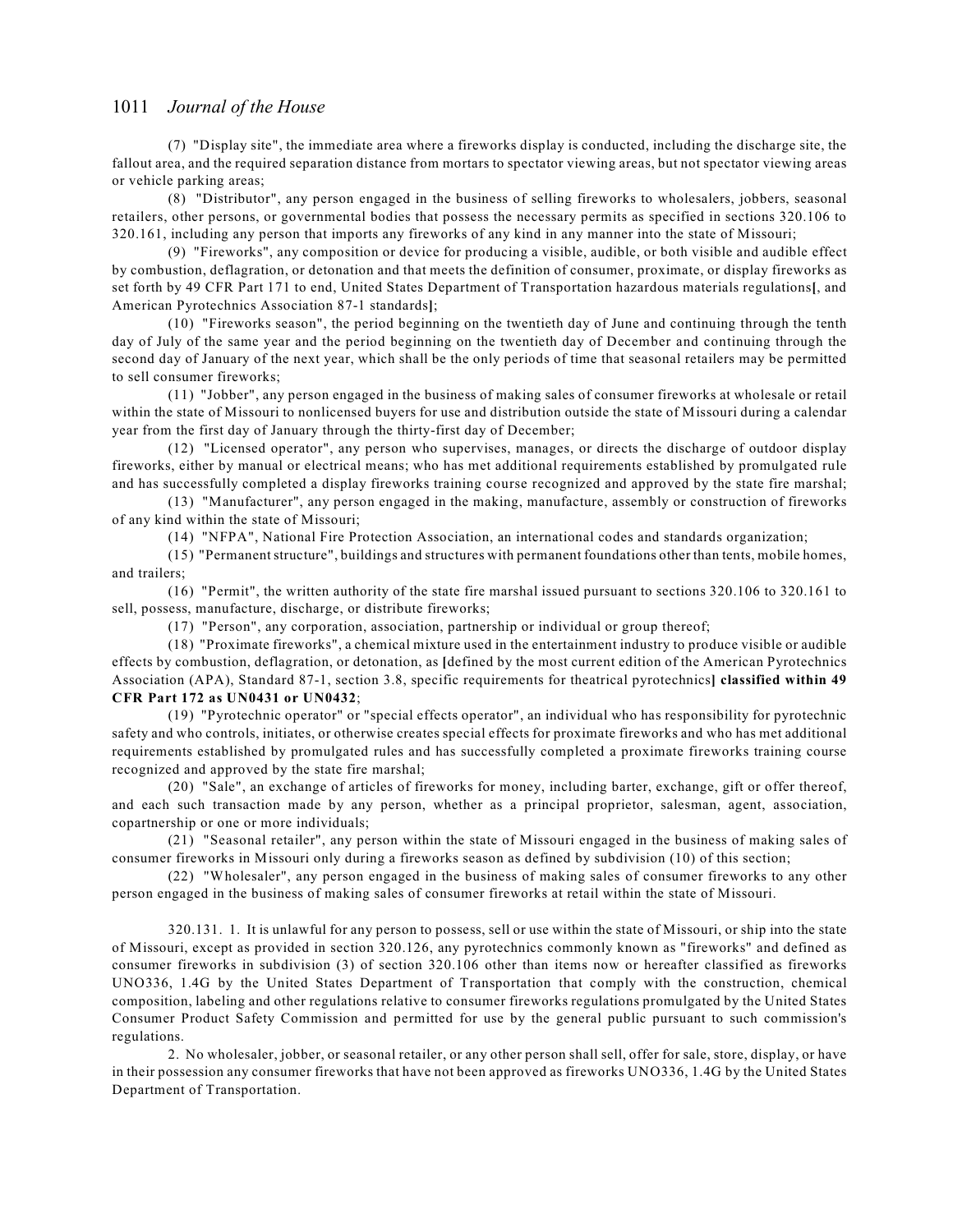(7) "Display site", the immediate area where a fireworks display is conducted, including the discharge site, the fallout area, and the required separation distance from mortars to spectator viewing areas, but not spectator viewing areas or vehicle parking areas;

(8) "Distributor", any person engaged in the business of selling fireworks to wholesalers, jobbers, seasonal retailers, other persons, or governmental bodies that possess the necessary permits as specified in sections 320.106 to 320.161, including any person that imports any fireworks of any kind in any manner into the state of Missouri;

(9) "Fireworks", any composition or device for producing a visible, audible, or both visible and audible effect by combustion, deflagration, or detonation and that meets the definition of consumer, proximate, or display fireworks as set forth by 49 CFR Part 171 to end, United States Department of Transportation hazardous materials regulations**[**, and American Pyrotechnics Association 87-1 standards**]**;

(10) "Fireworks season", the period beginning on the twentieth day of June and continuing through the tenth day of July of the same year and the period beginning on the twentieth day of December and continuing through the second day of January of the next year, which shall be the only periods of time that seasonal retailers may be permitted to sell consumer fireworks;

(11) "Jobber", any person engaged in the business of making sales of consumer fireworks at wholesale or retail within the state of Missouri to nonlicensed buyers for use and distribution outside the state of Missouri during a calendar year from the first day of January through the thirty-first day of December;

(12) "Licensed operator", any person who supervises, manages, or directs the discharge of outdoor display fireworks, either by manual or electrical means; who has met additional requirements established by promulgated rule and has successfully completed a display fireworks training course recognized and approved by the state fire marshal;

(13) "Manufacturer", any person engaged in the making, manufacture, assembly or construction of fireworks of any kind within the state of Missouri;

(14) "NFPA", National Fire Protection Association, an international codes and standards organization;

(15) "Permanentstructure", buildings and structures with permanent foundations other than tents, mobile homes, and trailers;

(16) "Permit", the written authority of the state fire marshal issued pursuant to sections 320.106 to 320.161 to sell, possess, manufacture, discharge, or distribute fireworks;

(17) "Person", any corporation, association, partnership or individual or group thereof;

(18) "Proximate fireworks", a chemical mixture used in the entertainment industry to produce visible or audible effects by combustion, deflagration, or detonation, as **[**defined by the most current edition of the American Pyrotechnics Association (APA), Standard 87-1, section 3.8, specific requirements for theatrical pyrotechnics**] classified within 49 CFR Part 172 as UN0431 or UN0432**;

(19) "Pyrotechnic operator" or "special effects operator", an individual who has responsibility for pyrotechnic safety and who controls, initiates, or otherwise creates special effects for proximate fireworks and who has met additional requirements established by promulgated rules and has successfully completed a proximate fireworks training course recognized and approved by the state fire marshal;

(20) "Sale", an exchange of articles of fireworks for money, including barter, exchange, gift or offer thereof, and each such transaction made by any person, whether as a principal proprietor, salesman, agent, association, copartnership or one or more individuals;

(21) "Seasonal retailer", any person within the state of Missouri engaged in the business of making sales of consumer fireworks in Missouri only during a fireworks season as defined by subdivision (10) of this section;

(22) "Wholesaler", any person engaged in the business of making sales of consumer fireworks to any other person engaged in the business of making sales of consumer fireworks at retail within the state of Missouri.

320.131. 1. It is unlawful for any person to possess, sell or use within the state of Missouri, or ship into the state of Missouri, except as provided in section 320.126, any pyrotechnics commonly known as "fireworks" and defined as consumer fireworks in subdivision (3) of section 320.106 other than items now or hereafter classified as fireworks UNO336, 1.4G by the United States Department of Transportation that comply with the construction, chemical composition, labeling and other regulations relative to consumer fireworks regulations promulgated by the United States Consumer Product Safety Commission and permitted for use by the general public pursuant to such commission's regulations.

2. No wholesaler, jobber, or seasonal retailer, or any other person shall sell, offer for sale, store, display, or have in their possession any consumer fireworks that have not been approved as fireworks UNO336, 1.4G by the United States Department of Transportation.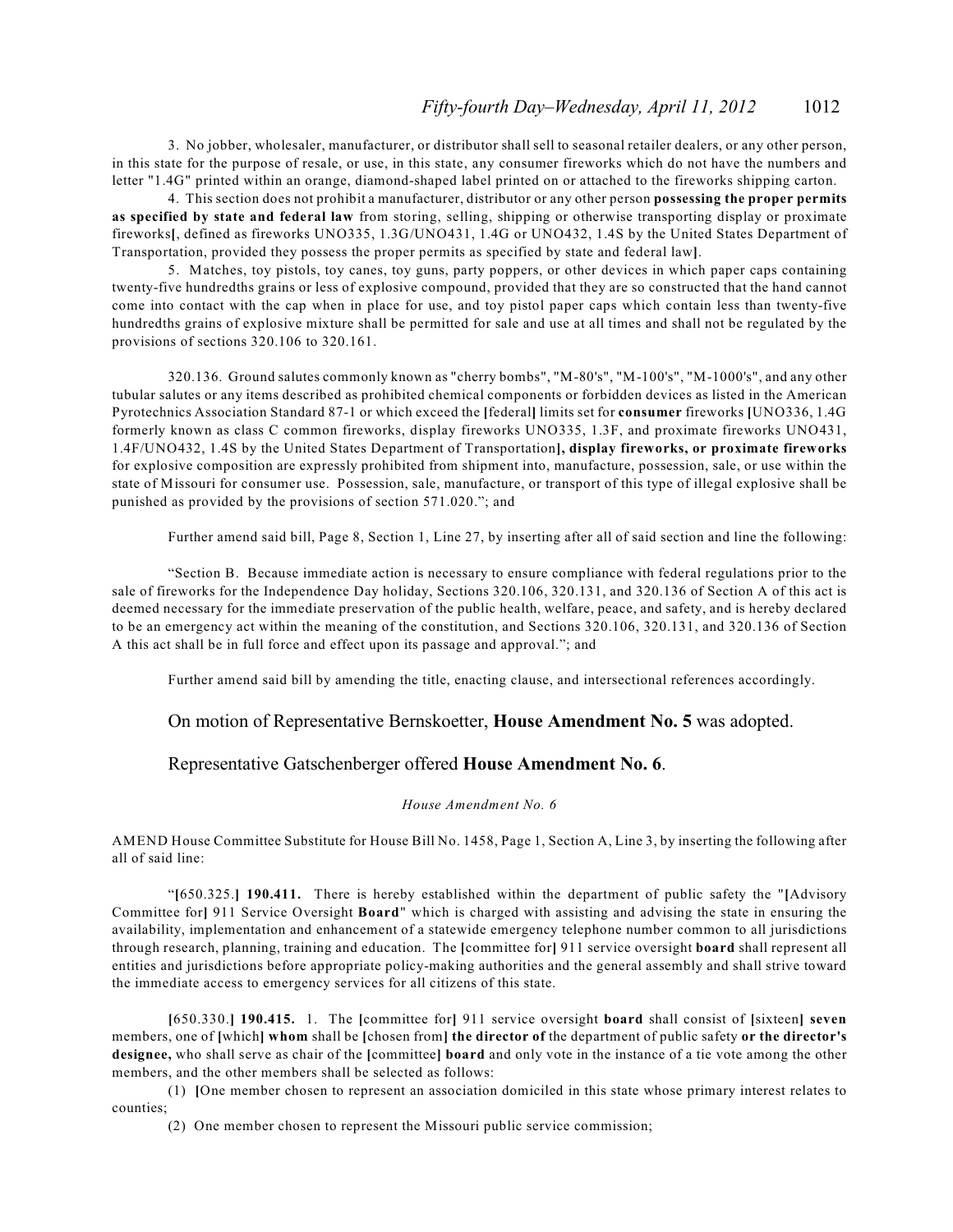3. No jobber, wholesaler, manufacturer, or distributor shall sell to seasonal retailer dealers, or any other person, in this state for the purpose of resale, or use, in this state, any consumer fireworks which do not have the numbers and letter "1.4G" printed within an orange, diamond-shaped label printed on or attached to the fireworks shipping carton.

4. This section does not prohibit a manufacturer, distributor or any other person **possessing the proper permits as specified by state and federal law** from storing, selling, shipping or otherwise transporting display or proximate fireworks**[**, defined as fireworks UNO335, 1.3G/UNO431, 1.4G or UNO432, 1.4S by the United States Department of Transportation, provided they possess the proper permits as specified by state and federal law**]**.

5. Matches, toy pistols, toy canes, toy guns, party poppers, or other devices in which paper caps containing twenty-five hundredths grains or less of explosive compound, provided that they are so constructed that the hand cannot come into contact with the cap when in place for use, and toy pistol paper caps which contain less than twenty-five hundredths grains of explosive mixture shall be permitted for sale and use at all times and shall not be regulated by the provisions of sections 320.106 to 320.161.

320.136. Ground salutes commonly known as "cherry bombs", "M-80's", "M-100's", "M-1000's", and any other tubular salutes or any items described as prohibited chemical components or forbidden devices as listed in the American Pyrotechnics Association Standard 87-1 or which exceed the **[**federal**]** limits set for **consumer** fireworks **[**UNO336, 1.4G formerly known as class C common fireworks, display fireworks UNO335, 1.3F, and proximate fireworks UNO431, 1.4F/UNO432, 1.4S by the United States Department of Transportation**], display fireworks, or proximate fireworks** for explosive composition are expressly prohibited from shipment into, manufacture, possession, sale, or use within the state of Missouri for consumer use. Possession, sale, manufacture, or transport of this type of illegal explosive shall be punished as provided by the provisions of section 571.020."; and

Further amend said bill, Page 8, Section 1, Line 27, by inserting after all of said section and line the following:

"Section B. Because immediate action is necessary to ensure compliance with federal regulations prior to the sale of fireworks for the Independence Day holiday, Sections 320.106, 320.131, and 320.136 of Section A of this act is deemed necessary for the immediate preservation of the public health, welfare, peace, and safety, and is hereby declared to be an emergency act within the meaning of the constitution, and Sections 320.106, 320.131, and 320.136 of Section A this act shall be in full force and effect upon its passage and approval."; and

Further amend said bill by amending the title, enacting clause, and intersectional references accordingly.

#### On motion of Representative Bernskoetter, **House Amendment No. 5** was adopted.

#### Representative Gatschenberger offered **House Amendment No. 6**.

#### *House Amendment No. 6*

AMEND House Committee Substitute for House Bill No. 1458, Page 1, Section A, Line 3, by inserting the following after all of said line:

"**[**650.325.**] 190.411.** There is hereby established within the department of public safety the "**[**Advisory Committee for**]** 911 Service Oversight **Board**" which is charged with assisting and advising the state in ensuring the availability, implementation and enhancement of a statewide emergency telephone number common to all jurisdictions through research, planning, training and education. The **[**committee for**]** 911 service oversight **board** shall represent all entities and jurisdictions before appropriate policy-making authorities and the general assembly and shall strive toward the immediate access to emergency services for all citizens of this state.

**[**650.330.**] 190.415.** 1. The **[**committee for**]** 911 service oversight **board** shall consist of **[**sixteen**] seven** members, one of **[**which**] whom** shall be **[**chosen from**] the director of** the department of public safety **or the director's designee,** who shall serve as chair of the **[**committee**] board** and only vote in the instance of a tie vote among the other members, and the other members shall be selected as follows:

(1) **[**One member chosen to represent an association domiciled in this state whose primary interest relates to counties;

(2) One member chosen to represent the Missouri public service commission;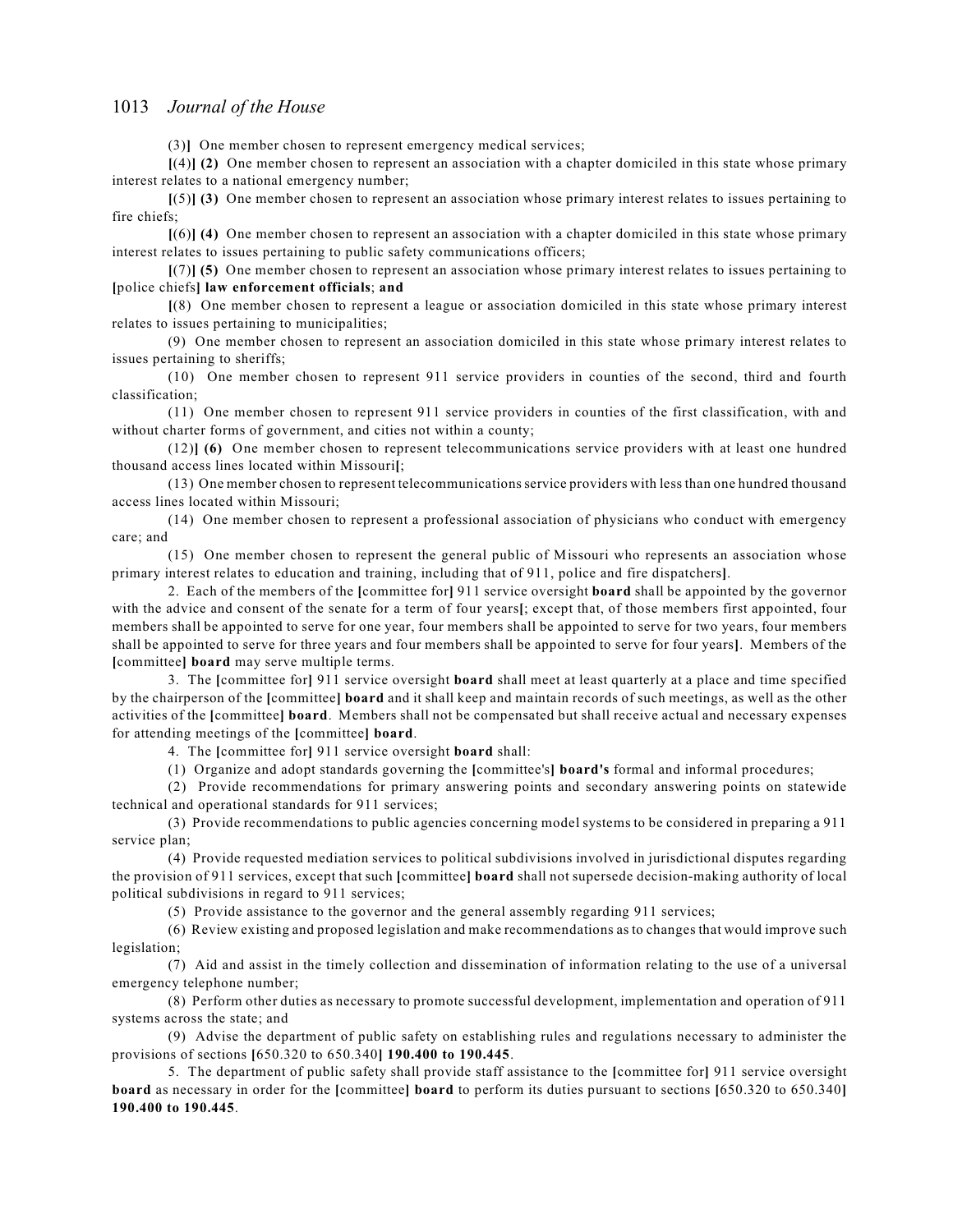(3)**]** One member chosen to represent emergency medical services;

**[**(4)**] (2)** One member chosen to represent an association with a chapter domiciled in this state whose primary interest relates to a national emergency number;

**[**(5)**] (3)** One member chosen to represent an association whose primary interest relates to issues pertaining to fire chiefs;

**[**(6)**] (4)** One member chosen to represent an association with a chapter domiciled in this state whose primary interest relates to issues pertaining to public safety communications officers;

**[**(7)**] (5)** One member chosen to represent an association whose primary interest relates to issues pertaining to **[**police chiefs**] law enforcement officials**; **and**

**[**(8) One member chosen to represent a league or association domiciled in this state whose primary interest relates to issues pertaining to municipalities;

(9) One member chosen to represent an association domiciled in this state whose primary interest relates to issues pertaining to sheriffs;

(10) One member chosen to represent 911 service providers in counties of the second, third and fourth classification;

(11) One member chosen to represent 911 service providers in counties of the first classification, with and without charter forms of government, and cities not within a county;

(12)**] (6)** One member chosen to represent telecommunications service providers with at least one hundred thousand access lines located within Missouri**[**;

(13) One member chosen to represent telecommunications service providers with less than one hundred thousand access lines located within Missouri;

(14) One member chosen to represent a professional association of physicians who conduct with emergency care; and

(15) One member chosen to represent the general public of Missouri who represents an association whose primary interest relates to education and training, including that of 911, police and fire dispatchers**]**.

2. Each of the members of the **[**committee for**]** 911 service oversight **board** shall be appointed by the governor with the advice and consent of the senate for a term of four years**[**; except that, of those members first appointed, four members shall be appointed to serve for one year, four members shall be appointed to serve for two years, four members shall be appointed to serve for three years and four members shall be appointed to serve for four years**]**. Members of the **[**committee**] board** may serve multiple terms.

3. The **[**committee for**]** 911 service oversight **board** shall meet at least quarterly at a place and time specified by the chairperson of the **[**committee**] board** and it shall keep and maintain records of such meetings, as well as the other activities of the **[**committee**] board**. Members shall not be compensated but shall receive actual and necessary expenses for attending meetings of the **[**committee**] board**.

4. The **[**committee for**]** 911 service oversight **board** shall:

(1) Organize and adopt standards governing the **[**committee's**] board's** formal and informal procedures;

(2) Provide recommendations for primary answering points and secondary answering points on statewide technical and operational standards for 911 services;

(3) Provide recommendations to public agencies concerning model systems to be considered in preparing a 911 service plan;

(4) Provide requested mediation services to political subdivisions involved in jurisdictional disputes regarding the provision of 911 services, except that such **[**committee**] board** shall not supersede decision-making authority of local political subdivisions in regard to 911 services;

(5) Provide assistance to the governor and the general assembly regarding 911 services;

(6) Review existing and proposed legislation and make recommendations as to changes that would improve such legislation;

(7) Aid and assist in the timely collection and dissemination of information relating to the use of a universal emergency telephone number;

(8) Perform other duties as necessary to promote successful development, implementation and operation of 911 systems across the state; and

(9) Advise the department of public safety on establishing rules and regulations necessary to administer the provisions of sections **[**650.320 to 650.340**] 190.400 to 190.445**.

5. The department of public safety shall provide staff assistance to the **[**committee for**]** 911 service oversight **board** as necessary in order for the **[**committee**] board** to perform its duties pursuant to sections **[**650.320 to 650.340**] 190.400 to 190.445**.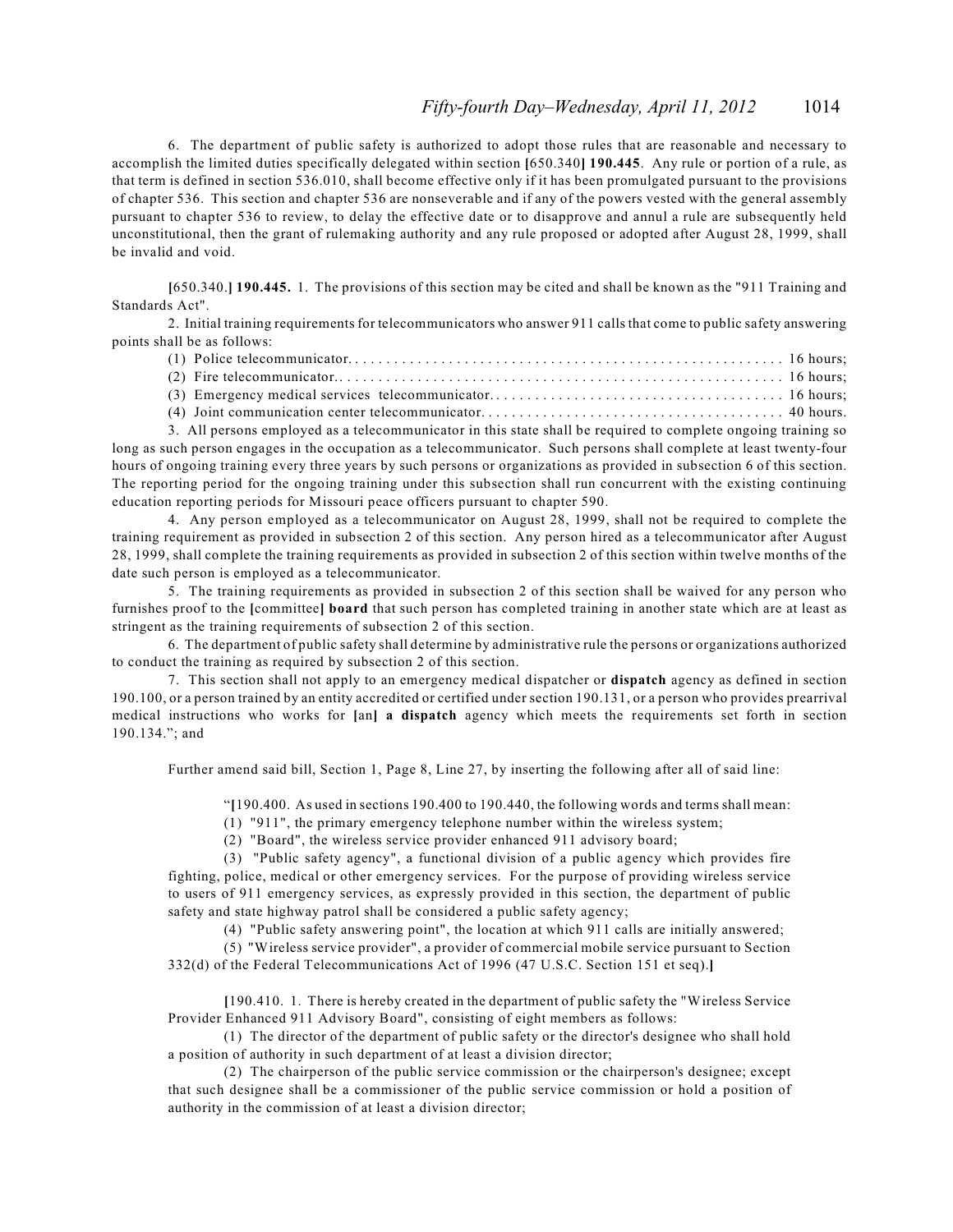6. The department of public safety is authorized to adopt those rules that are reasonable and necessary to accomplish the limited duties specifically delegated within section **[**650.340**] 190.445**. Any rule or portion of a rule, as that term is defined in section 536.010, shall become effective only if it has been promulgated pursuant to the provisions of chapter 536. This section and chapter 536 are nonseverable and if any of the powers vested with the general assembly pursuant to chapter 536 to review, to delay the effective date or to disapprove and annul a rule are subsequently held unconstitutional, then the grant of rulemaking authority and any rule proposed or adopted after August 28, 1999, shall be invalid and void.

**[**650.340.**] 190.445.** 1. The provisions of this section may be cited and shall be known as the "911 Training and Standards Act".

2. Initial training requirements for telecommunicators who answer 911 calls that come to public safety answering points shall be as follows:

3. All persons employed as a telecommunicator in this state shall be required to complete ongoing training so long as such person engages in the occupation as a telecommunicator. Such persons shall complete at least twenty-four hours of ongoing training every three years by such persons or organizations as provided in subsection 6 of this section. The reporting period for the ongoing training under this subsection shall run concurrent with the existing continuing education reporting periods for Missouri peace officers pursuant to chapter 590.

4. Any person employed as a telecommunicator on August 28, 1999, shall not be required to complete the training requirement as provided in subsection 2 of this section. Any person hired as a telecommunicator after August 28, 1999, shall complete the training requirements as provided in subsection 2 of this section within twelve months of the date such person is employed as a telecommunicator.

5. The training requirements as provided in subsection 2 of this section shall be waived for any person who furnishes proof to the **[**committee**] board** that such person has completed training in another state which are at least as stringent as the training requirements of subsection 2 of this section.

6. The department of public safety shall determine by administrative rule the persons or organizations authorized to conduct the training as required by subsection 2 of this section.

7. This section shall not apply to an emergency medical dispatcher or **dispatch** agency as defined in section 190.100, or a person trained by an entity accredited or certified under section 190.131, or a person who provides prearrival medical instructions who works for **[**an**] a dispatch** agency which meets the requirements set forth in section 190.134."; and

Further amend said bill, Section 1, Page 8, Line 27, by inserting the following after all of said line:

"**[**190.400. As used in sections 190.400 to 190.440, the following words and terms shall mean:

(1) "911", the primary emergency telephone number within the wireless system;

(2) "Board", the wireless service provider enhanced 911 advisory board;

(3) "Public safety agency", a functional division of a public agency which provides fire fighting, police, medical or other emergency services. For the purpose of providing wireless service to users of 911 emergency services, as expressly provided in this section, the department of public safety and state highway patrol shall be considered a public safety agency;

(4) "Public safety answering point", the location at which 911 calls are initially answered;

(5) "Wireless service provider", a provider of commercial mobile service pursuant to Section 332(d) of the Federal Telecommunications Act of 1996 (47 U.S.C. Section 151 et seq).**]**

**[**190.410. 1. There is hereby created in the department of public safety the "Wireless Service Provider Enhanced 911 Advisory Board", consisting of eight members as follows:

(1) The director of the department of public safety or the director's designee who shall hold a position of authority in such department of at least a division director;

(2) The chairperson of the public service commission or the chairperson's designee; except that such designee shall be a commissioner of the public service commission or hold a position of authority in the commission of at least a division director;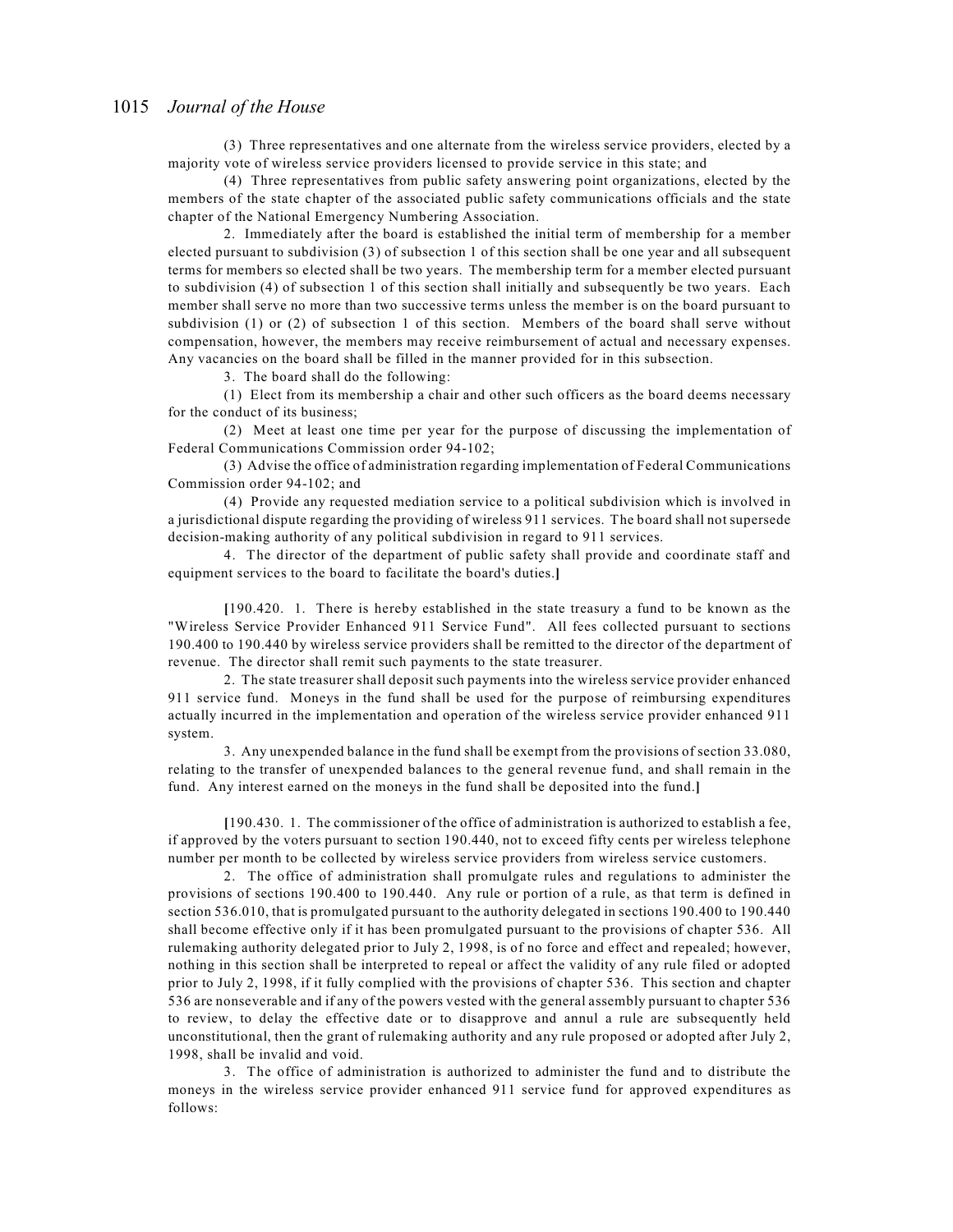(3) Three representatives and one alternate from the wireless service providers, elected by a majority vote of wireless service providers licensed to provide service in this state; and

(4) Three representatives from public safety answering point organizations, elected by the members of the state chapter of the associated public safety communications officials and the state chapter of the National Emergency Numbering Association.

2. Immediately after the board is established the initial term of membership for a member elected pursuant to subdivision (3) of subsection 1 of this section shall be one year and all subsequent terms for members so elected shall be two years. The membership term for a member elected pursuant to subdivision (4) of subsection 1 of this section shall initially and subsequently be two years. Each member shall serve no more than two successive terms unless the member is on the board pursuant to subdivision (1) or (2) of subsection 1 of this section. Members of the board shall serve without compensation, however, the members may receive reimbursement of actual and necessary expenses. Any vacancies on the board shall be filled in the manner provided for in this subsection.

3. The board shall do the following:

(1) Elect from its membership a chair and other such officers as the board deems necessary for the conduct of its business;

(2) Meet at least one time per year for the purpose of discussing the implementation of Federal Communications Commission order 94-102;

(3) Advise the office of administration regarding implementation of Federal Communications Commission order 94-102; and

(4) Provide any requested mediation service to a political subdivision which is involved in a jurisdictional dispute regarding the providing of wireless 911 services. The board shall not supersede decision-making authority of any political subdivision in regard to 911 services.

4. The director of the department of public safety shall provide and coordinate staff and equipment services to the board to facilitate the board's duties.**]**

**[**190.420. 1. There is hereby established in the state treasury a fund to be known as the "Wireless Service Provider Enhanced 911 Service Fund". All fees collected pursuant to sections 190.400 to 190.440 by wireless service providers shall be remitted to the director of the department of revenue. The director shall remit such payments to the state treasurer.

2. The state treasurer shall deposit such payments into the wireless service provider enhanced 911 service fund. Moneys in the fund shall be used for the purpose of reimbursing expenditures actually incurred in the implementation and operation of the wireless service provider enhanced 911 system.

3. Any unexpended balance in the fund shall be exempt from the provisions of section 33.080, relating to the transfer of unexpended balances to the general revenue fund, and shall remain in the fund. Any interest earned on the moneys in the fund shall be deposited into the fund.**]**

**[**190.430. 1. The commissioner of the office of administration is authorized to establish a fee, if approved by the voters pursuant to section 190.440, not to exceed fifty cents per wireless telephone number per month to be collected by wireless service providers from wireless service customers.

2. The office of administration shall promulgate rules and regulations to administer the provisions of sections 190.400 to 190.440. Any rule or portion of a rule, as that term is defined in section 536.010, that is promulgated pursuant to the authority delegated in sections 190.400 to 190.440 shall become effective only if it has been promulgated pursuant to the provisions of chapter 536. All rulemaking authority delegated prior to July 2, 1998, is of no force and effect and repealed; however, nothing in this section shall be interpreted to repeal or affect the validity of any rule filed or adopted prior to July 2, 1998, if it fully complied with the provisions of chapter 536. This section and chapter 536 are nonseverable and if any of the powers vested with the general assembly pursuant to chapter 536 to review, to delay the effective date or to disapprove and annul a rule are subsequently held unconstitutional, then the grant of rulemaking authority and any rule proposed or adopted after July 2, 1998, shall be invalid and void.

3. The office of administration is authorized to administer the fund and to distribute the moneys in the wireless service provider enhanced 911 service fund for approved expenditures as follows: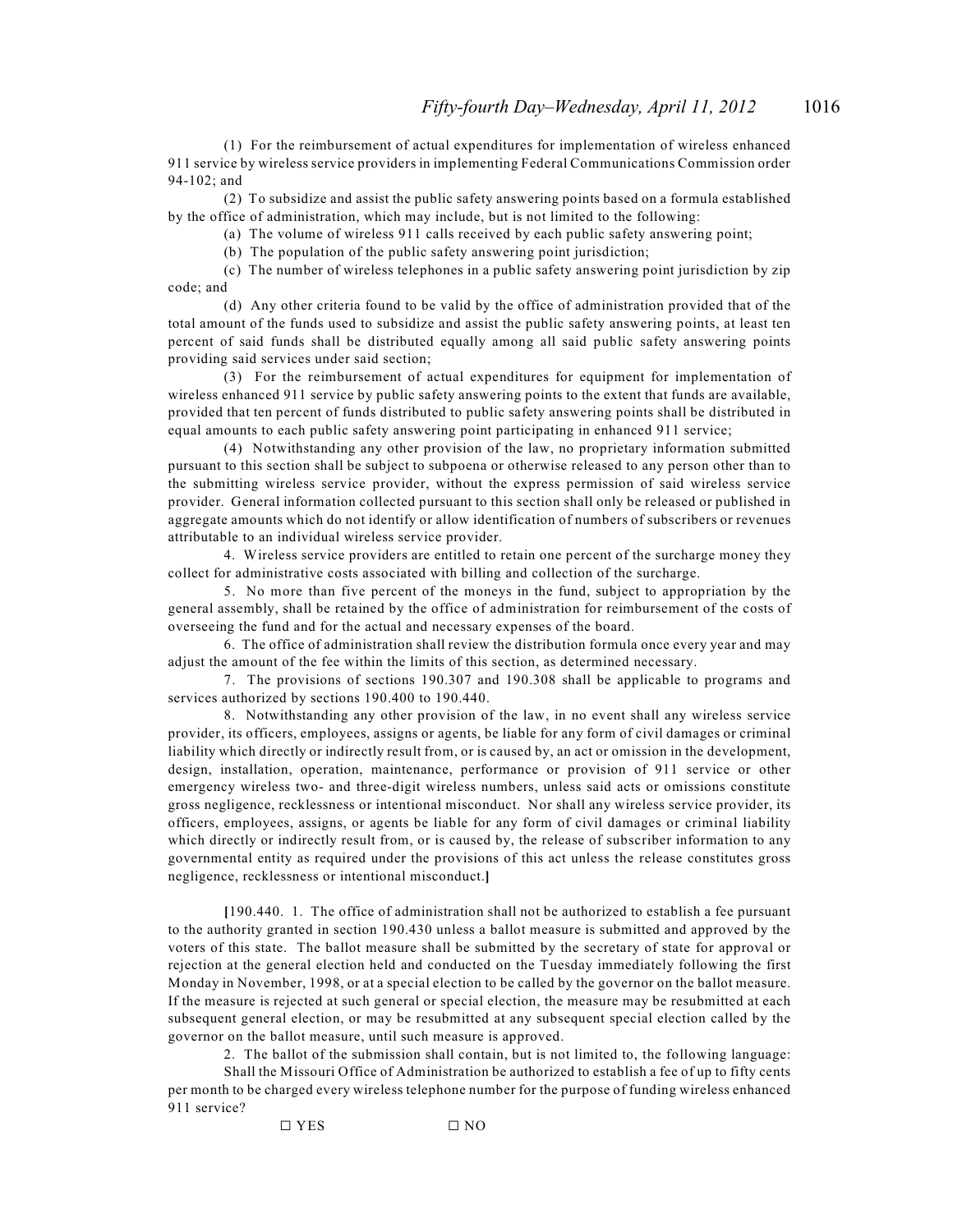(1) For the reimbursement of actual expenditures for implementation of wireless enhanced 911 service by wireless service providers in implementing Federal Communications Commission order 94-102; and

(2) To subsidize and assist the public safety answering points based on a formula established by the office of administration, which may include, but is not limited to the following:

(a) The volume of wireless 911 calls received by each public safety answering point;

(b) The population of the public safety answering point jurisdiction;

(c) The number of wireless telephones in a public safety answering point jurisdiction by zip code; and

(d) Any other criteria found to be valid by the office of administration provided that of the total amount of the funds used to subsidize and assist the public safety answering points, at least ten percent of said funds shall be distributed equally among all said public safety answering points providing said services under said section;

(3) For the reimbursement of actual expenditures for equipment for implementation of wireless enhanced 911 service by public safety answering points to the extent that funds are available, provided that ten percent of funds distributed to public safety answering points shall be distributed in equal amounts to each public safety answering point participating in enhanced 911 service;

(4) Notwithstanding any other provision of the law, no proprietary information submitted pursuant to this section shall be subject to subpoena or otherwise released to any person other than to the submitting wireless service provider, without the express permission of said wireless service provider. General information collected pursuant to this section shall only be released or published in aggregate amounts which do not identify or allow identification of numbers of subscribers or revenues attributable to an individual wireless service provider.

4. Wireless service providers are entitled to retain one percent of the surcharge money they collect for administrative costs associated with billing and collection of the surcharge.

5. No more than five percent of the moneys in the fund, subject to appropriation by the general assembly, shall be retained by the office of administration for reimbursement of the costs of overseeing the fund and for the actual and necessary expenses of the board.

6. The office of administration shall review the distribution formula once every year and may adjust the amount of the fee within the limits of this section, as determined necessary.

7. The provisions of sections 190.307 and 190.308 shall be applicable to programs and services authorized by sections 190.400 to 190.440.

8. Notwithstanding any other provision of the law, in no event shall any wireless service provider, its officers, employees, assigns or agents, be liable for any form of civil damages or criminal liability which directly or indirectly result from, or is caused by, an act or omission in the development, design, installation, operation, maintenance, performance or provision of 911 service or other emergency wireless two- and three-digit wireless numbers, unless said acts or omissions constitute gross negligence, recklessness or intentional misconduct. Nor shall any wireless service provider, its officers, employees, assigns, or agents be liable for any form of civil damages or criminal liability which directly or indirectly result from, or is caused by, the release of subscriber information to any governmental entity as required under the provisions of this act unless the release constitutes gross negligence, recklessness or intentional misconduct.**]**

**[**190.440. 1. The office of administration shall not be authorized to establish a fee pursuant to the authority granted in section 190.430 unless a ballot measure is submitted and approved by the voters of this state. The ballot measure shall be submitted by the secretary of state for approval or rejection at the general election held and conducted on the Tuesday immediately following the first Monday in November, 1998, or at a special election to be called by the governor on the ballot measure. If the measure is rejected at such general or special election, the measure may be resubmitted at each subsequent general election, or may be resubmitted at any subsequent special election called by the governor on the ballot measure, until such measure is approved.

2. The ballot of the submission shall contain, but is not limited to, the following language:

Shall the Missouri Office of Administration be authorized to establish a fee of up to fifty cents per month to be charged every wireless telephone number for the purpose of funding wireless enhanced 911 service?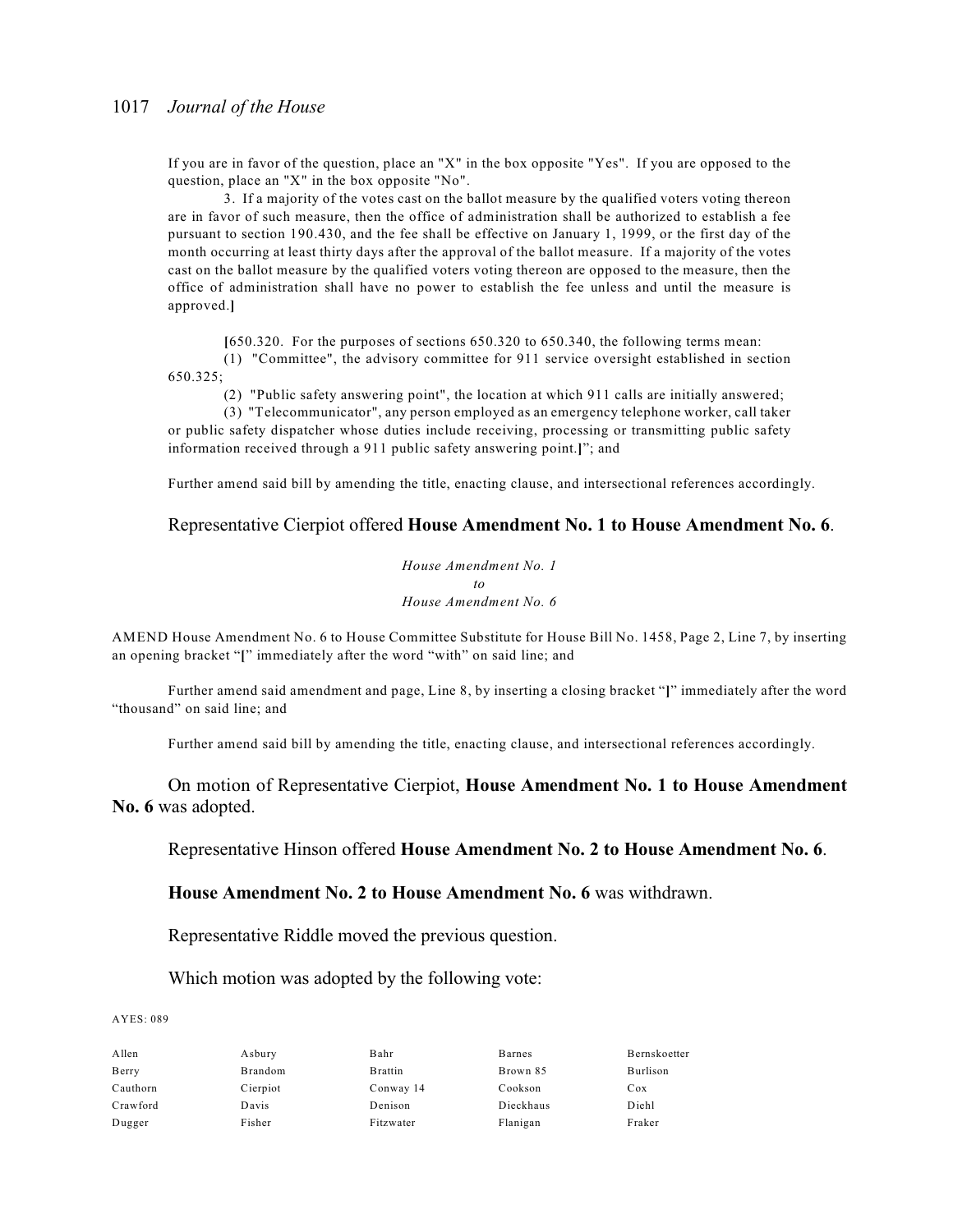If you are in favor of the question, place an "X" in the box opposite "Yes". If you are opposed to the question, place an "X" in the box opposite "No".

3. If a majority of the votes cast on the ballot measure by the qualified voters voting thereon are in favor of such measure, then the office of administration shall be authorized to establish a fee pursuant to section 190.430, and the fee shall be effective on January 1, 1999, or the first day of the month occurring at least thirty days after the approval of the ballot measure. If a majority of the votes cast on the ballot measure by the qualified voters voting thereon are opposed to the measure, then the office of administration shall have no power to establish the fee unless and until the measure is approved.**]**

**[**650.320. For the purposes of sections 650.320 to 650.340, the following terms mean:

(1) "Committee", the advisory committee for 911 service oversight established in section 650.325;

(2) "Public safety answering point", the location at which 911 calls are initially answered;

(3) "Telecommunicator", any person employed as an emergency telephone worker, call taker or public safety dispatcher whose duties include receiving, processing or transmitting public safety information received through a 911 public safety answering point.**]**"; and

Further amend said bill by amending the title, enacting clause, and intersectional references accordingly.

#### Representative Cierpiot offered **House Amendment No. 1 to House Amendment No. 6**.

*House Amendment No. 1 to House Amendment No. 6*

AMEND House Amendment No. 6 to House Committee Substitute for House Bill No. 1458, Page 2, Line 7, by inserting an opening bracket "**[**" immediately after the word "with" on said line; and

Further amend said amendment and page, Line 8, by inserting a closing bracket "**]**" immediately after the word "thousand" on said line; and

Further amend said bill by amending the title, enacting clause, and intersectional references accordingly.

On motion of Representative Cierpiot, **House Amendment No. 1 to House Amendment No. 6** was adopted.

Representative Hinson offered **House Amendment No. 2 to House Amendment No. 6**.

#### **House Amendment No. 2 to House Amendment No. 6** was withdrawn.

Representative Riddle moved the previous question.

Which motion was adopted by the following vote:

AYES: 089

| Allen    | Asbury   | Bahr            | Barnes    | Bernskoetter |
|----------|----------|-----------------|-----------|--------------|
| Berry    | Brandom  | <b>B</b> rattin | Brown 85  | Burlison     |
| Cauthorn | Cierpiot | Conway 14       | Cookson   | Cox          |
| Crawford | Davis    | Denison         | Dieckhaus | Diehl        |
| Dugger   | Fisher   | Fitzwater       | Flanigan  | Fraker       |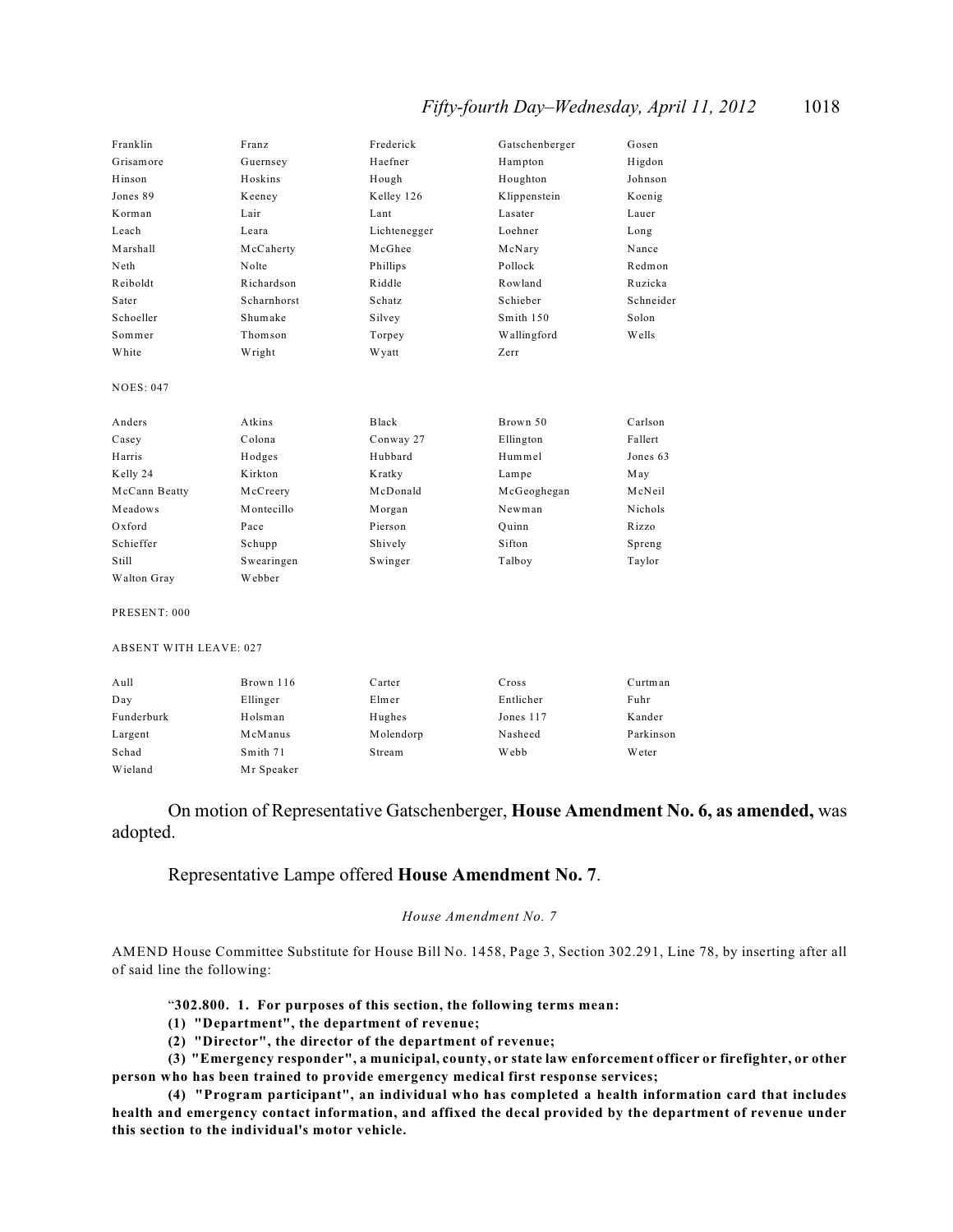### *Fifty-fourth Day–Wednesday, April 11, 2012* 1018

| Franklin         | Franz       | Frederick    | Gatschenberger | Gosen        |
|------------------|-------------|--------------|----------------|--------------|
| Grisamore        | Guernsey    | Haefner      | Hampton        | Higdon       |
| Hinson           | Hoskins     | Hough        | Houghton       | Johnson      |
| Jones 89         | Keeney      | Kelley 126   | Klippenstein   | Koenig       |
| Korman           | Lair        | Lant         | Lasater        | Lauer        |
| Leach            | Leara       | Lichtenegger | Loehner        | Long         |
| Marshall         | McCaherty   | McGhee       | McNary         | Nance        |
| Neth             | Nolte       | Phillips     | Pollock        | Redmon       |
| Reiboldt         | Richardson  | Riddle       | Rowland        | Ruzicka      |
| Sater            | Scharnhorst | Schatz       | Schieber       | Schneider    |
| Schoeller        | Shumake     | Silvey       | Smith 150      | Solon        |
| Sommer           | Thomson     | Torpey       | Wallingford    | <b>Wells</b> |
| White            | Wright      | <b>Wyatt</b> | Zerr           |              |
| <b>NOES: 047</b> |             |              |                |              |
| Anders           | Atkins      | Black        | Brown 50       | Carlson      |
| Casey            | Colona      | Conway 27    | Ellington      | Fallert      |
| Harris           | Hodges      | Hubbard      | Hummel         | Jones 63     |
| Kelly 24         | Kirkton     | Kratky       | Lampe          | May          |
| McCann Beatty    | McCreery    | McDonald     | McGeoghegan    | McNeil       |
| Meadows          | Montecillo  | Morgan       | Newman         | Nichols      |
| Oxford           | Pace        | Pierson      | Quinn          | Rizzo        |
| Schieffer        | Schupp      | Shively      | Sifton         | Spreng       |
| Still            | Swearingen  | Swinger      | Talboy         | Taylor       |
| Walton Gray      | Webber      |              |                |              |
| PRESENT: 000     |             |              |                |              |

#### ABSENT WITH LEAVE: 027

| Aull       | Brown 116  | Carter    | Cross     | Curtman   |
|------------|------------|-----------|-----------|-----------|
| Day        | Ellinger   | Elmer     | Entlicher | Fuhr      |
| Funderburk | Holsman    | Hughes    | Jones 117 | Kander    |
| Largent    | McManus    | Molendorp | Nasheed   | Parkinson |
| Schad      | Smith 71   | Stream    | Webb      | Weter     |
| Wieland    | Mr Speaker |           |           |           |

#### On motion of Representative Gatschenberger, **House Amendment No. 6, as amended,** was adopted.

#### Representative Lampe offered **House Amendment No. 7**.

#### *House Amendment No. 7*

AMEND House Committee Substitute for House Bill No. 1458, Page 3, Section 302.291, Line 78, by inserting after all of said line the following:

#### "**302.800. 1. For purposes of this section, the following terms mean:**

**(1) "Department", the department of revenue;**

**(2) "Director", the director of the department of revenue;**

**(3) "Emergency responder", a municipal, county, or state law enforcement officer or firefighter, or other person who has been trained to provide emergency medical first response services;**

**(4) "Program participant", an individual who has completed a health information card that includes health and emergency contact information, and affixed the decal provided by the department of revenue under this section to the individual's motor vehicle.**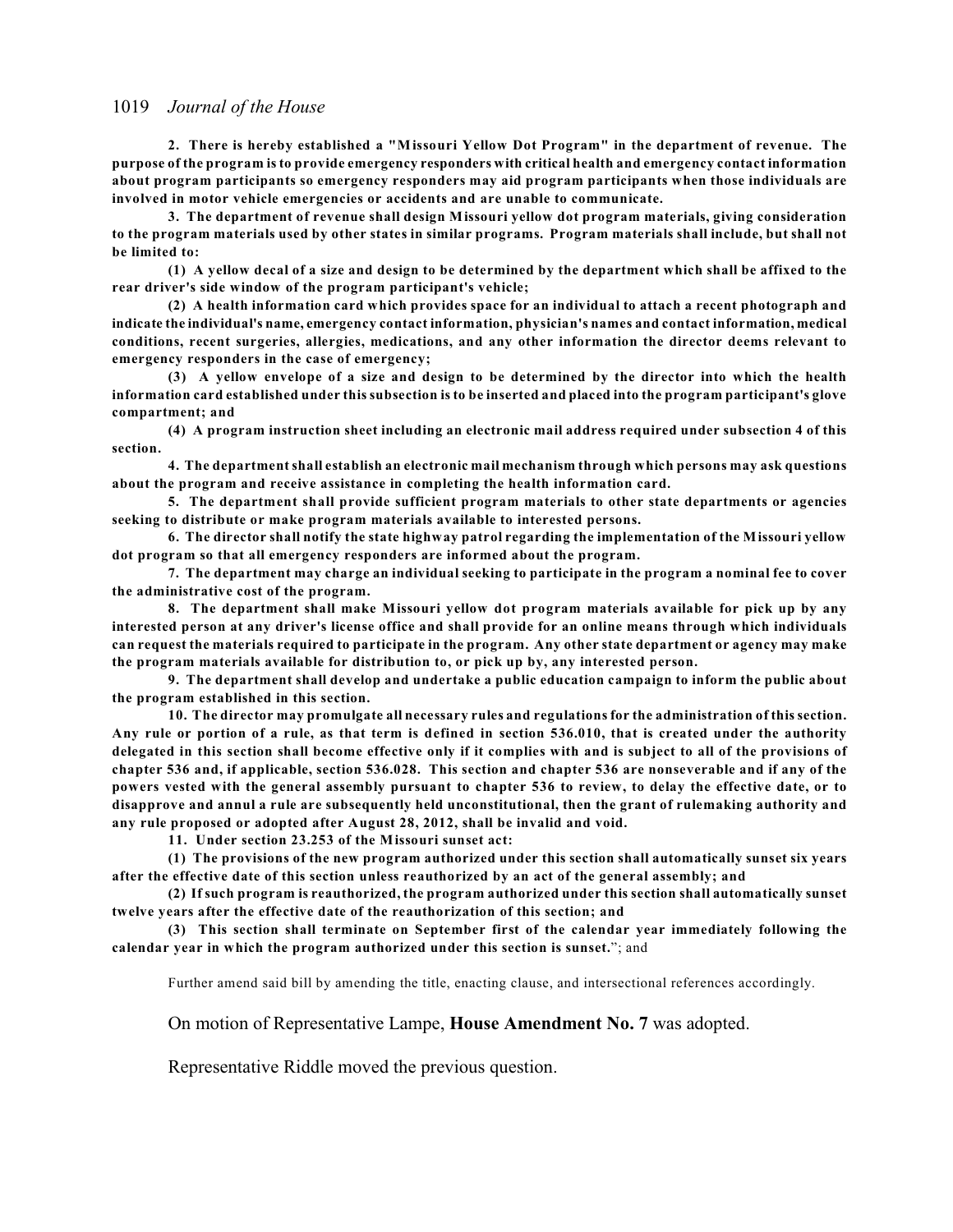**2. There is hereby established a "Missouri Yellow Dot Program" in the department of revenue. The purpose of the program is to provide emergency responders with critical health and emergency contact information about program participants so emergency responders may aid program participants when those individuals are involved in motor vehicle emergencies or accidents and are unable to communicate.**

**3. The department of revenue shall design Missouri yellow dot program materials, giving consideration to the program materials used by other states in similar programs. Program materials shall include, but shall not be limited to:**

**(1) A yellow decal of a size and design to be determined by the department which shall be affixed to the rear driver's side window of the program participant's vehicle;**

**(2) A health information card which provides space for an individual to attach a recent photograph and indicate the individual's name, emergency contact information, physician's names and contact information, medical conditions, recent surgeries, allergies, medications, and any other information the director deems relevant to emergency responders in the case of emergency;**

**(3) A yellow envelope of a size and design to be determined by the director into which the health information card established under this subsection is to be inserted and placed into the program participant's glove compartment; and**

**(4) A program instruction sheet including an electronic mail address required under subsection 4 of this section.**

**4. The department shall establish an electronic mail mechanism through which persons may ask questions about the program and receive assistance in completing the health information card.**

**5. The department shall provide sufficient program materials to other state departments or agencies seeking to distribute or make program materials available to interested persons.**

**6. The director shall notify the state highway patrol regarding the implementation of the Missouri yellow dot program so that all emergency responders are informed about the program.**

**7. The department may charge an individual seeking to participate in the program a nominal fee to cover the administrative cost of the program.**

**8. The department shall make Missouri yellow dot program materials available for pick up by any interested person at any driver's license office and shall provide for an online means through which individuals can request the materials required to participate in the program. Any other state department or agency may make the program materials available for distribution to, or pick up by, any interested person.**

**9. The department shall develop and undertake a public education campaign to inform the public about the program established in this section.**

**10. The director may promulgate all necessary rules and regulations for the administration of this section. Any rule or portion of a rule, as that term is defined in section 536.010, that is created under the authority delegated in this section shall become effective only if it complies with and is subject to all of the provisions of chapter 536 and, if applicable, section 536.028. This section and chapter 536 are nonseverable and if any of the powers vested with the general assembly pursuant to chapter 536 to review, to delay the effective date, or to disapprove and annul a rule are subsequently held unconstitutional, then the grant of rulemaking authority and any rule proposed or adopted after August 28, 2012, shall be invalid and void.**

**11. Under section 23.253 of the Missouri sunset act:**

**(1) The provisions of the new program authorized under this section shall automatically sunset six years after the effective date of this section unless reauthorized by an act of the general assembly; and**

**(2) If such program is reauthorized, the program authorized under this section shall automatically sunset twelve years after the effective date of the reauthorization of this section; and**

**(3) This section shall terminate on September first of the calendar year immediately following the calendar year in which the program authorized under this section is sunset.**"; and

Further amend said bill by amending the title, enacting clause, and intersectional references accordingly.

On motion of Representative Lampe, **House Amendment No. 7** was adopted.

Representative Riddle moved the previous question.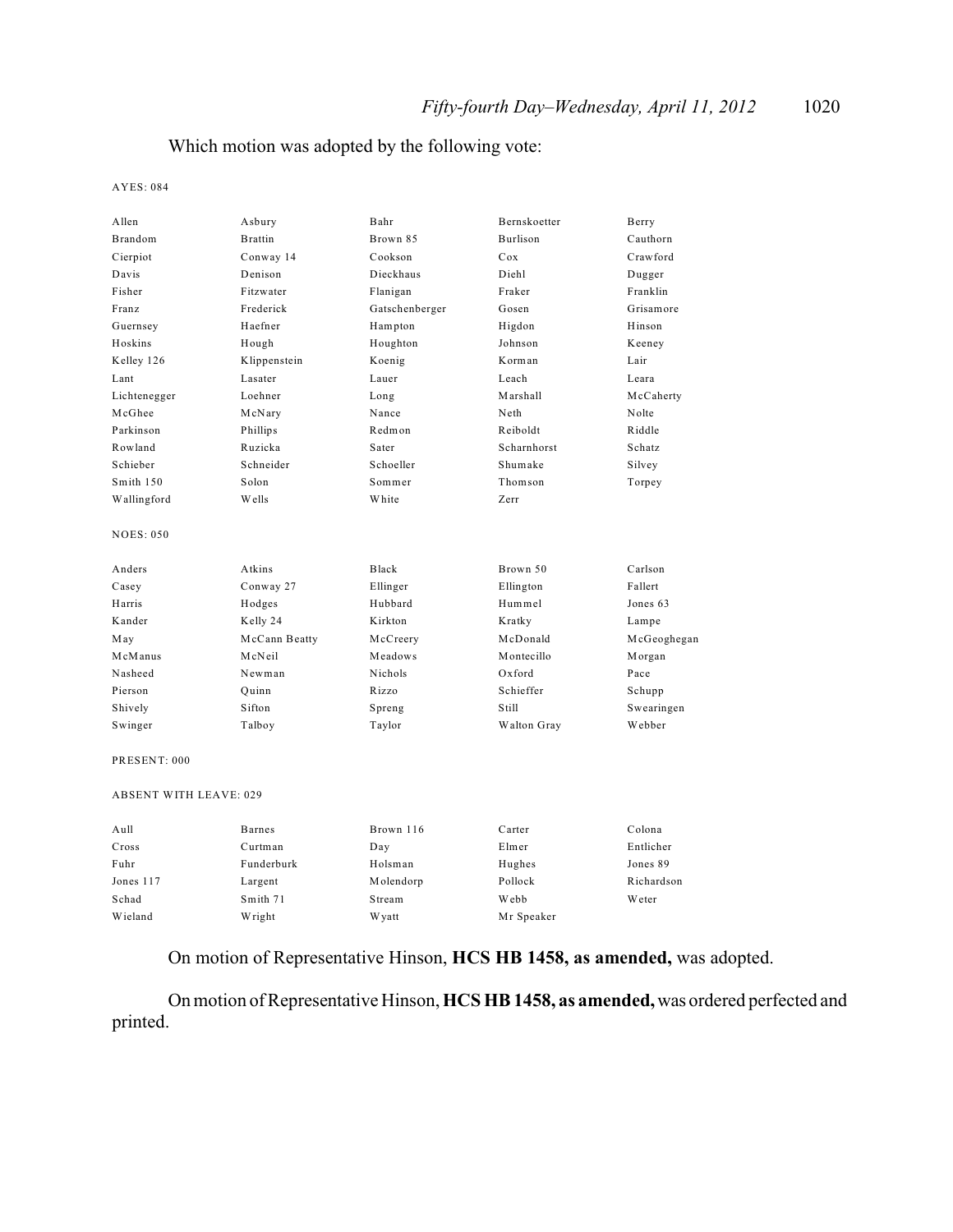### Which motion was adopted by the following vote:

AYES: 084

| Allen                         | Asbury         | Bahr           | Bernskoetter | Berry       |
|-------------------------------|----------------|----------------|--------------|-------------|
| Brandom                       | <b>Brattin</b> | Brown 85       | Burlison     | Cauthorn    |
| Cierpiot                      | Conway 14      | Cookson        | Cox          | Crawford    |
| Davis                         | Denison        | Dieckhaus      | Diehl        | Dugger      |
| Fisher                        | Fitzwater      | Flanigan       | Fraker       | Franklin    |
| <b>Franz</b>                  | Frederick      | Gatschenberger | Gosen        | Grisamore   |
| Guernsey                      | Haefner        | Hampton        | Higdon       | Hinson      |
| Hoskins                       | Hough          | Houghton       | Johnson      | Keeney      |
| Kelley 126                    | Klippenstein   | Koenig         | Korman       | Lair        |
| Lant                          | Lasater        | Lauer          | Leach        | Leara       |
| Lichtenegger                  | Loehner        | Long           | Marshall     | McCaherty   |
| McGhee                        | McNary         | Nance          | Neth         | Nolte       |
| Parkinson                     | Phillips       | Redmon         | Reiboldt     | Riddle      |
| Rowland                       | Ruzicka        | Sater          | Scharnhorst  | Schatz      |
| Schieber                      | Schneider      | Schoeller      | Shumake      | Silvey      |
| Smith 150                     | Solon          | Sommer         | Thomson      | Torpey      |
| Wallingford                   | Wells          | White          | Zerr         |             |
| <b>NOES: 050</b>              |                |                |              |             |
| Anders                        | Atkins         | Black          | Brown 50     | Carlson     |
| Casey                         | Conway 27      | Ellinger       | Ellington    | Fallert     |
| Harris                        | Hodges         | Hubbard        | Hummel       | Jones 63    |
| Kander                        | Kelly 24       | Kirkton        | Kratky       | Lampe       |
| May                           | McCann Beatty  | McCreery       | McDonald     | McGeoghegan |
| McManus                       | McNeil         | Meadows        | Montecillo   | Morgan      |
| Nasheed                       | Newman         | Nichols        | Oxford       | Pace        |
| Pierson                       | Quinn          | Rizzo          | Schieffer    | Schupp      |
| Shively                       | Sifton         | Spreng         | Still        | Swearingen  |
| Swinger                       | Talboy         | Taylor         | Walton Gray  | Webber      |
| PRESENT: 000                  |                |                |              |             |
| <b>ABSENT WITH LEAVE: 029</b> |                |                |              |             |
| Aull                          | <b>Barnes</b>  | Brown 116      | Carter       | Colona      |
| Cross                         | Curtman        | Day            | Elmer        | Entlicher   |
| Fuhr                          | Funderburk     | Holsman        | Hughes       | Jones 89    |
| Jones 117                     | Largent        | Molendorp      | Pollock      | Richardson  |
| Schad                         | Smith 71       | Stream         | Webb         | Weter       |
| Wieland                       | Wright         | W yatt         | Mr Speaker   |             |
|                               |                |                |              |             |

On motion of Representative Hinson, **HCS HB 1458, as amended,** was adopted.

On motion of Representative Hinson, **HCS HB 1458, as amended,** was ordered perfected and printed.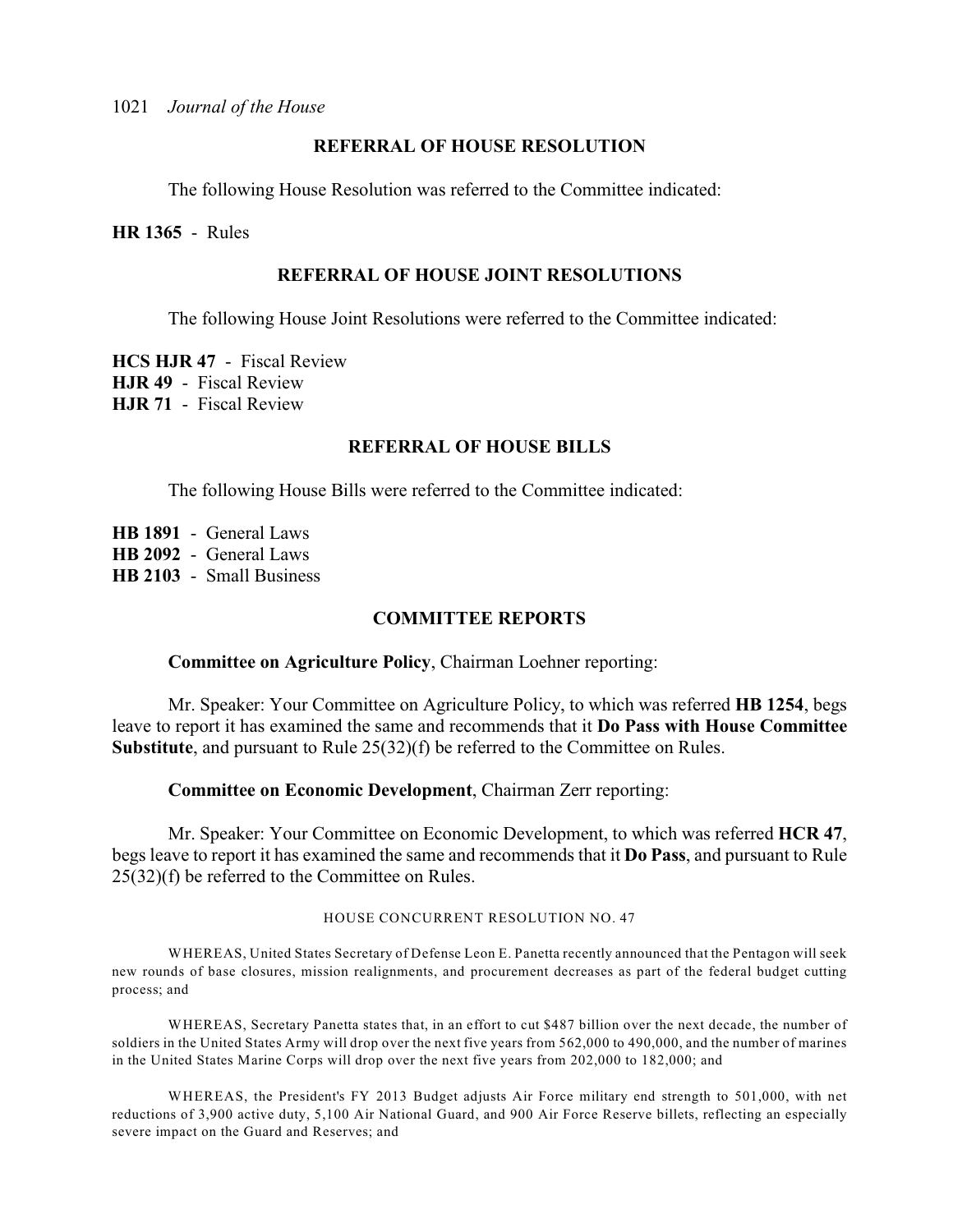### **REFERRAL OF HOUSE RESOLUTION**

The following House Resolution was referred to the Committee indicated:

**HR 1365** - Rules

### **REFERRAL OF HOUSE JOINT RESOLUTIONS**

The following House Joint Resolutions were referred to the Committee indicated:

**HCS HJR 47** - Fiscal Review **HJR 49** - Fiscal Review **HJR 71** - Fiscal Review

### **REFERRAL OF HOUSE BILLS**

The following House Bills were referred to the Committee indicated:

**HB 1891** - General Laws **HB 2092** - General Laws **HB 2103** - Small Business

### **COMMITTEE REPORTS**

**Committee on Agriculture Policy**, Chairman Loehner reporting:

Mr. Speaker: Your Committee on Agriculture Policy, to which was referred **HB 1254**, begs leave to report it has examined the same and recommends that it **Do Pass with House Committee Substitute**, and pursuant to Rule 25(32)(f) be referred to the Committee on Rules.

**Committee on Economic Development**, Chairman Zerr reporting:

Mr. Speaker: Your Committee on Economic Development, to which was referred **HCR 47**, begs leave to report it has examined the same and recommends that it **Do Pass**, and pursuant to Rule 25(32)(f) be referred to the Committee on Rules.

#### HOUSE CONCURRENT RESOLUTION NO. 47

WHEREAS, United States Secretary of Defense Leon E. Panetta recently announced that the Pentagon will seek new rounds of base closures, mission realignments, and procurement decreases as part of the federal budget cutting process; and

WHEREAS, Secretary Panetta states that, in an effort to cut \$487 billion over the next decade, the number of soldiers in the United States Army will drop over the next five years from 562,000 to 490,000, and the number of marines in the United States Marine Corps will drop over the next five years from 202,000 to 182,000; and

WHEREAS, the President's FY 2013 Budget adjusts Air Force military end strength to 501,000, with net reductions of 3,900 active duty, 5,100 Air National Guard, and 900 Air Force Reserve billets, reflecting an especially severe impact on the Guard and Reserves; and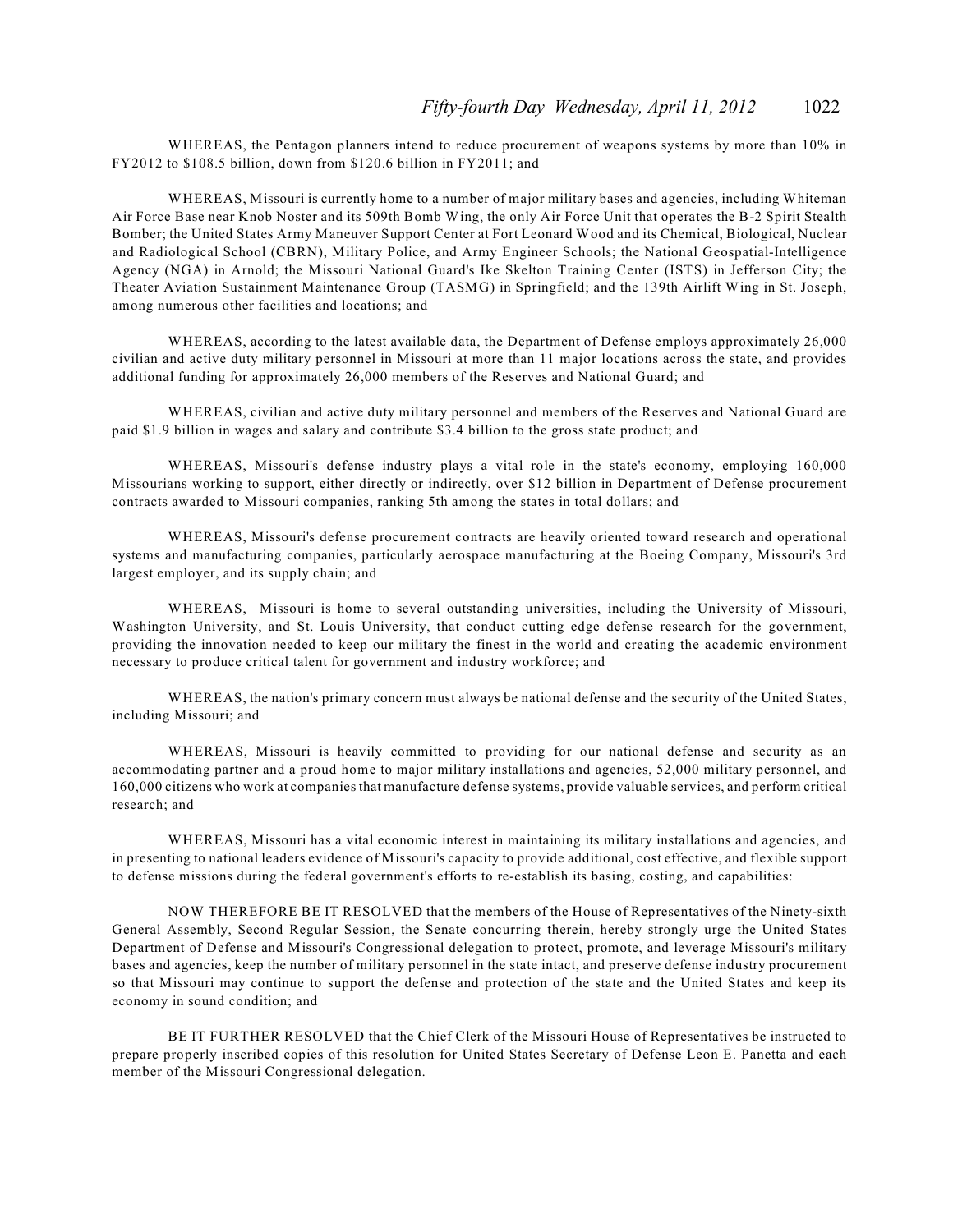WHEREAS, the Pentagon planners intend to reduce procurement of weapons systems by more than 10% in FY2012 to \$108.5 billion, down from \$120.6 billion in FY2011; and

WHEREAS, Missouri is currently home to a number of major military bases and agencies, including Whiteman Air Force Base near Knob Noster and its 509th Bomb Wing, the only Air Force Unit that operates the B-2 Spirit Stealth Bomber; the United States Army Maneuver Support Center at Fort Leonard Wood and its Chemical, Biological, Nuclear and Radiological School (CBRN), Military Police, and Army Engineer Schools; the National Geospatial-Intelligence Agency (NGA) in Arnold; the Missouri National Guard's Ike Skelton Training Center (ISTS) in Jefferson City; the Theater Aviation Sustainment Maintenance Group (TASMG) in Springfield; and the 139th Airlift Wing in St. Joseph, among numerous other facilities and locations; and

WHEREAS, according to the latest available data, the Department of Defense employs approximately 26,000 civilian and active duty military personnel in Missouri at more than 11 major locations across the state, and provides additional funding for approximately 26,000 members of the Reserves and National Guard; and

WHEREAS, civilian and active duty military personnel and members of the Reserves and National Guard are paid \$1.9 billion in wages and salary and contribute \$3.4 billion to the gross state product; and

WHEREAS, Missouri's defense industry plays a vital role in the state's economy, employing 160,000 Missourians working to support, either directly or indirectly, over \$12 billion in Department of Defense procurement contracts awarded to Missouri companies, ranking 5th among the states in total dollars; and

WHEREAS, Missouri's defense procurement contracts are heavily oriented toward research and operational systems and manufacturing companies, particularly aerospace manufacturing at the Boeing Company, Missouri's 3rd largest employer, and its supply chain; and

WHEREAS, Missouri is home to several outstanding universities, including the University of Missouri, Washington University, and St. Louis University, that conduct cutting edge defense research for the government, providing the innovation needed to keep our military the finest in the world and creating the academic environment necessary to produce critical talent for government and industry workforce; and

WHEREAS, the nation's primary concern must always be national defense and the security of the United States, including Missouri; and

WHEREAS, Missouri is heavily committed to providing for our national defense and security as an accommodating partner and a proud home to major military installations and agencies, 52,000 military personnel, and 160,000 citizens who work at companies that manufacture defense systems, provide valuable services, and perform critical research; and

WHEREAS, Missouri has a vital economic interest in maintaining its military installations and agencies, and in presenting to national leaders evidence of Missouri's capacity to provide additional, cost effective, and flexible support to defense missions during the federal government's efforts to re-establish its basing, costing, and capabilities:

NOW THEREFORE BE IT RESOLVED that the members of the House of Representatives of the Ninety-sixth General Assembly, Second Regular Session, the Senate concurring therein, hereby strongly urge the United States Department of Defense and Missouri's Congressional delegation to protect, promote, and leverage Missouri's military bases and agencies, keep the number of military personnel in the state intact, and preserve defense industry procurement so that Missouri may continue to support the defense and protection of the state and the United States and keep its economy in sound condition; and

BE IT FURTHER RESOLVED that the Chief Clerk of the Missouri House of Representatives be instructed to prepare properly inscribed copies of this resolution for United States Secretary of Defense Leon E. Panetta and each member of the Missouri Congressional delegation.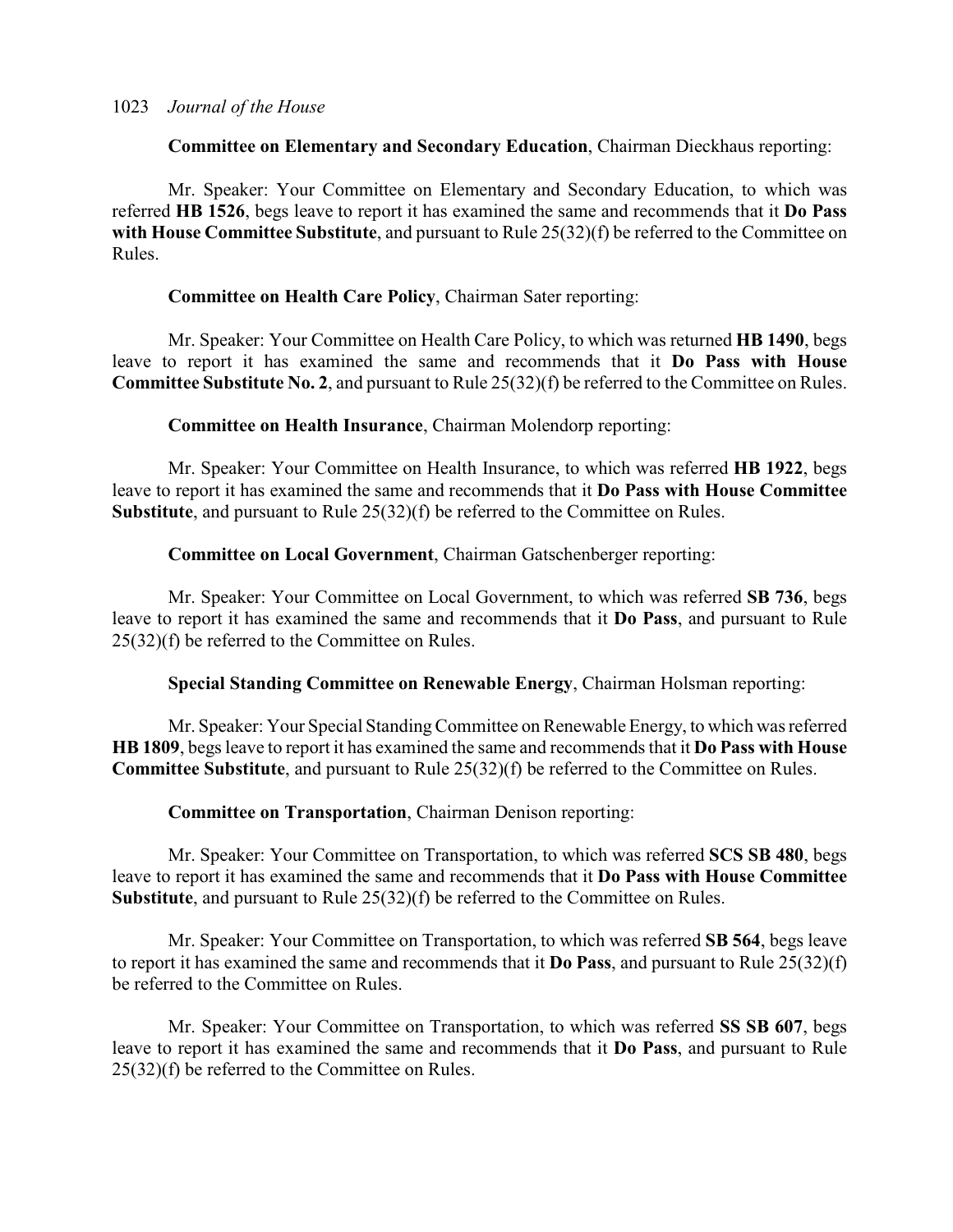### **Committee on Elementary and Secondary Education**, Chairman Dieckhaus reporting:

Mr. Speaker: Your Committee on Elementary and Secondary Education, to which was referred **HB 1526**, begs leave to report it has examined the same and recommends that it **Do Pass with House Committee Substitute**, and pursuant to Rule 25(32)(f) be referred to the Committee on Rules.

### **Committee on Health Care Policy**, Chairman Sater reporting:

Mr. Speaker: Your Committee on Health Care Policy, to which was returned **HB 1490**, begs leave to report it has examined the same and recommends that it **Do Pass with House Committee Substitute No. 2**, and pursuant to Rule 25(32)(f) be referred to the Committee on Rules.

**Committee on Health Insurance**, Chairman Molendorp reporting:

Mr. Speaker: Your Committee on Health Insurance, to which was referred **HB 1922**, begs leave to report it has examined the same and recommends that it **Do Pass with House Committee Substitute**, and pursuant to Rule 25(32)(f) be referred to the Committee on Rules.

### **Committee on Local Government**, Chairman Gatschenberger reporting:

Mr. Speaker: Your Committee on Local Government, to which was referred **SB 736**, begs leave to report it has examined the same and recommends that it **Do Pass**, and pursuant to Rule 25(32)(f) be referred to the Committee on Rules.

**Special Standing Committee on Renewable Energy**, Chairman Holsman reporting:

Mr. Speaker: Your Special Standing Committee on Renewable Energy, to which was referred **HB 1809**, begs leave to report it has examined the same and recommends that it **Do Pass with House Committee Substitute**, and pursuant to Rule 25(32)(f) be referred to the Committee on Rules.

**Committee on Transportation**, Chairman Denison reporting:

Mr. Speaker: Your Committee on Transportation, to which was referred **SCS SB 480**, begs leave to report it has examined the same and recommends that it **Do Pass with House Committee Substitute**, and pursuant to Rule 25(32)(f) be referred to the Committee on Rules.

Mr. Speaker: Your Committee on Transportation, to which was referred **SB 564**, begs leave to report it has examined the same and recommends that it **Do Pass**, and pursuant to Rule 25(32)(f) be referred to the Committee on Rules.

Mr. Speaker: Your Committee on Transportation, to which was referred **SS SB 607**, begs leave to report it has examined the same and recommends that it **Do Pass**, and pursuant to Rule 25(32)(f) be referred to the Committee on Rules.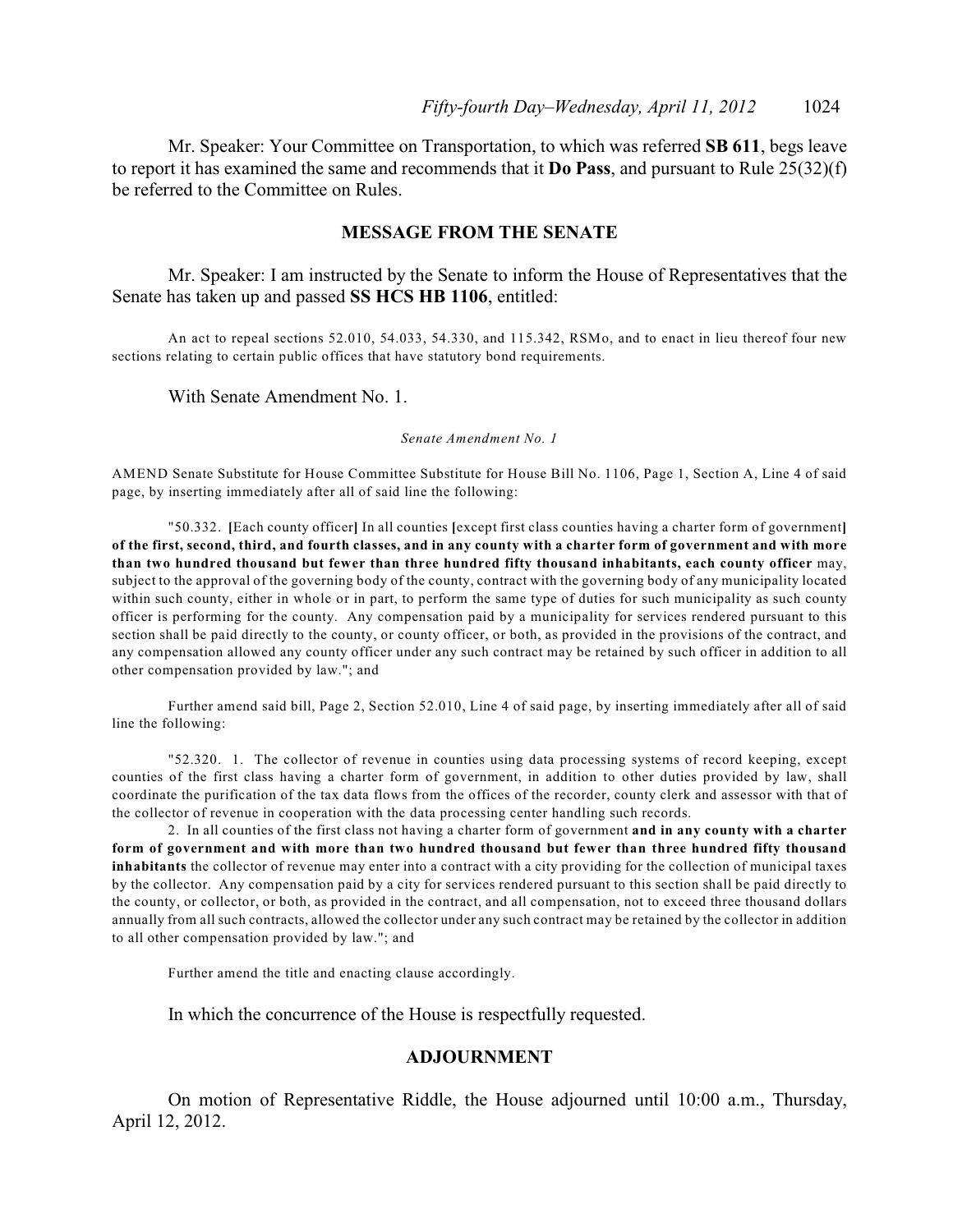Mr. Speaker: Your Committee on Transportation, to which was referred **SB 611**, begs leave to report it has examined the same and recommends that it **Do Pass**, and pursuant to Rule 25(32)(f) be referred to the Committee on Rules.

### **MESSAGE FROM THE SENATE**

Mr. Speaker: I am instructed by the Senate to inform the House of Representatives that the Senate has taken up and passed **SS HCS HB 1106**, entitled:

An act to repeal sections 52.010, 54.033, 54.330, and 115.342, RSMo, and to enact in lieu thereof four new sections relating to certain public offices that have statutory bond requirements.

With Senate Amendment No. 1.

*Senate Amendment No. 1*

AMEND Senate Substitute for House Committee Substitute for House Bill No. 1106, Page 1, Section A, Line 4 of said page, by inserting immediately after all of said line the following:

"50.332. **[**Each county officer**]** In all counties **[**except first class counties having a charter form of government**] of the first, second, third, and fourth classes, and in any county with a charter form of government and with more than two hundred thousand but fewer than three hundred fifty thousand inhabitants, each county officer** may, subject to the approval of the governing body of the county, contract with the governing body of any municipality located within such county, either in whole or in part, to perform the same type of duties for such municipality as such county officer is performing for the county. Any compensation paid by a municipality for services rendered pursuant to this section shall be paid directly to the county, or county officer, or both, as provided in the provisions of the contract, and any compensation allowed any county officer under any such contract may be retained by such officer in addition to all other compensation provided by law."; and

Further amend said bill, Page 2, Section 52.010, Line 4 of said page, by inserting immediately after all of said line the following:

"52.320. 1. The collector of revenue in counties using data processing systems of record keeping, except counties of the first class having a charter form of government, in addition to other duties provided by law, shall coordinate the purification of the tax data flows from the offices of the recorder, county clerk and assessor with that of the collector of revenue in cooperation with the data processing center handling such records.

2. In all counties of the first class not having a charter form of government **and in any county with a charter form of government and with more than two hundred thousand but fewer than three hundred fifty thousand inhabitants** the collector of revenue may enter into a contract with a city providing for the collection of municipal taxes by the collector. Any compensation paid by a city for services rendered pursuant to this section shall be paid directly to the county, or collector, or both, as provided in the contract, and all compensation, not to exceed three thousand dollars annually from all such contracts, allowed the collector under any such contract may be retained by the collector in addition to all other compensation provided by law."; and

Further amend the title and enacting clause accordingly.

In which the concurrence of the House is respectfully requested.

#### **ADJOURNMENT**

On motion of Representative Riddle, the House adjourned until 10:00 a.m., Thursday, April 12, 2012.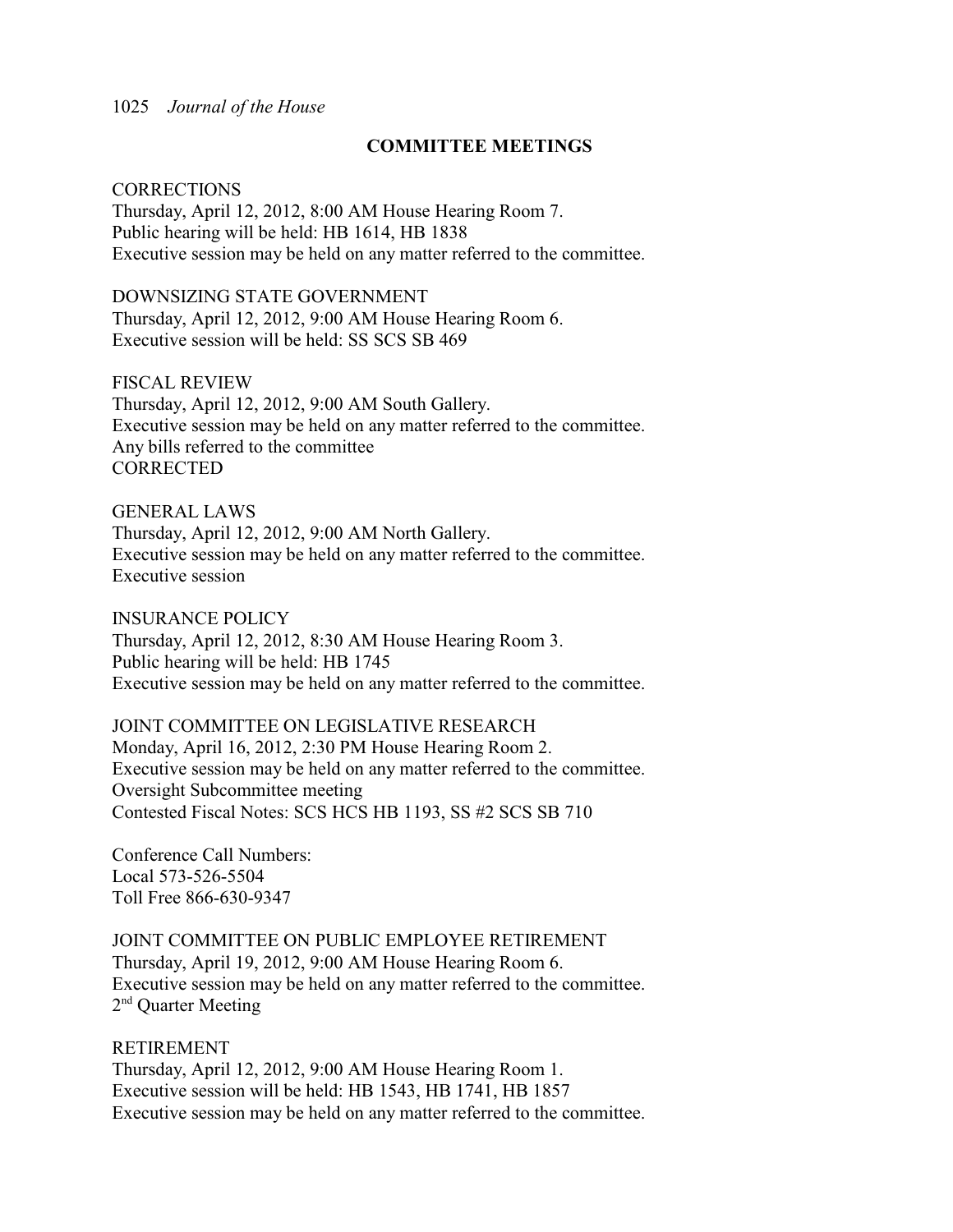### **COMMITTEE MEETINGS**

#### **CORRECTIONS**

Thursday, April 12, 2012, 8:00 AM House Hearing Room 7. Public hearing will be held: HB 1614, HB 1838 Executive session may be held on any matter referred to the committee.

DOWNSIZING STATE GOVERNMENT Thursday, April 12, 2012, 9:00 AM House Hearing Room 6. Executive session will be held: SS SCS SB 469

FISCAL REVIEW Thursday, April 12, 2012, 9:00 AM South Gallery. Executive session may be held on any matter referred to the committee. Any bills referred to the committee **CORRECTED** 

GENERAL LAWS Thursday, April 12, 2012, 9:00 AM North Gallery. Executive session may be held on any matter referred to the committee. Executive session

INSURANCE POLICY Thursday, April 12, 2012, 8:30 AM House Hearing Room 3. Public hearing will be held: HB 1745 Executive session may be held on any matter referred to the committee.

JOINT COMMITTEE ON LEGISLATIVE RESEARCH Monday, April 16, 2012, 2:30 PM House Hearing Room 2. Executive session may be held on any matter referred to the committee. Oversight Subcommittee meeting Contested Fiscal Notes: SCS HCS HB 1193, SS #2 SCS SB 710

Conference Call Numbers: Local 573-526-5504 Toll Free 866-630-9347

JOINT COMMITTEE ON PUBLIC EMPLOYEE RETIREMENT Thursday, April 19, 2012, 9:00 AM House Hearing Room 6. Executive session may be held on any matter referred to the committee.  $2<sup>nd</sup>$  Ouarter Meeting

RETIREMENT

Thursday, April 12, 2012, 9:00 AM House Hearing Room 1. Executive session will be held: HB 1543, HB 1741, HB 1857 Executive session may be held on any matter referred to the committee.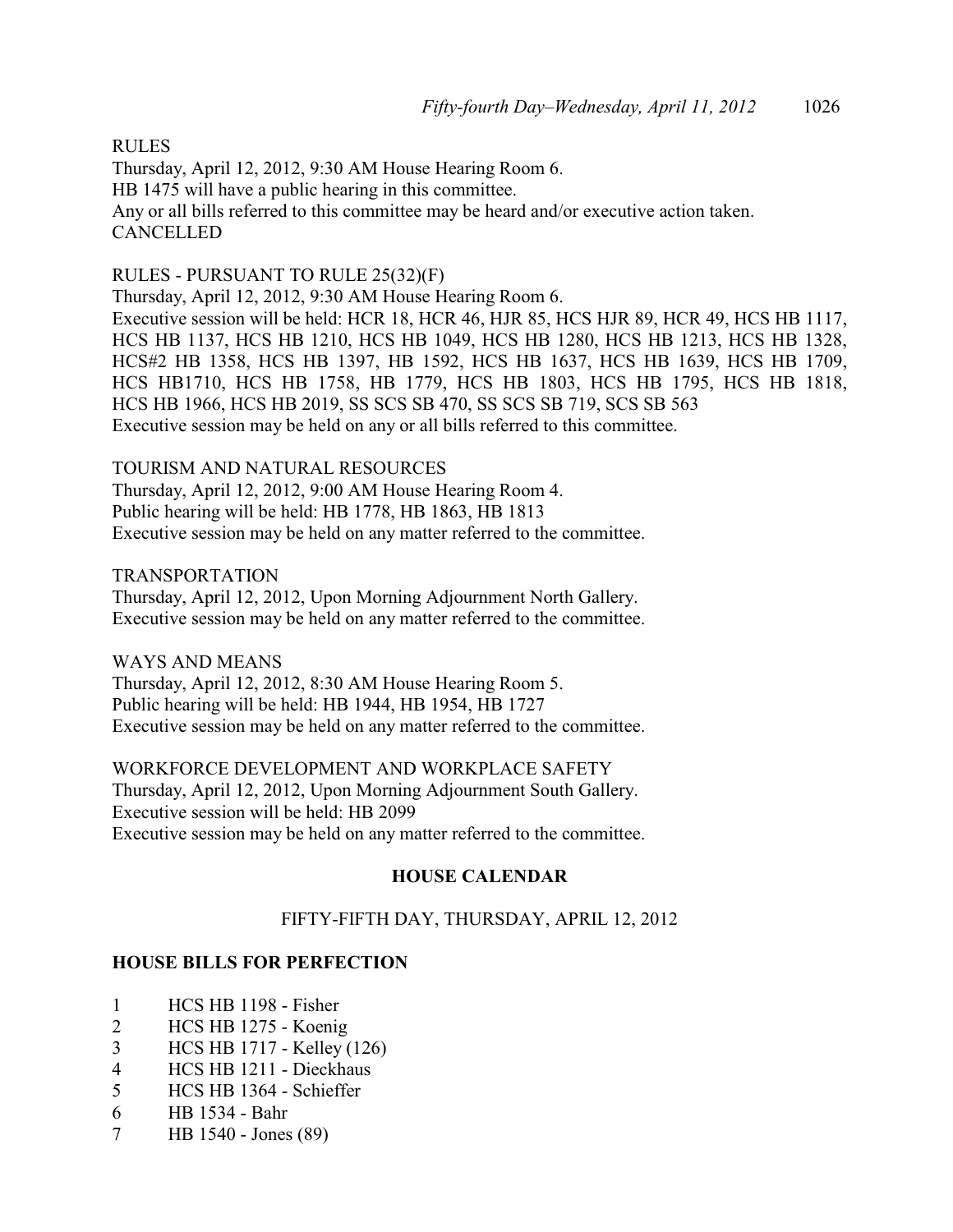RULES Thursday, April 12, 2012, 9:30 AM House Hearing Room 6. HB 1475 will have a public hearing in this committee. Any or all bills referred to this committee may be heard and/or executive action taken. **CANCELLED** 

### RULES - PURSUANT TO RULE 25(32)(F)

Thursday, April 12, 2012, 9:30 AM House Hearing Room 6. Executive session will be held: HCR 18, HCR 46, HJR 85, HCS HJR 89, HCR 49, HCS HB 1117, HCS HB 1137, HCS HB 1210, HCS HB 1049, HCS HB 1280, HCS HB 1213, HCS HB 1328, HCS#2 HB 1358, HCS HB 1397, HB 1592, HCS HB 1637, HCS HB 1639, HCS HB 1709, HCS HB1710, HCS HB 1758, HB 1779, HCS HB 1803, HCS HB 1795, HCS HB 1818, HCS HB 1966, HCS HB 2019, SS SCS SB 470, SS SCS SB 719, SCS SB 563 Executive session may be held on any or all bills referred to this committee.

TOURISM AND NATURAL RESOURCES Thursday, April 12, 2012, 9:00 AM House Hearing Room 4. Public hearing will be held: HB 1778, HB 1863, HB 1813 Executive session may be held on any matter referred to the committee.

#### TRANSPORTATION

Thursday, April 12, 2012, Upon Morning Adjournment North Gallery. Executive session may be held on any matter referred to the committee.

### WAYS AND MEANS

Thursday, April 12, 2012, 8:30 AM House Hearing Room 5. Public hearing will be held: HB 1944, HB 1954, HB 1727 Executive session may be held on any matter referred to the committee.

WORKFORCE DEVELOPMENT AND WORKPLACE SAFETY Thursday, April 12, 2012, Upon Morning Adjournment South Gallery. Executive session will be held: HB 2099 Executive session may be held on any matter referred to the committee.

### **HOUSE CALENDAR**

### FIFTY-FIFTH DAY, THURSDAY, APRIL 12, 2012

### **HOUSE BILLS FOR PERFECTION**

- 1 HCS HB 1198 Fisher
- 2 HCS HB 1275 Koenig
- 3 HCS HB 1717 Kelley (126)
- 4 HCS HB 1211 Dieckhaus
- 5 HCS HB 1364 Schieffer
- 6 HB 1534 Bahr
- 7 HB 1540 Jones (89)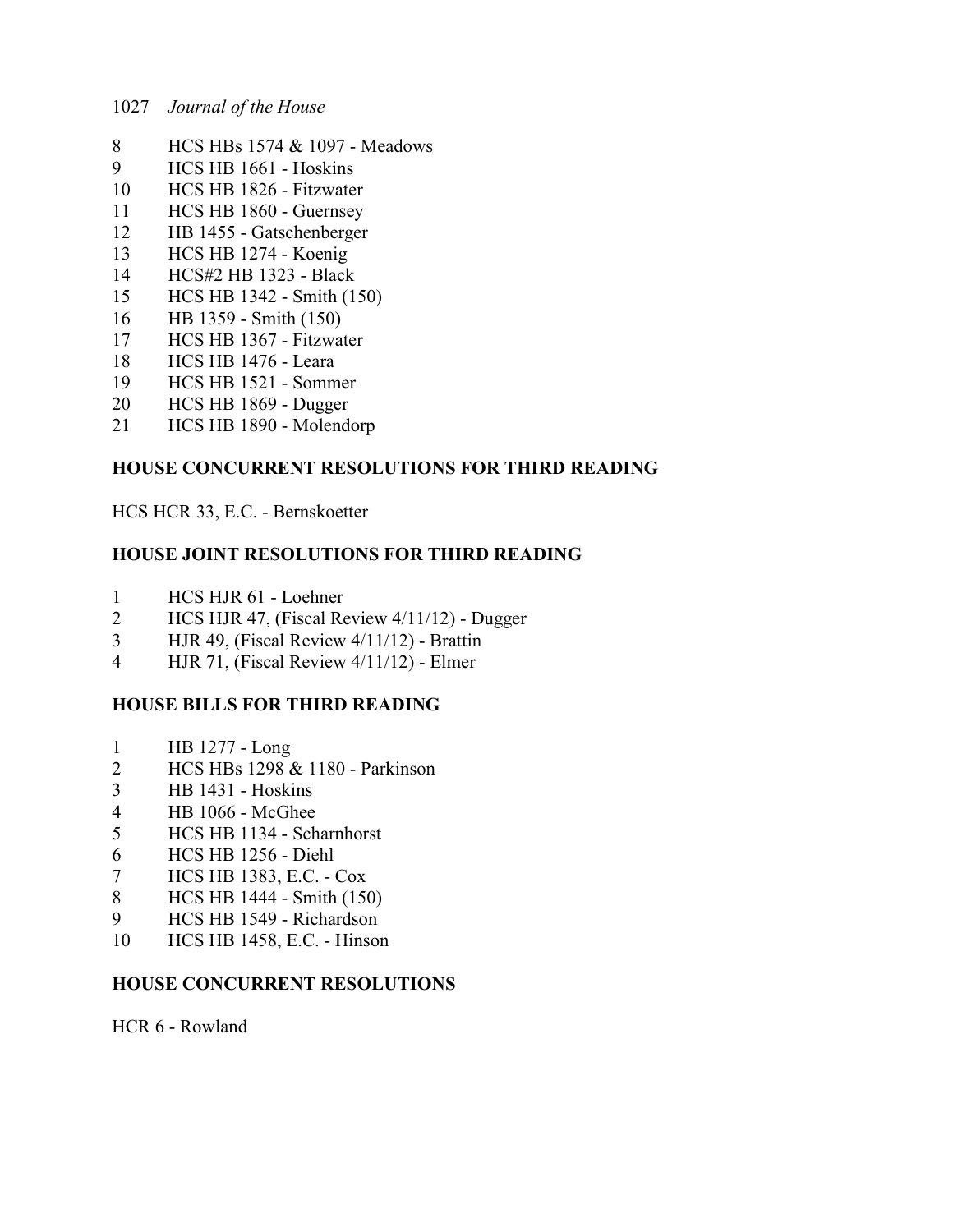- HCS HBs 1574 & 1097 Meadows
- HCS HB 1661 Hoskins
- HCS HB 1826 Fitzwater
- HCS HB 1860 Guernsey
- HB 1455 Gatschenberger
- HCS HB 1274 Koenig
- HCS#2 HB 1323 Black
- HCS HB 1342 Smith (150)
- HB 1359 Smith (150)
- HCS HB 1367 Fitzwater
- HCS HB 1476 Leara
- HCS HB 1521 Sommer
- HCS HB 1869 Dugger
- HCS HB 1890 Molendorp

### **HOUSE CONCURRENT RESOLUTIONS FOR THIRD READING**

HCS HCR 33, E.C. - Bernskoetter

### **HOUSE JOINT RESOLUTIONS FOR THIRD READING**

- HCS HJR 61 Loehner
- HCS HJR 47, (Fiscal Review 4/11/12) Dugger
- HJR 49, (Fiscal Review 4/11/12) Brattin
- HJR 71, (Fiscal Review 4/11/12) Elmer

## **HOUSE BILLS FOR THIRD READING**

- HB 1277 Long
- HCS HBs 1298 & 1180 Parkinson
- HB 1431 Hoskins
- HB 1066 McGhee
- HCS HB 1134 Scharnhorst
- HCS HB 1256 Diehl
- HCS HB 1383, E.C. Cox
- HCS HB 1444 Smith (150)
- HCS HB 1549 Richardson
- HCS HB 1458, E.C. Hinson

### **HOUSE CONCURRENT RESOLUTIONS**

HCR 6 - Rowland